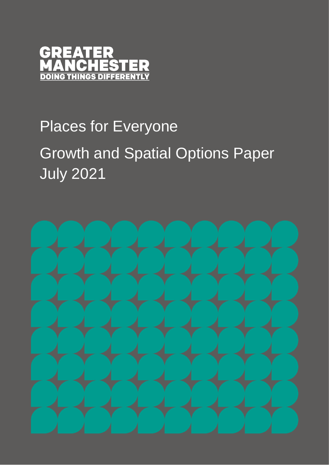

# Places for Everyone Growth and Spatial Options Paper July 2021

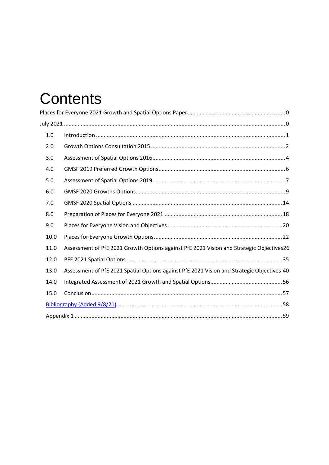## **Contents**

| 1.0                                                                                                |  |
|----------------------------------------------------------------------------------------------------|--|
| 2.0                                                                                                |  |
| 3.0                                                                                                |  |
| 4.0                                                                                                |  |
| 5.0                                                                                                |  |
| 6.0                                                                                                |  |
| 7.0                                                                                                |  |
| 8.0                                                                                                |  |
| 9.0                                                                                                |  |
| 10.0                                                                                               |  |
| Assessment of PfE 2021 Growth Options against PfE 2021 Vision and Strategic Objectives26<br>11.0   |  |
| 12.0                                                                                               |  |
| Assessment of PfE 2021 Spatial Options against PfE 2021 Vision and Strategic Objectives 40<br>13.0 |  |
| 14.0                                                                                               |  |
| 15.0                                                                                               |  |
|                                                                                                    |  |
|                                                                                                    |  |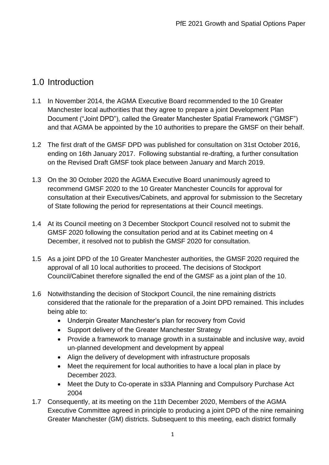## 1.0 Introduction

- 1.1 In November 2014, the AGMA Executive Board recommended to the 10 Greater Manchester local authorities that they agree to prepare a joint Development Plan Document ("Joint DPD"), called the Greater Manchester Spatial Framework ("GMSF") and that AGMA be appointed by the 10 authorities to prepare the GMSF on their behalf.
- 1.2 The first draft of the GMSF DPD was published for consultation on 31st October 2016, ending on 16th January 2017. Following substantial re-drafting, a further consultation on the Revised Draft GMSF took place between January and March 2019.
- 1.3 On the 30 October 2020 the AGMA Executive Board unanimously agreed to recommend GMSF 2020 to the 10 Greater Manchester Councils for approval for consultation at their Executives/Cabinets, and approval for submission to the Secretary of State following the period for representations at their Council meetings.
- 1.4 At its Council meeting on 3 December Stockport Council resolved not to submit the GMSF 2020 following the consultation period and at its Cabinet meeting on 4 December, it resolved not to publish the GMSF 2020 for consultation.
- 1.5 As a joint DPD of the 10 Greater Manchester authorities, the GMSF 2020 required the approval of all 10 local authorities to proceed. The decisions of Stockport Council/Cabinet therefore signalled the end of the GMSF as a joint plan of the 10.
- 1.6 Notwithstanding the decision of Stockport Council, the nine remaining districts considered that the rationale for the preparation of a Joint DPD remained. This includes being able to:
	- Underpin Greater Manchester's plan for recovery from Covid
	- Support delivery of the Greater Manchester Strategy
	- Provide a framework to manage growth in a sustainable and inclusive way, avoid un-planned development and development by appeal
	- Align the delivery of development with infrastructure proposals
	- Meet the requirement for local authorities to have a local plan in place by December 2023.
	- Meet the Duty to Co-operate in s33A Planning and Compulsory Purchase Act 2004
- 1.7 Consequently, at its meeting on the 11th December 2020, Members of the AGMA Executive Committee agreed in principle to producing a joint DPD of the nine remaining Greater Manchester (GM) districts. Subsequent to this meeting, each district formally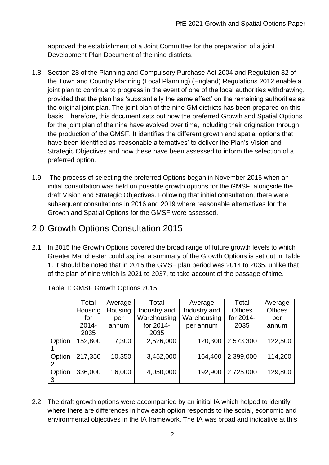approved the establishment of a Joint Committee for the preparation of a joint Development Plan Document of the nine districts.

- 1.8 Section 28 of the Planning and Compulsory Purchase Act 2004 and Regulation 32 of the Town and Country Planning (Local Planning) (England) Regulations 2012 enable a joint plan to continue to progress in the event of one of the local authorities withdrawing, provided that the plan has 'substantially the same effect' on the remaining authorities as the original joint plan. The joint plan of the nine GM districts has been prepared on this basis. Therefore, this document sets out how the preferred Growth and Spatial Options for the joint plan of the nine have evolved over time, including their origination through the production of the GMSF. It identifies the different growth and spatial options that have been identified as 'reasonable alternatives' to deliver the Plan's Vision and Strategic Objectives and how these have been assessed to inform the selection of a preferred option.
- 1.9 The process of selecting the preferred Options began in November 2015 when an initial consultation was held on possible growth options for the GMSF, alongside the draft Vision and Strategic Objectives. Following that initial consultation, there were subsequent consultations in 2016 and 2019 where reasonable alternatives for the Growth and Spatial Options for the GMSF were assessed.

## 2.0 Growth Options Consultation 2015

2.1 In 2015 the Growth Options covered the broad range of future growth levels to which Greater Manchester could aspire, a summary of the Growth Options is set out in Table 1. It should be noted that in 2015 the GMSF plan period was 2014 to 2035, unlike that of the plan of nine which is 2021 to 2037, to take account of the passage of time.

|             | Total<br>Housing<br>for<br>$2014 -$ | Average<br>Housing<br>per<br>annum | Total<br>Industry and<br>Warehousing<br>for 2014- | Average<br>Industry and<br>Warehousing<br>per annum | Total<br><b>Offices</b><br>for 2014-<br>2035 | Average<br><b>Offices</b><br>per<br>annum |
|-------------|-------------------------------------|------------------------------------|---------------------------------------------------|-----------------------------------------------------|----------------------------------------------|-------------------------------------------|
| Option      | 2035<br>152,800                     | 7,300                              | 2035<br>2,526,000                                 | 120,300                                             | 2,573,300                                    | 122,500                                   |
| Option      | 217,350                             | 10,350                             | 3,452,000                                         | 164,400                                             | 2,399,000                                    | 114,200                                   |
| Option<br>3 | 336,000                             | 16,000                             | 4,050,000                                         | 192,900                                             | 2,725,000                                    | 129,800                                   |

Table 1: GMSF Growth Options 2015

2.2 The draft growth options were accompanied by an initial IA which helped to identify where there are differences in how each option responds to the social, economic and environmental objectives in the IA framework. The IA was broad and indicative at this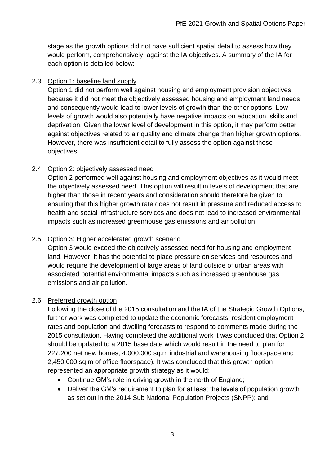stage as the growth options did not have sufficient spatial detail to assess how they would perform, comprehensively, against the IA objectives. A summary of the IA for each option is detailed below:

#### 2.3 Option 1: baseline land supply

Option 1 did not perform well against housing and employment provision objectives because it did not meet the objectively assessed housing and employment land needs and consequently would lead to lower levels of growth than the other options. Low levels of growth would also potentially have negative impacts on education, skills and deprivation. Given the lower level of development in this option, it may perform better against objectives related to air quality and climate change than higher growth options. However, there was insufficient detail to fully assess the option against those objectives.

#### 2.4 Option 2: objectively assessed need

Option 2 performed well against housing and employment objectives as it would meet the objectively assessed need. This option will result in levels of development that are higher than those in recent years and consideration should therefore be given to ensuring that this higher growth rate does not result in pressure and reduced access to health and social infrastructure services and does not lead to increased environmental impacts such as increased greenhouse gas emissions and air pollution.

#### 2.5 Option 3: Higher accelerated growth scenario

Option 3 would exceed the objectively assessed need for housing and employment land. However, it has the potential to place pressure on services and resources and would require the development of large areas of land outside of urban areas with associated potential environmental impacts such as increased greenhouse gas emissions and air pollution.

#### 2.6 Preferred growth option

Following the close of the 2015 consultation and the IA of the Strategic Growth Options, further work was completed to update the economic forecasts, resident employment rates and population and dwelling forecasts to respond to comments made during the 2015 consultation. Having completed the additional work it was concluded that Option 2 should be updated to a 2015 base date which would result in the need to plan for 227,200 net new homes, 4,000,000 sq.m industrial and warehousing floorspace and 2,450,000 sq.m of office floorspace). It was concluded that this growth option represented an appropriate growth strategy as it would:

- Continue GM's role in driving growth in the north of England;
- Deliver the GM's requirement to plan for at least the levels of population growth as set out in the 2014 Sub National Population Projects (SNPP); and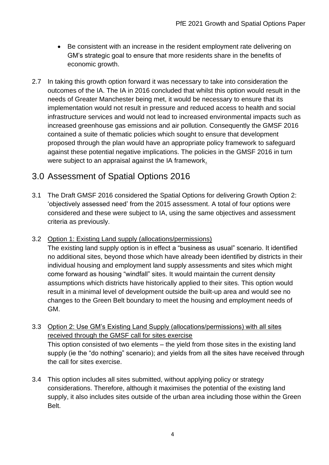- Be consistent with an increase in the resident employment rate delivering on GM's strategic goal to ensure that more residents share in the benefits of economic growth.
- 2.7 In taking this growth option forward it was necessary to take into consideration the outcomes of the IA. The IA in 2016 concluded that whilst this option would result in the needs of Greater Manchester being met, it would be necessary to ensure that its implementation would not result in pressure and reduced access to health and social infrastructure services and would not lead to increased environmental impacts such as increased greenhouse gas emissions and air pollution. Consequently the GMSF 2016 contained a suite of thematic policies which sought to ensure that development proposed through the plan would have an appropriate policy framework to safeguard against these potential negative implications. The policies in the GMSF 2016 in turn were subject to an appraisal against the IA framework.

## 3.0 Assessment of Spatial Options 2016

- 3.1 The Draft GMSF 2016 considered the Spatial Options for delivering Growth Option 2: 'objectively assessed need' from the 2015 assessment. A total of four options were considered and these were subject to IA, using the same objectives and assessment criteria as previously.
- 3.2 Option 1: Existing Land supply (allocations/permissions) The existing land supply option is in effect a "business as usual" scenario. It identified no additional sites, beyond those which have already been identified by districts in their individual housing and employment land supply assessments and sites which might come forward as housing "windfall" sites. It would maintain the current density assumptions which districts have historically applied to their sites. This option would result in a minimal level of development outside the built-up area and would see no changes to the Green Belt boundary to meet the housing and employment needs of GM.
- 3.3 Option 2: Use GM's Existing Land Supply (allocations/permissions) with all sites received through the GMSF call for sites exercise This option consisted of two elements – the yield from those sites in the existing land supply (ie the "do nothing" scenario); and yields from all the sites have received through the call for sites exercise.
- 3.4 This option includes all sites submitted, without applying policy or strategy considerations. Therefore, although it maximises the potential of the existing land supply, it also includes sites outside of the urban area including those within the Green Belt.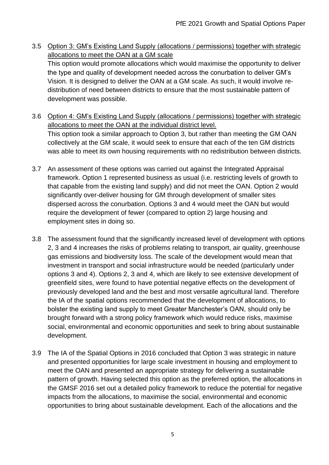- 3.5 Option 3: GM's Existing Land Supply (allocations / permissions) together with strategic allocations to meet the OAN at a GM scale This option would promote allocations which would maximise the opportunity to deliver the type and quality of development needed across the conurbation to deliver GM's Vision. It is designed to deliver the OAN at a GM scale. As such, it would involve redistribution of need between districts to ensure that the most sustainable pattern of development was possible.
- 3.6 Option 4: GM's Existing Land Supply (allocations / permissions) together with strategic allocations to meet the OAN at the individual district level. This option took a similar approach to Option 3, but rather than meeting the GM OAN collectively at the GM scale, it would seek to ensure that each of the ten GM districts was able to meet its own housing requirements with no redistribution between districts.
- 3.7 An assessment of these options was carried out against the Integrated Appraisal framework. Option 1 represented business as usual (i.e. restricting levels of growth to that capable from the existing land supply) and did not meet the OAN. Option 2 would significantly over-deliver housing for GM through development of smaller sites dispersed across the conurbation. Options 3 and 4 would meet the OAN but would require the development of fewer (compared to option 2) large housing and employment sites in doing so.
- 3.8 The assessment found that the significantly increased level of development with options 2, 3 and 4 increases the risks of problems relating to transport, air quality, greenhouse gas emissions and biodiversity loss. The scale of the development would mean that investment in transport and social infrastructure would be needed (particularly under options 3 and 4). Options 2, 3 and 4, which are likely to see extensive development of greenfield sites, were found to have potential negative effects on the development of previously developed land and the best and most versatile agricultural land. Therefore the IA of the spatial options recommended that the development of allocations, to bolster the existing land supply to meet Greater Manchester's OAN, should only be brought forward with a strong policy framework which would reduce risks, maximise social, environmental and economic opportunities and seek to bring about sustainable development.
- 3.9 The IA of the Spatial Options in 2016 concluded that Option 3 was strategic in nature and presented opportunities for large scale investment in housing and employment to meet the OAN and presented an appropriate strategy for delivering a sustainable pattern of growth. Having selected this option as the preferred option, the allocations in the GMSF 2016 set out a detailed policy framework to reduce the potential for negative impacts from the allocations, to maximise the social, environmental and economic opportunities to bring about sustainable development. Each of the allocations and the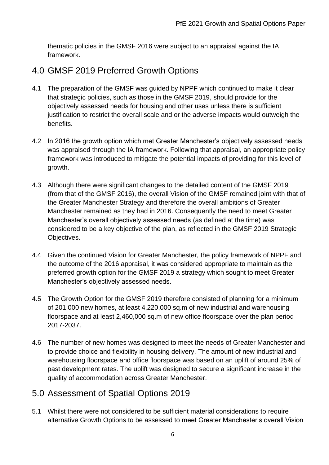thematic policies in the GMSF 2016 were subject to an appraisal against the IA framework.

## 4.0 GMSF 2019 Preferred Growth Options

- 4.1 The preparation of the GMSF was guided by NPPF which continued to make it clear that strategic policies, such as those in the GMSF 2019, should provide for the objectively assessed needs for housing and other uses unless there is sufficient justification to restrict the overall scale and or the adverse impacts would outweigh the benefits.
- 4.2 In 2016 the growth option which met Greater Manchester's objectively assessed needs was appraised through the IA framework. Following that appraisal, an appropriate policy framework was introduced to mitigate the potential impacts of providing for this level of growth.
- 4.3 Although there were significant changes to the detailed content of the GMSF 2019 (from that of the GMSF 2016), the overall Vision of the GMSF remained joint with that of the Greater Manchester Strategy and therefore the overall ambitions of Greater Manchester remained as they had in 2016. Consequently the need to meet Greater Manchester's overall objectively assessed needs (as defined at the time) was considered to be a key objective of the plan, as reflected in the GMSF 2019 Strategic Objectives.
- 4.4 Given the continued Vision for Greater Manchester, the policy framework of NPPF and the outcome of the 2016 appraisal, it was considered appropriate to maintain as the preferred growth option for the GMSF 2019 a strategy which sought to meet Greater Manchester's objectively assessed needs.
- 4.5 The Growth Option for the GMSF 2019 therefore consisted of planning for a minimum of 201,000 new homes, at least 4,220,000 sq.m of new industrial and warehousing floorspace and at least 2,460,000 sq.m of new office floorspace over the plan period 2017-2037.
- 4.6 The number of new homes was designed to meet the needs of Greater Manchester and to provide choice and flexibility in housing delivery. The amount of new industrial and warehousing floorspace and office floorspace was based on an uplift of around 25% of past development rates. The uplift was designed to secure a significant increase in the quality of accommodation across Greater Manchester.

## 5.0 Assessment of Spatial Options 2019

5.1 Whilst there were not considered to be sufficient material considerations to require alternative Growth Options to be assessed to meet Greater Manchester's overall Vision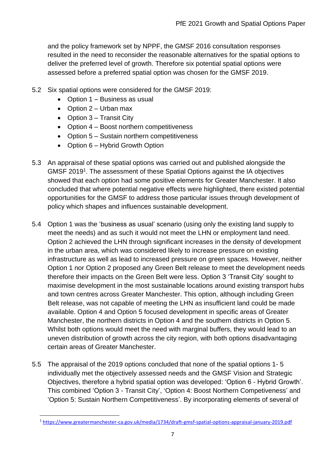and the policy framework set by NPPF, the GMSF 2016 consultation responses resulted in the need to reconsider the reasonable alternatives for the spatial options to deliver the preferred level of growth. Therefore six potential spatial options were assessed before a preferred spatial option was chosen for the GMSF 2019.

- 5.2 Six spatial options were considered for the GMSF 2019:
	- Option 1 Business as usual
	- Option 2 Urban max
	- Option 3 Transit City
	- Option 4 Boost northern competitiveness
	- Option 5 Sustain northern competitiveness
	- Option 6 Hybrid Growth Option
- 5.3 An appraisal of these spatial options was carried out and published alongside the GMSF 2019<sup>1</sup>. The assessment of these Spatial Options against the IA objectives showed that each option had some positive elements for Greater Manchester. It also concluded that where potential negative effects were highlighted, there existed potential opportunities for the GMSF to address those particular issues through development of policy which shapes and influences sustainable development.
- 5.4 Option 1 was the 'business as usual' scenario (using only the existing land supply to meet the needs) and as such it would not meet the LHN or employment land need. Option 2 achieved the LHN through significant increases in the density of development in the urban area, which was considered likely to increase pressure on existing infrastructure as well as lead to increased pressure on green spaces. However, neither Option 1 nor Option 2 proposed any Green Belt release to meet the development needs therefore their impacts on the Green Belt were less. Option 3 'Transit City' sought to maximise development in the most sustainable locations around existing transport hubs and town centres across Greater Manchester. This option, although including Green Belt release, was not capable of meeting the LHN as insufficient land could be made available. Option 4 and Option 5 focused development in specific areas of Greater Manchester, the northern districts in Option 4 and the southern districts in Option 5. Whilst both options would meet the need with marginal buffers, they would lead to an uneven distribution of growth across the city region, with both options disadvantaging certain areas of Greater Manchester.
- 5.5 The appraisal of the 2019 options concluded that none of the spatial options 1- 5 individually met the objectively assessed needs and the GMSF Vision and Strategic Objectives, therefore a hybrid spatial option was developed: 'Option 6 - Hybrid Growth'. This combined 'Option 3 - Transit City', 'Option 4: Boost Northern Competiveness' and 'Option 5: Sustain Northern Competitiveness'. By incorporating elements of several of

<sup>1</sup> <https://www.greatermanchester-ca.gov.uk/media/1734/draft-gmsf-spatial-options-appraisal-january-2019.pdf>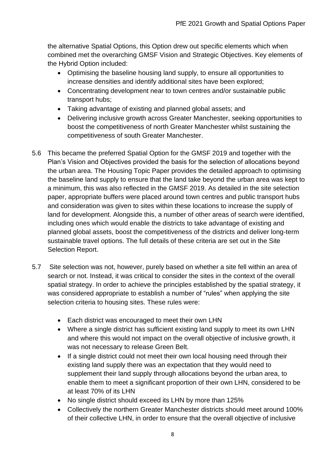the alternative Spatial Options, this Option drew out specific elements which when combined met the overarching GMSF Vision and Strategic Objectives. Key elements of the Hybrid Option included:

- Optimising the baseline housing land supply, to ensure all opportunities to increase densities and identify additional sites have been explored;
- Concentrating development near to town centres and/or sustainable public transport hubs;
- Taking advantage of existing and planned global assets; and
- Delivering inclusive growth across Greater Manchester, seeking opportunities to boost the competitiveness of north Greater Manchester whilst sustaining the competitiveness of south Greater Manchester.
- 5.6 This became the preferred Spatial Option for the GMSF 2019 and together with the Plan's Vision and Objectives provided the basis for the selection of allocations beyond the urban area. The Housing Topic Paper provides the detailed approach to optimising the baseline land supply to ensure that the land take beyond the urban area was kept to a minimum, this was also reflected in the GMSF 2019. As detailed in the site selection paper, appropriate buffers were placed around town centres and public transport hubs and consideration was given to sites within these locations to increase the supply of land for development. Alongside this, a number of other areas of search were identified, including ones which would enable the districts to take advantage of existing and planned global assets, boost the competitiveness of the districts and deliver long-term sustainable travel options. The full details of these criteria are set out in the Site Selection Report.
- 5.7 Site selection was not, however, purely based on whether a site fell within an area of search or not. Instead, it was critical to consider the sites in the context of the overall spatial strategy. In order to achieve the principles established by the spatial strategy, it was considered appropriate to establish a number of "rules" when applying the site selection criteria to housing sites. These rules were:
	- Each district was encouraged to meet their own LHN
	- Where a single district has sufficient existing land supply to meet its own LHN and where this would not impact on the overall objective of inclusive growth, it was not necessary to release Green Belt.
	- If a single district could not meet their own local housing need through their existing land supply there was an expectation that they would need to supplement their land supply through allocations beyond the urban area, to enable them to meet a significant proportion of their own LHN, considered to be at least 70% of its LHN
	- No single district should exceed its LHN by more than 125%
	- Collectively the northern Greater Manchester districts should meet around 100% of their collective LHN, in order to ensure that the overall objective of inclusive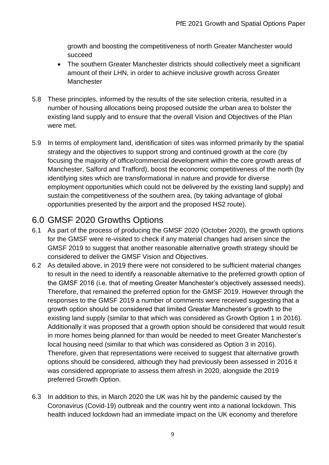growth and boosting the competitiveness of north Greater Manchester would succeed

- The southern Greater Manchester districts should collectively meet a significant amount of their LHN, in order to achieve inclusive growth across Greater Manchester
- 5.8 These principles, informed by the results of the site selection criteria, resulted in a number of housing allocations being proposed outside the urban area to bolster the existing land supply and to ensure that the overall Vision and Objectives of the Plan were met.
- 5.9 In terms of employment land, identification of sites was informed primarily by the spatial strategy and the objectives to support strong and continued growth at the core (by focusing the majority of office/commercial development within the core growth areas of Manchester, Salford and Trafford), boost the economic competitiveness of the north (by identifying sites which are transformational in nature and provide for diverse employment opportunities which could not be delivered by the existing land supply) and sustain the competitiveness of the southern area, (by taking advantage of global opportunities presented by the airport and the proposed HS2 route).

## 6.0 GMSF 2020 Growths Options

- 6.1 As part of the process of producing the GMSF 2020 (October 2020), the growth options for the GMSF were re-visited to check if any material changes had arisen since the GMSF 2019 to suggest that another reasonable alternative growth strategy should be considered to deliver the GMSF Vision and Objectives.
- 6.2 As detailed above, in 2019 there were not considered to be sufficient material changes to result in the need to identify a reasonable alternative to the preferred growth option of the GMSF 2016 (i.e. that of meeting Greater Manchester's objectively assessed needs). Therefore, that remained the preferred option for the GMSF 2019. However through the responses to the GMSF 2019 a number of comments were received suggesting that a growth option should be considered that limited Greater Manchester's growth to the existing land supply (similar to that which was considered as Growth Option 1 in 2016). Additionally it was proposed that a growth option should be considered that would result in more homes being planned for than would be needed to meet Greater Manchester's local housing need (similar to that which was considered as Option 3 in 2016). Therefore, given that representations were received to suggest that alternative growth options should be considered, although they had previously been assessed in 2016 it was considered appropriate to assess them afresh in 2020, alongside the 2019 preferred Growth Option.
- 6.3 In addition to this, in March 2020 the UK was hit by the pandemic caused by the Coronavirus (Covid-19) outbreak and the country went into a national lockdown. This health induced lockdown had an immediate impact on the UK economy and therefore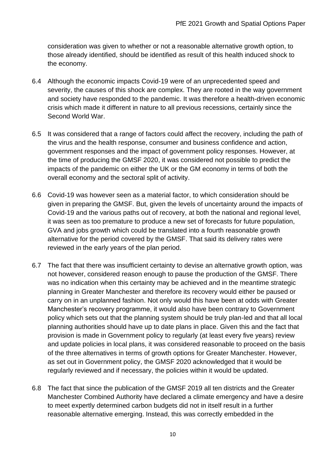consideration was given to whether or not a reasonable alternative growth option, to those already identified, should be identified as result of this health induced shock to the economy.

- 6.4 Although the economic impacts Covid-19 were of an unprecedented speed and severity, the causes of this shock are complex. They are rooted in the way government and society have responded to the pandemic. It was therefore a health-driven economic crisis which made it different in nature to all previous recessions, certainly since the Second World War.
- 6.5 It was considered that a range of factors could affect the recovery, including the path of the virus and the health response, consumer and business confidence and action, government responses and the impact of government policy responses. However, at the time of producing the GMSF 2020, it was considered not possible to predict the impacts of the pandemic on either the UK or the GM economy in terms of both the overall economy and the sectoral split of activity.
- 6.6 Covid-19 was however seen as a material factor, to which consideration should be given in preparing the GMSF. But, given the levels of uncertainty around the impacts of Covid-19 and the various paths out of recovery, at both the national and regional level, it was seen as too premature to produce a new set of forecasts for future population, GVA and jobs growth which could be translated into a fourth reasonable growth alternative for the period covered by the GMSF. That said its delivery rates were reviewed in the early years of the plan period.
- 6.7 The fact that there was insufficient certainty to devise an alternative growth option, was not however, considered reason enough to pause the production of the GMSF. There was no indication when this certainty may be achieved and in the meantime strategic planning in Greater Manchester and therefore its recovery would either be paused or carry on in an unplanned fashion. Not only would this have been at odds with Greater Manchester's recovery programme, it would also have been contrary to Government policy which sets out that the planning system should be truly plan-led and that all local planning authorities should have up to date plans in place. Given this and the fact that provision is made in Government policy to regularly (at least every five years) review and update policies in local plans, it was considered reasonable to proceed on the basis of the three alternatives in terms of growth options for Greater Manchester. However, as set out in Government policy, the GMSF 2020 acknowledged that it would be regularly reviewed and if necessary, the policies within it would be updated.
- 6.8 The fact that since the publication of the GMSF 2019 all ten districts and the Greater Manchester Combined Authority have declared a climate emergency and have a desire to meet expertly determined carbon budgets did not in itself result in a further reasonable alternative emerging. Instead, this was correctly embedded in the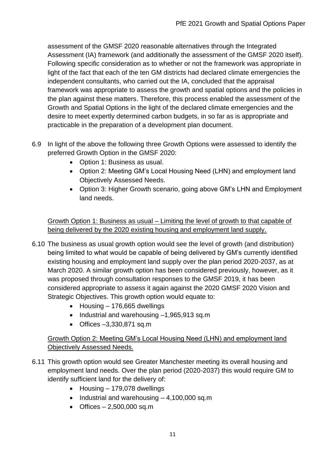assessment of the GMSF 2020 reasonable alternatives through the Integrated Assessment (IA) framework (and additionally the assessment of the GMSF 2020 itself). Following specific consideration as to whether or not the framework was appropriate in light of the fact that each of the ten GM districts had declared climate emergencies the independent consultants, who carried out the IA, concluded that the appraisal framework was appropriate to assess the growth and spatial options and the policies in the plan against these matters. Therefore, this process enabled the assessment of the Growth and Spatial Options in the light of the declared climate emergencies and the desire to meet expertly determined carbon budgets, in so far as is appropriate and practicable in the preparation of a development plan document.

- 6.9 In light of the above the following three Growth Options were assessed to identify the preferred Growth Option in the GMSF 2020:
	- Option 1: Business as usual.
	- Option 2: Meeting GM's Local Housing Need (LHN) and employment land Objectively Assessed Needs.
	- Option 3: Higher Growth scenario, going above GM's LHN and Employment land needs.

Growth Option 1: Business as usual – Limiting the level of growth to that capable of being delivered by the 2020 existing housing and employment land supply.

- 6.10 The business as usual growth option would see the level of growth (and distribution) being limited to what would be capable of being delivered by GM's currently identified existing housing and employment land supply over the plan period 2020-2037, as at March 2020. A similar growth option has been considered previously, however, as it was proposed through consultation responses to the GMSF 2019, it has been considered appropriate to assess it again against the 2020 GMSF 2020 Vision and Strategic Objectives. This growth option would equate to:
	- Housing 176,665 dwellings
	- Industrial and warehousing -1,965,913 sq.m
	- Offices –3,330,871 sq.m

#### Growth Option 2: Meeting GM's Local Housing Need (LHN) and employment land Objectively Assessed Needs.

- 6.11 This growth option would see Greater Manchester meeting its overall housing and employment land needs. Over the plan period (2020-2037) this would require GM to identify sufficient land for the delivery of:
	- Housing 179,078 dwellings
	- Industrial and warehousing 4,100,000 sq.m
	- Offices  $-2,500,000$  sq.m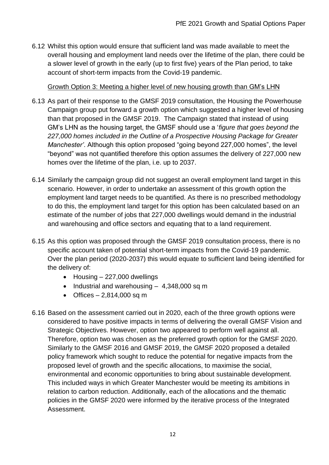6.12 Whilst this option would ensure that sufficient land was made available to meet the overall housing and employment land needs over the lifetime of the plan, there could be a slower level of growth in the early (up to first five) years of the Plan period, to take account of short-term impacts from the Covid-19 pandemic.

Growth Option 3: Meeting a higher level of new housing growth than GM's LHN

- 6.13 As part of their response to the GMSF 2019 consultation, the Housing the Powerhouse Campaign group put forward a growth option which suggested a higher level of housing than that proposed in the GMSF 2019. The Campaign stated that instead of using GM's LHN as the housing target, the GMSF should use a '*figure that goes beyond the 227,000 homes included in the Outline of a Prospective Housing Package for Greater Manchester'*. Although this option proposed "going beyond 227,000 homes", the level "beyond" was not quantified therefore this option assumes the delivery of 227,000 new homes over the lifetime of the plan, i.e. up to 2037.
- 6.14 Similarly the campaign group did not suggest an overall employment land target in this scenario. However, in order to undertake an assessment of this growth option the employment land target needs to be quantified. As there is no prescribed methodology to do this, the employment land target for this option has been calculated based on an estimate of the number of jobs that 227,000 dwellings would demand in the industrial and warehousing and office sectors and equating that to a land requirement.
- 6.15 As this option was proposed through the GMSF 2019 consultation process, there is no specific account taken of potential short-term impacts from the Covid-19 pandemic. Over the plan period (2020-2037) this would equate to sufficient land being identified for the delivery of:
	- Housing 227,000 dwellings
	- Industrial and warehousing 4,348,000 sq m
	- Offices  $-2,814,000$  sq m
- 6.16 Based on the assessment carried out in 2020, each of the three growth options were considered to have positive impacts in terms of delivering the overall GMSF Vision and Strategic Objectives. However, option two appeared to perform well against all. Therefore, option two was chosen as the preferred growth option for the GMSF 2020. Similarly to the GMSF 2016 and GMSF 2019, the GMSF 2020 proposed a detailed policy framework which sought to reduce the potential for negative impacts from the proposed level of growth and the specific allocations, to maximise the social, environmental and economic opportunities to bring about sustainable development. This included ways in which Greater Manchester would be meeting its ambitions in relation to carbon reduction. Additionally, each of the allocations and the thematic policies in the GMSF 2020 were informed by the iterative process of the Integrated Assessment.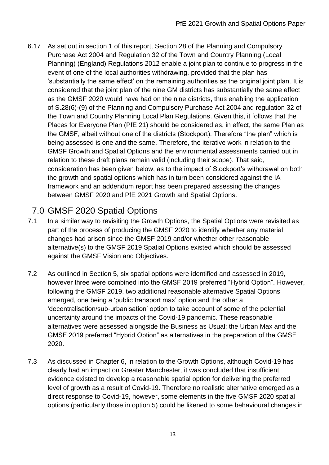6.17 As set out in section 1 of this report, Section 28 of the Planning and Compulsory Purchase Act 2004 and Regulation 32 of the Town and Country Planning (Local Planning) (England) Regulations 2012 enable a joint plan to continue to progress in the event of one of the local authorities withdrawing, provided that the plan has 'substantially the same effect' on the remaining authorities as the original joint plan. It is considered that the joint plan of the nine GM districts has substantially the same effect as the GMSF 2020 would have had on the nine districts, thus enabling the application of S.28(6)-(9) of the Planning and Compulsory Purchase Act 2004 and regulation 32 of the Town and Country Planning Local Plan Regulations. Given this, it follows that the Places for Everyone Plan (PfE 21) should be considered as, in effect, the same Plan as the GMSF, albeit without one of the districts (Stockport). Therefore "the plan" which is being assessed is one and the same. Therefore, the iterative work in relation to the GMSF Growth and Spatial Options and the environmental assessments carried out in relation to these draft plans remain valid (including their scope). That said, consideration has been given below, as to the impact of Stockport's withdrawal on both the growth and spatial options which has in turn been considered against the IA framework and an addendum report has been prepared assessing the changes between GMSF 2020 and PfE 2021 Growth and Spatial Options.

## 7.0 GMSF 2020 Spatial Options

- 7.1 In a similar way to revisiting the Growth Options, the Spatial Options were revisited as part of the process of producing the GMSF 2020 to identify whether any material changes had arisen since the GMSF 2019 and/or whether other reasonable alternative(s) to the GMSF 2019 Spatial Options existed which should be assessed against the GMSF Vision and Objectives.
- 7.2 As outlined in Section 5, six spatial options were identified and assessed in 2019, however three were combined into the GMSF 2019 preferred "Hybrid Option". However, following the GMSF 2019, two additional reasonable alternative Spatial Options emerged, one being a 'public transport max' option and the other a 'decentralisation/sub-urbanisation' option to take account of some of the potential uncertainty around the impacts of the Covid-19 pandemic. These reasonable alternatives were assessed alongside the Business as Usual; the Urban Max and the GMSF 2019 preferred "Hybrid Option" as alternatives in the preparation of the GMSF 2020.
- 7.3 As discussed in Chapter 6, in relation to the Growth Options, although Covid-19 has clearly had an impact on Greater Manchester, it was concluded that insufficient evidence existed to develop a reasonable spatial option for delivering the preferred level of growth as a result of Covid-19. Therefore no realistic alternative emerged as a direct response to Covid-19, however, some elements in the five GMSF 2020 spatial options (particularly those in option 5) could be likened to some behavioural changes in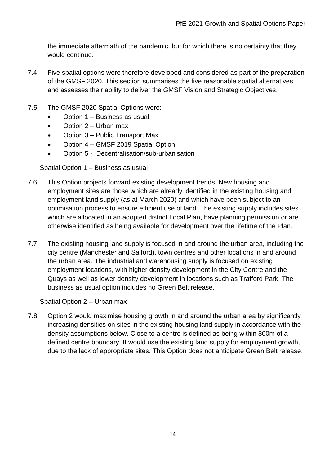the immediate aftermath of the pandemic, but for which there is no certainty that they would continue.

- 7.4 Five spatial options were therefore developed and considered as part of the preparation of the GMSF 2020. This section summarises the five reasonable spatial alternatives and assesses their ability to deliver the GMSF Vision and Strategic Objectives.
- 7.5 The GMSF 2020 Spatial Options were:
	- Option 1 Business as usual
	- Option  $2$  Urban max
	- Option 3 Public Transport Max
	- Option 4 GMSF 2019 Spatial Option
	- Option 5 Decentralisation/sub-urbanisation

#### Spatial Option 1 – Business as usual

- 7.6 This Option projects forward existing development trends. New housing and employment sites are those which are already identified in the existing housing and employment land supply (as at March 2020) and which have been subject to an optimisation process to ensure efficient use of land. The existing supply includes sites which are allocated in an adopted district Local Plan, have planning permission or are otherwise identified as being available for development over the lifetime of the Plan.
- 7.7 The existing housing land supply is focused in and around the urban area, including the city centre (Manchester and Salford), town centres and other locations in and around the urban area. The industrial and warehousing supply is focused on existing employment locations, with higher density development in the City Centre and the Quays as well as lower density development in locations such as Trafford Park. The business as usual option includes no Green Belt release.

#### Spatial Option 2 – Urban max

7.8 Option 2 would maximise housing growth in and around the urban area by significantly increasing densities on sites in the existing housing land supply in accordance with the density assumptions below. Close to a centre is defined as being within 800m of a defined centre boundary. It would use the existing land supply for employment growth, due to the lack of appropriate sites. This Option does not anticipate Green Belt release.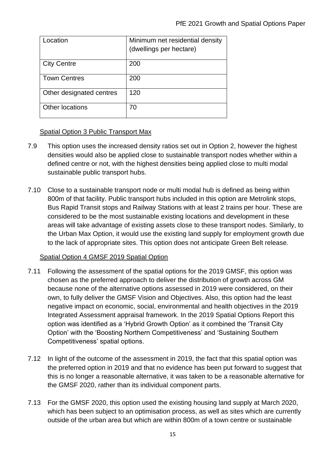| .ocation                 | Minimum net residential density<br>(dwellings per hectare) |
|--------------------------|------------------------------------------------------------|
| <b>City Centre</b>       | 200                                                        |
| <b>Town Centres</b>      | 200                                                        |
| Other designated centres | 120                                                        |
| <b>Other locations</b>   | 70                                                         |

#### Spatial Option 3 Public Transport Max

- 7.9 This option uses the increased density ratios set out in Option 2, however the highest densities would also be applied close to sustainable transport nodes whether within a defined centre or not, with the highest densities being applied close to multi modal sustainable public transport hubs.
- 7.10 Close to a sustainable transport node or multi modal hub is defined as being within 800m of that facility. Public transport hubs included in this option are Metrolink stops, Bus Rapid Transit stops and Railway Stations with at least 2 trains per hour. These are considered to be the most sustainable existing locations and development in these areas will take advantage of existing assets close to these transport nodes. Similarly, to the Urban Max Option, it would use the existing land supply for employment growth due to the lack of appropriate sites. This option does not anticipate Green Belt release.

#### Spatial Option 4 GMSF 2019 Spatial Option

- 7.11 Following the assessment of the spatial options for the 2019 GMSF, this option was chosen as the preferred approach to deliver the distribution of growth across GM because none of the alternative options assessed in 2019 were considered, on their own, to fully deliver the GMSF Vision and Objectives. Also, this option had the least negative impact on economic, social, environmental and health objectives in the 2019 Integrated Assessment appraisal framework. In the 2019 Spatial Options Report this option was identified as a 'Hybrid Growth Option' as it combined the 'Transit City Option' with the 'Boosting Northern Competitiveness' and 'Sustaining Southern Competitiveness' spatial options.
- 7.12 In light of the outcome of the assessment in 2019, the fact that this spatial option was the preferred option in 2019 and that no evidence has been put forward to suggest that this is no longer a reasonable alternative, it was taken to be a reasonable alternative for the GMSF 2020, rather than its individual component parts.
- 7.13 For the GMSF 2020, this option used the existing housing land supply at March 2020, which has been subject to an optimisation process, as well as sites which are currently outside of the urban area but which are within 800m of a town centre or sustainable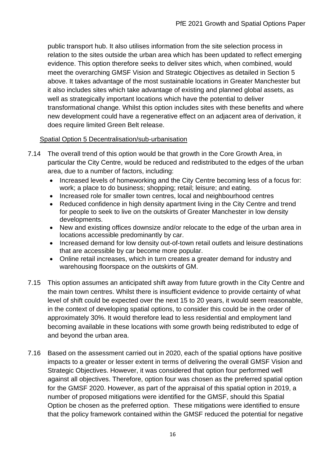public transport hub. It also utilises information from the site selection process in relation to the sites outside the urban area which has been updated to reflect emerging evidence. This option therefore seeks to deliver sites which, when combined, would meet the overarching GMSF Vision and Strategic Objectives as detailed in Section 5 above. It takes advantage of the most sustainable locations in Greater Manchester but it also includes sites which take advantage of existing and planned global assets, as well as strategically important locations which have the potential to deliver transformational change. Whilst this option includes sites with these benefits and where new development could have a regenerative effect on an adjacent area of derivation, it does require limited Green Belt release.

#### Spatial Option 5 Decentralisation/sub-urbanisation

- 7.14 The overall trend of this option would be that growth in the Core Growth Area, in particular the City Centre, would be reduced and redistributed to the edges of the urban area, due to a number of factors, including:
	- Increased levels of homeworking and the City Centre becoming less of a focus for: work; a place to do business; shopping; retail; leisure; and eating.
	- Increased role for smaller town centres, local and neighbourhood centres
	- Reduced confidence in high density apartment living in the City Centre and trend for people to seek to live on the outskirts of Greater Manchester in low density developments.
	- New and existing offices downsize and/or relocate to the edge of the urban area in locations accessible predominantly by car.
	- Increased demand for low density out-of-town retail outlets and leisure destinations that are accessible by car become more popular.
	- Online retail increases, which in turn creates a greater demand for industry and warehousing floorspace on the outskirts of GM.
- 7.15 This option assumes an anticipated shift away from future growth in the City Centre and the main town centres. Whilst there is insufficient evidence to provide certainty of what level of shift could be expected over the next 15 to 20 years, it would seem reasonable, in the context of developing spatial options, to consider this could be in the order of approximately 30%. It would therefore lead to less residential and employment land becoming available in these locations with some growth being redistributed to edge of and beyond the urban area.
- 7.16 Based on the assessment carried out in 2020, each of the spatial options have positive impacts to a greater or lesser extent in terms of delivering the overall GMSF Vision and Strategic Objectives. However, it was considered that option four performed well against all objectives. Therefore, option four was chosen as the preferred spatial option for the GMSF 2020. However, as part of the appraisal of this spatial option in 2019, a number of proposed mitigations were identified for the GMSF, should this Spatial Option be chosen as the preferred option. These mitigations were identified to ensure that the policy framework contained within the GMSF reduced the potential for negative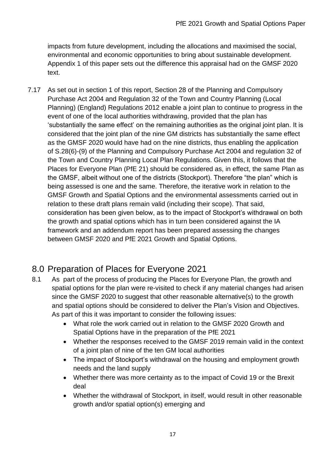impacts from future development, including the allocations and maximised the social, environmental and economic opportunities to bring about sustainable development. Appendix 1 of this paper sets out the difference this appraisal had on the GMSF 2020 text.

7.17 As set out in section 1 of this report, Section 28 of the Planning and Compulsory Purchase Act 2004 and Regulation 32 of the Town and Country Planning (Local Planning) (England) Regulations 2012 enable a joint plan to continue to progress in the event of one of the local authorities withdrawing, provided that the plan has 'substantially the same effect' on the remaining authorities as the original joint plan. It is considered that the joint plan of the nine GM districts has substantially the same effect as the GMSF 2020 would have had on the nine districts, thus enabling the application of S.28(6)-(9) of the Planning and Compulsory Purchase Act 2004 and regulation 32 of the Town and Country Planning Local Plan Regulations. Given this, it follows that the Places for Everyone Plan (PfE 21) should be considered as, in effect, the same Plan as the GMSF, albeit without one of the districts (Stockport). Therefore "the plan" which is being assessed is one and the same. Therefore, the iterative work in relation to the GMSF Growth and Spatial Options and the environmental assessments carried out in relation to these draft plans remain valid (including their scope). That said, consideration has been given below, as to the impact of Stockport's withdrawal on both the growth and spatial options which has in turn been considered against the IA framework and an addendum report has been prepared assessing the changes between GMSF 2020 and PfE 2021 Growth and Spatial Options.

## 8.0 Preparation of Places for Everyone 2021

- 8.1 As part of the process of producing the Places for Everyone Plan, the growth and spatial options for the plan were re-visited to check if any material changes had arisen since the GMSF 2020 to suggest that other reasonable alternative(s) to the growth and spatial options should be considered to deliver the Plan's Vision and Objectives. As part of this it was important to consider the following issues:
	- What role the work carried out in relation to the GMSF 2020 Growth and Spatial Options have in the preparation of the PfE 2021
	- Whether the responses received to the GMSF 2019 remain valid in the context of a joint plan of nine of the ten GM local authorities
	- The impact of Stockport's withdrawal on the housing and employment growth needs and the land supply
	- Whether there was more certainty as to the impact of Covid 19 or the Brexit deal
	- Whether the withdrawal of Stockport, in itself, would result in other reasonable growth and/or spatial option(s) emerging and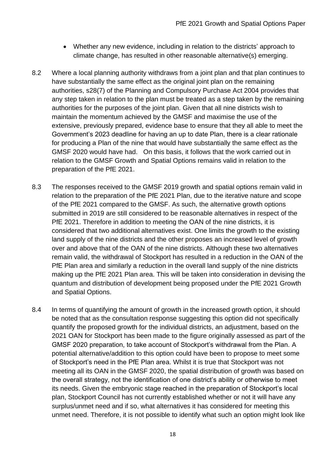- Whether any new evidence, including in relation to the districts' approach to climate change, has resulted in other reasonable alternative(s) emerging.
- 8.2 Where a local planning authority withdraws from a joint plan and that plan continues to have substantially the same effect as the original joint plan on the remaining authorities, s28(7) of the Planning and Compulsory Purchase Act 2004 provides that any step taken in relation to the plan must be treated as a step taken by the remaining authorities for the purposes of the joint plan. Given that all nine districts wish to maintain the momentum achieved by the GMSF and maximise the use of the extensive, previously prepared, evidence base to ensure that they all able to meet the Government's 2023 deadline for having an up to date Plan, there is a clear rationale for producing a Plan of the nine that would have substantially the same effect as the GMSF 2020 would have had. On this basis, it follows that the work carried out in relation to the GMSF Growth and Spatial Options remains valid in relation to the preparation of the PfE 2021.
- 8.3 The responses received to the GMSF 2019 growth and spatial options remain valid in relation to the preparation of the PfE 2021 Plan, due to the iterative nature and scope of the PfE 2021 compared to the GMSF. As such, the alternative growth options submitted in 2019 are still considered to be reasonable alternatives in respect of the PfE 2021. Therefore in addition to meeting the OAN of the nine districts, it is considered that two additional alternatives exist. One limits the growth to the existing land supply of the nine districts and the other proposes an increased level of growth over and above that of the OAN of the nine districts. Although these two alternatives remain valid, the withdrawal of Stockport has resulted in a reduction in the OAN of the PfE Plan area and similarly a reduction in the overall land supply of the nine districts making up the PfE 2021 Plan area. This will be taken into consideration in devising the quantum and distribution of development being proposed under the PfE 2021 Growth and Spatial Options.
- 8.4 In terms of quantifying the amount of growth in the increased growth option, it should be noted that as the consultation response suggesting this option did not specifically quantify the proposed growth for the individual districts, an adjustment, based on the 2021 OAN for Stockport has been made to the figure originally assessed as part of the GMSF 2020 preparation, to take account of Stockport's withdrawal from the Plan. A potential alternative/addition to this option could have been to propose to meet some of Stockport's need in the PfE Plan area. Whilst it is true that Stockport was not meeting all its OAN in the GMSF 2020, the spatial distribution of growth was based on the overall strategy, not the identification of one district's ability or otherwise to meet its needs. Given the embryonic stage reached in the preparation of Stockport's local plan, Stockport Council has not currently established whether or not it will have any surplus/unmet need and if so, what alternatives it has considered for meeting this unmet need. Therefore, it is not possible to identify what such an option might look like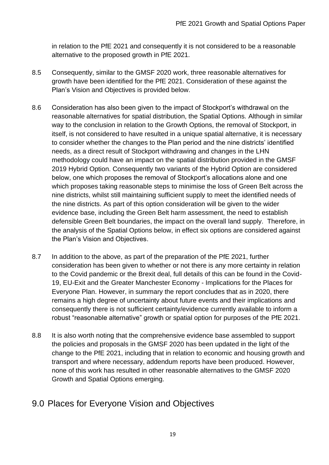in relation to the PfE 2021 and consequently it is not considered to be a reasonable alternative to the proposed growth in PfE 2021.

- 8.5 Consequently, similar to the GMSF 2020 work, three reasonable alternatives for growth have been identified for the PfE 2021. Consideration of these against the Plan's Vision and Objectives is provided below.
- 8.6 Consideration has also been given to the impact of Stockport's withdrawal on the reasonable alternatives for spatial distribution, the Spatial Options. Although in similar way to the conclusion in relation to the Growth Options, the removal of Stockport, in itself, is not considered to have resulted in a unique spatial alternative, it is necessary to consider whether the changes to the Plan period and the nine districts' identified needs, as a direct result of Stockport withdrawing and changes in the LHN methodology could have an impact on the spatial distribution provided in the GMSF 2019 Hybrid Option. Consequently two variants of the Hybrid Option are considered below, one which proposes the removal of Stockport's allocations alone and one which proposes taking reasonable steps to minimise the loss of Green Belt across the nine districts, whilst still maintaining sufficient supply to meet the identified needs of the nine districts. As part of this option consideration will be given to the wider evidence base, including the Green Belt harm assessment, the need to establish defensible Green Belt boundaries, the impact on the overall land supply. Therefore, in the analysis of the Spatial Options below, in effect six options are considered against the Plan's Vision and Objectives.
- 8.7 In addition to the above, as part of the preparation of the PfE 2021, further consideration has been given to whether or not there is any more certainty in relation to the Covid pandemic or the Brexit deal, full details of this can be found in the Covid-19, EU-Exit and the Greater Manchester Economy - Implications for the Places for Everyone Plan. However, in summary the report concludes that as in 2020, there remains a high degree of uncertainty about future events and their implications and consequently there is not sufficient certainty/evidence currently available to inform a robust "reasonable alternative" growth or spatial option for purposes of the PfE 2021.
- 8.8 It is also worth noting that the comprehensive evidence base assembled to support the policies and proposals in the GMSF 2020 has been updated in the light of the change to the PfE 2021, including that in relation to economic and housing growth and transport and where necessary, addendum reports have been produced. However, none of this work has resulted in other reasonable alternatives to the GMSF 2020 Growth and Spatial Options emerging.

## 9.0 Places for Everyone Vision and Objectives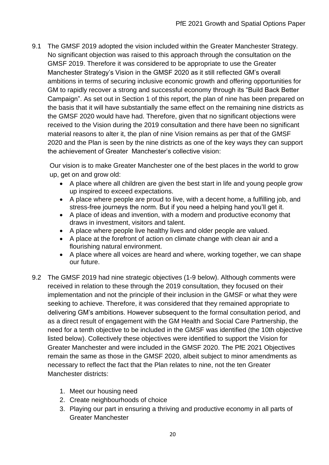9.1 The GMSF 2019 adopted the vision included within the Greater Manchester Strategy. No significant objection was raised to this approach through the consultation on the GMSF 2019. Therefore it was considered to be appropriate to use the Greater Manchester Strategy's Vision in the GMSF 2020 as it still reflected GM's overall ambitions in terms of securing inclusive economic growth and offering opportunities for GM to rapidly recover a strong and successful economy through its "Build Back Better Campaign". As set out in Section 1 of this report, the plan of nine has been prepared on the basis that it will have substantially the same effect on the remaining nine districts as the GMSF 2020 would have had. Therefore, given that no significant objections were received to the Vision during the 2019 consultation and there have been no significant material reasons to alter it, the plan of nine Vision remains as per that of the GMSF 2020 and the Plan is seen by the nine districts as one of the key ways they can support the achievement of Greater Manchester's collective vision:

Our vision is to make Greater Manchester one of the best places in the world to grow up, get on and grow old:

- A place where all children are given the best start in life and young people grow up inspired to exceed expectations.
- A place where people are proud to live, with a decent home, a fulfilling job, and stress-free journeys the norm. But if you need a helping hand you'll get it.
- A place of ideas and invention, with a modern and productive economy that draws in investment, visitors and talent.
- A place where people live healthy lives and older people are valued.
- A place at the forefront of action on climate change with clean air and a flourishing natural environment.
- A place where all voices are heard and where, working together, we can shape our future.
- 9.2 The GMSF 2019 had nine strategic objectives (1-9 below). Although comments were received in relation to these through the 2019 consultation, they focused on their implementation and not the principle of their inclusion in the GMSF or what they were seeking to achieve. Therefore, it was considered that they remained appropriate to delivering GM's ambitions. However subsequent to the formal consultation period, and as a direct result of engagement with the GM Health and Social Care Partnership, the need for a tenth objective to be included in the GMSF was identified (the 10th objective listed below). Collectively these objectives were identified to support the Vision for Greater Manchester and were included in the GMSF 2020. The PfE 2021 Objectives remain the same as those in the GMSF 2020, albeit subject to minor amendments as necessary to reflect the fact that the Plan relates to nine, not the ten Greater Manchester districts:
	- 1. Meet our housing need
	- 2. Create neighbourhoods of choice
	- 3. Playing our part in ensuring a thriving and productive economy in all parts of Greater Manchester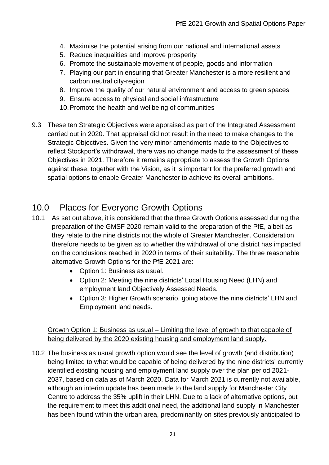- 4. Maximise the potential arising from our national and international assets
- 5. Reduce inequalities and improve prosperity
- 6. Promote the sustainable movement of people, goods and information
- 7. Playing our part in ensuring that Greater Manchester is a more resilient and carbon neutral city-region
- 8. Improve the quality of our natural environment and access to green spaces
- 9. Ensure access to physical and social infrastructure
- 10.Promote the health and wellbeing of communities
- 9.3 These ten Strategic Objectives were appraised as part of the Integrated Assessment carried out in 2020. That appraisal did not result in the need to make changes to the Strategic Objectives. Given the very minor amendments made to the Objectives to reflect Stockport's withdrawal, there was no change made to the assessment of these Objectives in 2021. Therefore it remains appropriate to assess the Growth Options against these, together with the Vision, as it is important for the preferred growth and spatial options to enable Greater Manchester to achieve its overall ambitions.

## 10.0 Places for Everyone Growth Options

- 10.1 As set out above, it is considered that the three Growth Options assessed during the preparation of the GMSF 2020 remain valid to the preparation of the PfE, albeit as they relate to the nine districts not the whole of Greater Manchester. Consideration therefore needs to be given as to whether the withdrawal of one district has impacted on the conclusions reached in 2020 in terms of their suitability. The three reasonable alternative Growth Options for the PfE 2021 are:
	- Option 1: Business as usual.
	- Option 2: Meeting the nine districts' Local Housing Need (LHN) and employment land Objectively Assessed Needs.
	- Option 3: Higher Growth scenario, going above the nine districts' LHN and Employment land needs.

Growth Option 1: Business as usual – Limiting the level of growth to that capable of being delivered by the 2020 existing housing and employment land supply.

10.2 The business as usual growth option would see the level of growth (and distribution) being limited to what would be capable of being delivered by the nine districts' currently identified existing housing and employment land supply over the plan period 2021- 2037, based on data as of March 2020. Data for March 2021 is currently not available, although an interim update has been made to the land supply for Manchester City Centre to address the 35% uplift in their LHN. Due to a lack of alternative options, but the requirement to meet this additional need, the additional land supply in Manchester has been found within the urban area, predominantly on sites previously anticipated to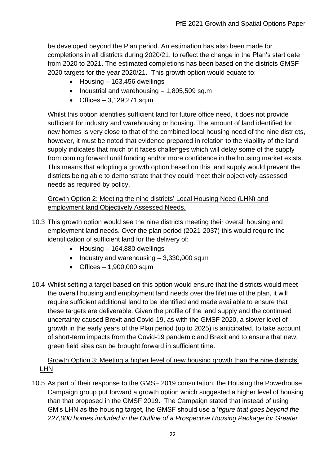be developed beyond the Plan period. An estimation has also been made for completions in all districts during 2020/21, to reflect the change in the Plan's start date from 2020 to 2021. The estimated completions has been based on the districts GMSF 2020 targets for the year 2020/21. This growth option would equate to:

- Housing 163,456 dwellings
- Industrial and warehousing 1,805,509 sq.m
- $\bullet$  Offices 3.129.271 sq.m

Whilst this option identifies sufficient land for future office need, it does not provide sufficient for industry and warehousing or housing. The amount of land identified for new homes is very close to that of the combined local housing need of the nine districts, however, it must be noted that evidence prepared in relation to the viability of the land supply indicates that much of it faces challenges which will delay some of the supply from coming forward until funding and/or more confidence in the housing market exists. This means that adopting a growth option based on this land supply would prevent the districts being able to demonstrate that they could meet their objectively assessed needs as required by policy.

#### Growth Option 2: Meeting the nine districts' Local Housing Need (LHN) and employment land Objectively Assessed Needs.

- 10.3 This growth option would see the nine districts meeting their overall housing and employment land needs. Over the plan period (2021-2037) this would require the identification of sufficient land for the delivery of:
	- Housing 164,880 dwellings
	- Industry and warehousing 3,330,000 sq.m
	- $\bullet$  Offices  $-1,900,000$  sq.m
- 10.4 Whilst setting a target based on this option would ensure that the districts would meet the overall housing and employment land needs over the lifetime of the plan, it will require sufficient additional land to be identified and made available to ensure that these targets are deliverable. Given the profile of the land supply and the continued uncertainty caused Brexit and Covid-19, as with the GMSF 2020, a slower level of growth in the early years of the Plan period (up to 2025) is anticipated, to take account of short-term impacts from the Covid-19 pandemic and Brexit and to ensure that new, green field sites can be brought forward in sufficient time.

#### Growth Option 3: Meeting a higher level of new housing growth than the nine districts' LHN

10.5 As part of their response to the GMSF 2019 consultation, the Housing the Powerhouse Campaign group put forward a growth option which suggested a higher level of housing than that proposed in the GMSF 2019. The Campaign stated that instead of using GM's LHN as the housing target, the GMSF should use a '*figure that goes beyond the 227,000 homes included in the Outline of a Prospective Housing Package for Greater*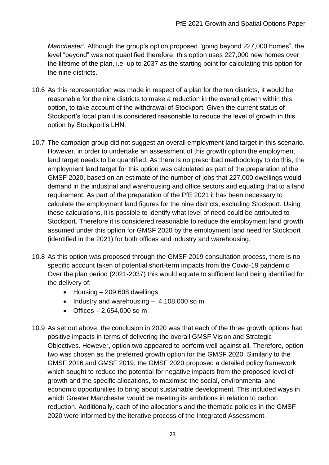*Manchester'*. Although the group's option proposed "going beyond 227,000 homes", the level "beyond" was not quantified therefore, this option uses 227,000 new homes over the lifetime of the plan, i.e. up to 2037 as the starting point for calculating this option for the nine districts.

- 10.6 As this representation was made in respect of a plan for the ten districts, it would be reasonable for the nine districts to make a reduction in the overall growth within this option, to take account of the withdrawal of Stockport. Given the current status of Stockport's local plan it is considered reasonable to reduce the level of growth in this option by Stockport's LHN.
- 10.7 The campaign group did not suggest an overall employment land target in this scenario. However, in order to undertake an assessment of this growth option the employment land target needs to be quantified. As there is no prescribed methodology to do this, the employment land target for this option was calculated as part of the preparation of the GMSF 2020, based on an estimate of the number of jobs that 227,000 dwellings would demand in the industrial and warehousing and office sectors and equating that to a land requirement. As part of the preparation of the PfE 2021 it has been necessary to calculate the employment land figures for the nine districts, excluding Stockport. Using these calculations, it is possible to identify what level of need could be attributed to Stockport. Therefore it is considered reasonable to reduce the employment land growth assumed under this option for GMSF 2020 by the employment land need for Stockport (identified in the 2021) for both offices and industry and warehousing.
- 10.8 As this option was proposed through the GMSF 2019 consultation process, there is no specific account taken of potential short-term impacts from the Covid-19 pandemic. Over the plan period (2021-2037) this would equate to sufficient land being identified for the delivery of:
	- Housing 209,608 dwellings
	- Industry and warehousing  $-4,108,000$  sq m
	- $\bullet$  Offices 2,654,000 sq m
- 10.9 As set out above, the conclusion in 2020 was that each of the three growth options had positive impacts in terms of delivering the overall GMSF Vision and Strategic Objectives. However, option two appeared to perform well against all. Therefore, option two was chosen as the preferred growth option for the GMSF 2020. Similarly to the GMSF 2016 and GMSF 2019, the GMSF 2020 proposed a detailed policy framework which sought to reduce the potential for negative impacts from the proposed level of growth and the specific allocations, to maximise the social, environmental and economic opportunities to bring about sustainable development. This included ways in which Greater Manchester would be meeting its ambitions in relation to carbon reduction. Additionally, each of the allocations and the thematic policies in the GMSF 2020 were informed by the iterative process of the Integrated Assessment.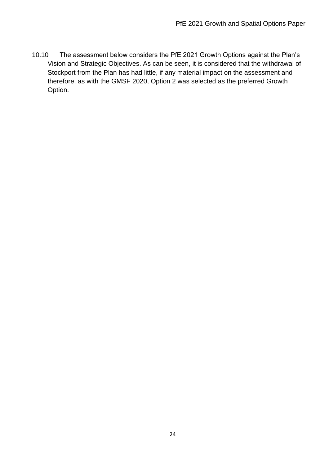10.10 The assessment below considers the PfE 2021 Growth Options against the Plan's Vision and Strategic Objectives. As can be seen, it is considered that the withdrawal of Stockport from the Plan has had little, if any material impact on the assessment and therefore, as with the GMSF 2020, Option 2 was selected as the preferred Growth Option.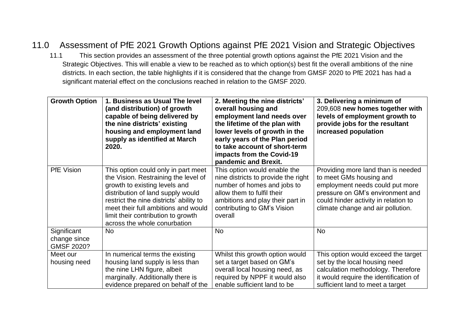## 11.0 Assessment of PfE 2021 Growth Options against PfE 2021 Vision and Strategic Objectives

11.1 This section provides an assessment of the three potential growth options against the PfE 2021 Vision and the Strategic Objectives. This will enable a view to be reached as to which option(s) best fit the overall ambitions of the nine districts. In each section, the table highlights if it is considered that the change from GMSF 2020 to PfE 2021 has had a significant material effect on the conclusions reached in relation to the GMSF 2020.

| <b>Growth Option</b>                      | 1. Business as Usual The level<br>(and distribution) of growth<br>capable of being delivered by<br>the nine districts' existing<br>housing and employment land<br>supply as identified at March<br>2020.                                                                                                  | 2. Meeting the nine districts'<br>overall housing and<br>employment land needs over<br>the lifetime of the plan with<br>lower levels of growth in the<br>early years of the Plan period<br>to take account of short-term<br>impacts from the Covid-19<br>pandemic and Brexit. | 3. Delivering a minimum of<br>209,608 new homes together with<br>levels of employment growth to<br>provide jobs for the resultant<br>increased population                                                         |
|-------------------------------------------|-----------------------------------------------------------------------------------------------------------------------------------------------------------------------------------------------------------------------------------------------------------------------------------------------------------|-------------------------------------------------------------------------------------------------------------------------------------------------------------------------------------------------------------------------------------------------------------------------------|-------------------------------------------------------------------------------------------------------------------------------------------------------------------------------------------------------------------|
| PfE Vision                                | This option could only in part meet<br>the Vision. Restraining the level of<br>growth to existing levels and<br>distribution of land supply would<br>restrict the nine districts' ability to<br>meet their full ambitions and would<br>limit their contribution to growth<br>across the whole conurbation | This option would enable the<br>nine districts to provide the right<br>number of homes and jobs to<br>allow them to fulfil their<br>ambitions and play their part in<br>contributing to GM's Vision<br>overall                                                                | Providing more land than is needed<br>to meet GMs housing and<br>employment needs could put more<br>pressure on GM's environment and<br>could hinder activity in relation to<br>climate change and air pollution. |
| Significant<br>change since<br>GMSF 2020? | <b>No</b>                                                                                                                                                                                                                                                                                                 | <b>No</b>                                                                                                                                                                                                                                                                     | No                                                                                                                                                                                                                |
| Meet our<br>housing need                  | In numerical terms the existing<br>housing land supply is less than<br>the nine LHN figure, albeit<br>marginally. Additionally there is<br>evidence prepared on behalf of the                                                                                                                             | Whilst this growth option would<br>set a target based on GM's<br>overall local housing need, as<br>required by NPPF it would also<br>enable sufficient land to be                                                                                                             | This option would exceed the target<br>set by the local housing need<br>calculation methodology. Therefore<br>it would require the identification of<br>sufficient land to meet a target                          |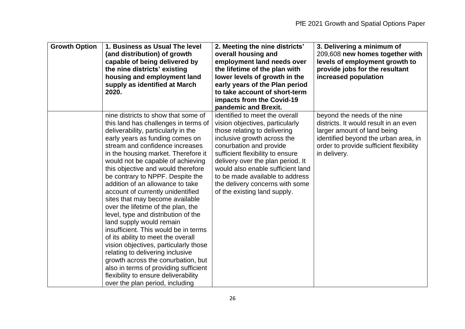| <b>Growth Option</b> | 1. Business as Usual The level<br>(and distribution) of growth<br>capable of being delivered by<br>the nine districts' existing<br>housing and employment land<br>supply as identified at March<br>2020.                                                                                                                                                                                                                                                                                                                                                                                                                                                                                                                                                                                                                                                                                 | 2. Meeting the nine districts'<br>overall housing and<br>employment land needs over<br>the lifetime of the plan with<br>lower levels of growth in the<br>early years of the Plan period<br>to take account of short-term<br>impacts from the Covid-19<br>pandemic and Brexit.                                                                                                   | 3. Delivering a minimum of<br>209,608 new homes together with<br>levels of employment growth to<br>provide jobs for the resultant<br>increased population                                               |
|----------------------|------------------------------------------------------------------------------------------------------------------------------------------------------------------------------------------------------------------------------------------------------------------------------------------------------------------------------------------------------------------------------------------------------------------------------------------------------------------------------------------------------------------------------------------------------------------------------------------------------------------------------------------------------------------------------------------------------------------------------------------------------------------------------------------------------------------------------------------------------------------------------------------|---------------------------------------------------------------------------------------------------------------------------------------------------------------------------------------------------------------------------------------------------------------------------------------------------------------------------------------------------------------------------------|---------------------------------------------------------------------------------------------------------------------------------------------------------------------------------------------------------|
|                      | nine districts to show that some of<br>this land has challenges in terms of<br>deliverability, particularly in the<br>early years as funding comes on<br>stream and confidence increases<br>in the housing market. Therefore it<br>would not be capable of achieving<br>this objective and would therefore<br>be contrary to NPPF. Despite the<br>addition of an allowance to take<br>account of currently unidentified<br>sites that may become available<br>over the lifetime of the plan, the<br>level, type and distribution of the<br>land supply would remain<br>insufficient. This would be in terms<br>of its ability to meet the overall<br>vision objectives, particularly those<br>relating to delivering inclusive<br>growth across the conurbation, but<br>also in terms of providing sufficient<br>flexibility to ensure deliverability<br>over the plan period, including | identified to meet the overall<br>vision objectives, particularly<br>those relating to delivering<br>inclusive growth across the<br>conurbation and provide<br>sufficient flexibility to ensure<br>delivery over the plan period. It<br>would also enable sufficient land<br>to be made available to address<br>the delivery concerns with some<br>of the existing land supply. | beyond the needs of the nine<br>districts. It would result in an even<br>larger amount of land being<br>identified beyond the urban area, in<br>order to provide sufficient flexibility<br>in delivery. |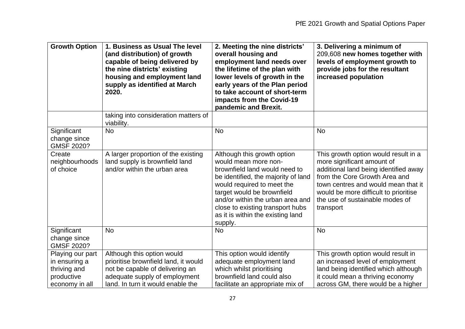| <b>Growth Option</b>                                                              | 1. Business as Usual The level<br>(and distribution) of growth<br>capable of being delivered by<br>the nine districts' existing<br>housing and employment land<br>supply as identified at March<br>2020. | 2. Meeting the nine districts'<br>overall housing and<br>employment land needs over<br>the lifetime of the plan with<br>lower levels of growth in the<br>early years of the Plan period<br>to take account of short-term<br>impacts from the Covid-19<br>pandemic and Brexit.                                   | 3. Delivering a minimum of<br>209,608 new homes together with<br>levels of employment growth to<br>provide jobs for the resultant<br>increased population                                                                                                                    |
|-----------------------------------------------------------------------------------|----------------------------------------------------------------------------------------------------------------------------------------------------------------------------------------------------------|-----------------------------------------------------------------------------------------------------------------------------------------------------------------------------------------------------------------------------------------------------------------------------------------------------------------|------------------------------------------------------------------------------------------------------------------------------------------------------------------------------------------------------------------------------------------------------------------------------|
|                                                                                   | taking into consideration matters of<br>viability.                                                                                                                                                       |                                                                                                                                                                                                                                                                                                                 |                                                                                                                                                                                                                                                                              |
| Significant<br>change since<br>GMSF 2020?                                         | <b>No</b>                                                                                                                                                                                                | <b>No</b>                                                                                                                                                                                                                                                                                                       | <b>No</b>                                                                                                                                                                                                                                                                    |
| Create<br>neighbourhoods<br>of choice                                             | A larger proportion of the existing<br>land supply is brownfield land<br>and/or within the urban area                                                                                                    | Although this growth option<br>would mean more non-<br>brownfield land would need to<br>be identified, the majority of land<br>would required to meet the<br>target would be brownfield<br>and/or within the urban area and<br>close to existing transport hubs<br>as it is within the existing land<br>supply. | This growth option would result in a<br>more significant amount of<br>additional land being identified away<br>from the Core Growth Area and<br>town centres and would mean that it<br>would be more difficult to prioritise<br>the use of sustainable modes of<br>transport |
| Significant<br>change since<br>GMSF 2020?                                         | No                                                                                                                                                                                                       | No                                                                                                                                                                                                                                                                                                              | <b>No</b>                                                                                                                                                                                                                                                                    |
| Playing our part<br>in ensuring a<br>thriving and<br>productive<br>economy in all | Although this option would<br>prioritise brownfield land, it would<br>not be capable of delivering an<br>adequate supply of employment<br>land. In turn it would enable the                              | This option would identify<br>adequate employment land<br>which whilst prioritising<br>brownfield land could also<br>facilitate an appropriate mix of                                                                                                                                                           | This growth option would result in<br>an increased level of employment<br>land being identified which although<br>it could mean a thriving economy<br>across GM, there would be a higher                                                                                     |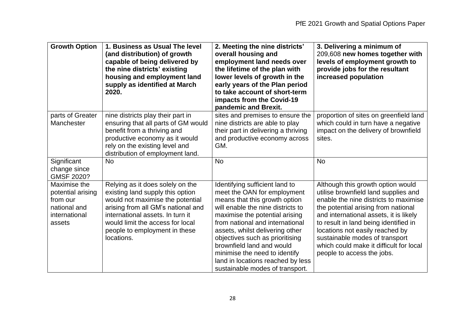| <b>Growth Option</b>                                                                     | 1. Business as Usual The level<br>(and distribution) of growth<br>capable of being delivered by<br>the nine districts' existing<br>housing and employment land<br>supply as identified at March<br>2020.                                                              | 2. Meeting the nine districts'<br>overall housing and<br>employment land needs over<br>the lifetime of the plan with<br>lower levels of growth in the<br>early years of the Plan period<br>to take account of short-term<br>impacts from the Covid-19<br>pandemic and Brexit.                                                                                                                                        | 3. Delivering a minimum of<br>209,608 new homes together with<br>levels of employment growth to<br>provide jobs for the resultant<br>increased population                                                                                                                                                                                                                                  |
|------------------------------------------------------------------------------------------|-----------------------------------------------------------------------------------------------------------------------------------------------------------------------------------------------------------------------------------------------------------------------|----------------------------------------------------------------------------------------------------------------------------------------------------------------------------------------------------------------------------------------------------------------------------------------------------------------------------------------------------------------------------------------------------------------------|--------------------------------------------------------------------------------------------------------------------------------------------------------------------------------------------------------------------------------------------------------------------------------------------------------------------------------------------------------------------------------------------|
| parts of Greater<br>Manchester                                                           | nine districts play their part in<br>ensuring that all parts of GM would<br>benefit from a thriving and<br>productive economy as it would<br>rely on the existing level and<br>distribution of employment land.                                                       | sites and premises to ensure the<br>nine districts are able to play<br>their part in delivering a thriving<br>and productive economy across<br>GM.                                                                                                                                                                                                                                                                   | proportion of sites on greenfield land<br>which could in turn have a negative<br>impact on the delivery of brownfield<br>sites.                                                                                                                                                                                                                                                            |
| Significant<br>change since<br>GMSF 2020?                                                | <b>No</b>                                                                                                                                                                                                                                                             | <b>No</b>                                                                                                                                                                                                                                                                                                                                                                                                            | <b>No</b>                                                                                                                                                                                                                                                                                                                                                                                  |
| Maximise the<br>potential arising<br>from our<br>national and<br>international<br>assets | Relying as it does solely on the<br>existing land supply this option<br>would not maximise the potential<br>arising from all GM's national and<br>international assets. In turn it<br>would limit the access for local<br>people to employment in these<br>locations. | Identifying sufficient land to<br>meet the OAN for employment<br>means that this growth option<br>will enable the nine districts to<br>maximise the potential arising<br>from national and international<br>assets, whilst delivering other<br>objectives such as prioritising<br>brownfield land and would<br>minimise the need to identify<br>land in locations reached by less<br>sustainable modes of transport. | Although this growth option would<br>utilise brownfield land supplies and<br>enable the nine districts to maximise<br>the potential arising from national<br>and international assets, it is likely<br>to result in land being identified in<br>locations not easily reached by<br>sustainable modes of transport<br>which could make it difficult for local<br>people to access the jobs. |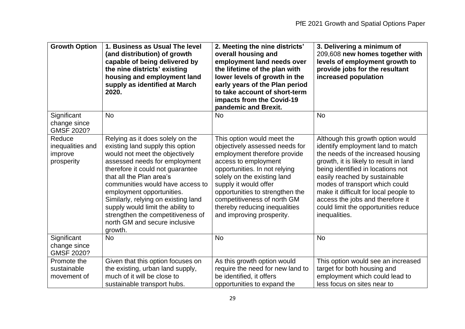| <b>Growth Option</b>                                | 1. Business as Usual The level<br>(and distribution) of growth<br>capable of being delivered by<br>the nine districts' existing<br>housing and employment land<br>supply as identified at March<br>2020.                                                                                                                                                                                                                              | 2. Meeting the nine districts'<br>overall housing and<br>employment land needs over<br>the lifetime of the plan with<br>lower levels of growth in the<br>early years of the Plan period<br>to take account of short-term<br>impacts from the Covid-19<br>pandemic and Brexit.                                                                 | 3. Delivering a minimum of<br>209,608 new homes together with<br>levels of employment growth to<br>provide jobs for the resultant<br>increased population                                                                                                                                                                                                                                            |
|-----------------------------------------------------|---------------------------------------------------------------------------------------------------------------------------------------------------------------------------------------------------------------------------------------------------------------------------------------------------------------------------------------------------------------------------------------------------------------------------------------|-----------------------------------------------------------------------------------------------------------------------------------------------------------------------------------------------------------------------------------------------------------------------------------------------------------------------------------------------|------------------------------------------------------------------------------------------------------------------------------------------------------------------------------------------------------------------------------------------------------------------------------------------------------------------------------------------------------------------------------------------------------|
| Significant<br>change since<br>GMSF 2020?           | <b>No</b>                                                                                                                                                                                                                                                                                                                                                                                                                             | <b>No</b>                                                                                                                                                                                                                                                                                                                                     | <b>No</b>                                                                                                                                                                                                                                                                                                                                                                                            |
| Reduce<br>inequalities and<br>improve<br>prosperity | Relying as it does solely on the<br>existing land supply this option<br>would not meet the objectively<br>assessed needs for employment<br>therefore it could not quarantee<br>that all the Plan area's<br>communities would have access to<br>employment opportunities.<br>Similarly, relying on existing land<br>supply would limit the ability to<br>strengthen the competitiveness of<br>north GM and secure inclusive<br>growth. | This option would meet the<br>objectively assessed needs for<br>employment therefore provide<br>access to employment<br>opportunities. In not relying<br>solely on the existing land<br>supply it would offer<br>opportunities to strengthen the<br>competitiveness of north GM<br>thereby reducing inequalities<br>and improving prosperity. | Although this growth option would<br>identify employment land to match<br>the needs of the increased housing<br>growth, it is likely to result in land<br>being identified in locations not<br>easily reached by sustainable<br>modes of transport which could<br>make it difficult for local people to<br>access the jobs and therefore it<br>could limit the opportunities reduce<br>inequalities. |
| Significant<br>change since<br><b>GMSF 2020?</b>    | <b>No</b>                                                                                                                                                                                                                                                                                                                                                                                                                             | <b>No</b>                                                                                                                                                                                                                                                                                                                                     | <b>No</b>                                                                                                                                                                                                                                                                                                                                                                                            |
| Promote the<br>sustainable<br>movement of           | Given that this option focuses on<br>the existing, urban land supply,<br>much of it will be close to<br>sustainable transport hubs.                                                                                                                                                                                                                                                                                                   | As this growth option would<br>require the need for new land to<br>be identified, it offers<br>opportunities to expand the                                                                                                                                                                                                                    | This option would see an increased<br>target for both housing and<br>employment which could lead to<br>less focus on sites near to                                                                                                                                                                                                                                                                   |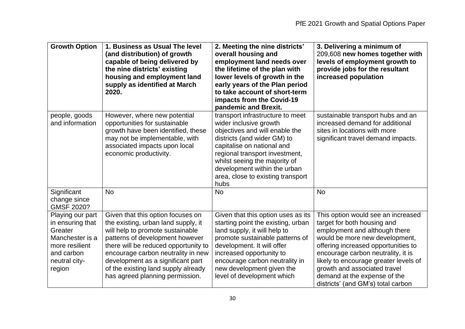| <b>Growth Option</b>                                                                                                          | 1. Business as Usual The level<br>(and distribution) of growth<br>capable of being delivered by<br>the nine districts' existing<br>housing and employment land<br>supply as identified at March<br>2020.                                                                                                                                     | 2. Meeting the nine districts'<br>overall housing and<br>employment land needs over<br>the lifetime of the plan with<br>lower levels of growth in the<br>early years of the Plan period<br>to take account of short-term<br>impacts from the Covid-19<br>pandemic and Brexit.                             | 3. Delivering a minimum of<br>209,608 new homes together with<br>levels of employment growth to<br>provide jobs for the resultant<br>increased population                                                                                                                                                                                                        |
|-------------------------------------------------------------------------------------------------------------------------------|----------------------------------------------------------------------------------------------------------------------------------------------------------------------------------------------------------------------------------------------------------------------------------------------------------------------------------------------|-----------------------------------------------------------------------------------------------------------------------------------------------------------------------------------------------------------------------------------------------------------------------------------------------------------|------------------------------------------------------------------------------------------------------------------------------------------------------------------------------------------------------------------------------------------------------------------------------------------------------------------------------------------------------------------|
| people, goods<br>and information                                                                                              | However, where new potential<br>opportunities for sustainable<br>growth have been identified, these<br>may not be implementable, with<br>associated impacts upon local<br>economic productivity.                                                                                                                                             | transport infrastructure to meet<br>wider inclusive growth<br>objectives and will enable the<br>districts (and wider GM) to<br>capitalise on national and<br>regional transport investment,<br>whilst seeing the majority of<br>development within the urban<br>area, close to existing transport<br>hubs | sustainable transport hubs and an<br>increased demand for additional<br>sites in locations with more<br>significant travel demand impacts.                                                                                                                                                                                                                       |
| Significant<br>change since<br>GMSF 2020?                                                                                     | <b>No</b>                                                                                                                                                                                                                                                                                                                                    | <b>No</b>                                                                                                                                                                                                                                                                                                 | <b>No</b>                                                                                                                                                                                                                                                                                                                                                        |
| Playing our part<br>in ensuring that<br>Greater<br>Manchester is a<br>more resilient<br>and carbon<br>neutral city-<br>region | Given that this option focuses on<br>the existing, urban land supply, it<br>will help to promote sustainable<br>patterns of development however<br>there will be reduced opportunity to<br>encourage carbon neutrality in new<br>development as a significant part<br>of the existing land supply already<br>has agreed planning permission. | Given that this option uses as its<br>starting point the existing, urban<br>land supply, it will help to<br>promote sustainable patterns of<br>development. It will offer<br>increased opportunity to<br>encourage carbon neutrality in<br>new development given the<br>level of development which        | This option would see an increased<br>target for both housing and<br>employment and although there<br>would be more new development,<br>offering increased opportunities to<br>encourage carbon neutrality, it is<br>likely to encourage greater levels of<br>growth and associated travel<br>demand at the expense of the<br>districts' (and GM's) total carbon |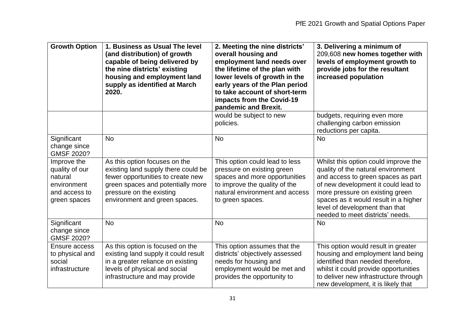| <b>Growth Option</b>                                                                     | 1. Business as Usual The level<br>(and distribution) of growth<br>capable of being delivered by<br>the nine districts' existing<br>housing and employment land<br>supply as identified at March<br>2020.    | 2. Meeting the nine districts'<br>overall housing and<br>employment land needs over<br>the lifetime of the plan with<br>lower levels of growth in the<br>early years of the Plan period<br>to take account of short-term<br>impacts from the Covid-19<br>pandemic and Brexit. | 3. Delivering a minimum of<br>209,608 new homes together with<br>levels of employment growth to<br>provide jobs for the resultant<br>increased population                                                                                                                                                 |
|------------------------------------------------------------------------------------------|-------------------------------------------------------------------------------------------------------------------------------------------------------------------------------------------------------------|-------------------------------------------------------------------------------------------------------------------------------------------------------------------------------------------------------------------------------------------------------------------------------|-----------------------------------------------------------------------------------------------------------------------------------------------------------------------------------------------------------------------------------------------------------------------------------------------------------|
|                                                                                          |                                                                                                                                                                                                             | would be subject to new<br>policies.                                                                                                                                                                                                                                          | budgets, requiring even more<br>challenging carbon emission<br>reductions per capita.                                                                                                                                                                                                                     |
| Significant<br>change since<br>GMSF 2020?                                                | <b>No</b>                                                                                                                                                                                                   | <b>No</b>                                                                                                                                                                                                                                                                     | <b>No</b>                                                                                                                                                                                                                                                                                                 |
| Improve the<br>quality of our<br>natural<br>environment<br>and access to<br>green spaces | As this option focuses on the<br>existing land supply there could be<br>fewer opportunities to create new<br>green spaces and potentially more<br>pressure on the existing<br>environment and green spaces. | This option could lead to less<br>pressure on existing green<br>spaces and more opportunities<br>to improve the quality of the<br>natural environment and access<br>to green spaces.                                                                                          | Whilst this option could improve the<br>quality of the natural environment<br>and access to green spaces as part<br>of new development it could lead to<br>more pressure on existing green<br>spaces as it would result in a higher<br>level of development than that<br>needed to meet districts' needs. |
| Significant<br>change since<br><b>GMSF 2020?</b>                                         | <b>No</b>                                                                                                                                                                                                   | <b>No</b>                                                                                                                                                                                                                                                                     | <b>No</b>                                                                                                                                                                                                                                                                                                 |
| Ensure access<br>to physical and<br>social<br>infrastructure                             | As this option is focused on the<br>existing land supply it could result<br>in a greater reliance on existing<br>levels of physical and social<br>infrastructure and may provide                            | This option assumes that the<br>districts' objectively assessed<br>needs for housing and<br>employment would be met and<br>provides the opportunity to                                                                                                                        | This option would result in greater<br>housing and employment land being<br>identified than needed therefore,<br>whilst it could provide opportunities<br>to deliver new infrastructure through<br>new development, it is likely that                                                                     |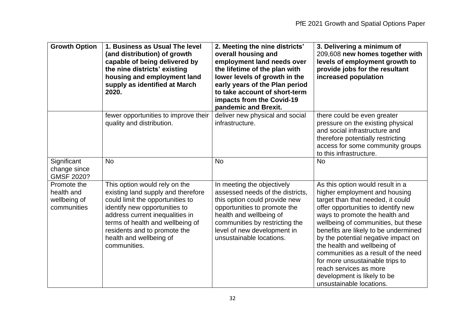| <b>Growth Option</b>                                     | 1. Business as Usual The level<br>(and distribution) of growth<br>capable of being delivered by<br>the nine districts' existing<br>housing and employment land<br>supply as identified at March<br>2020.                                                                                   | 2. Meeting the nine districts'<br>overall housing and<br>employment land needs over<br>the lifetime of the plan with<br>lower levels of growth in the<br>early years of the Plan period<br>to take account of short-term<br>impacts from the Covid-19<br>pandemic and Brexit. | 3. Delivering a minimum of<br>209,608 new homes together with<br>levels of employment growth to<br>provide jobs for the resultant<br>increased population                                                                                                                                                                                                                                                                                                                                           |
|----------------------------------------------------------|--------------------------------------------------------------------------------------------------------------------------------------------------------------------------------------------------------------------------------------------------------------------------------------------|-------------------------------------------------------------------------------------------------------------------------------------------------------------------------------------------------------------------------------------------------------------------------------|-----------------------------------------------------------------------------------------------------------------------------------------------------------------------------------------------------------------------------------------------------------------------------------------------------------------------------------------------------------------------------------------------------------------------------------------------------------------------------------------------------|
|                                                          | fewer opportunities to improve their<br>quality and distribution.                                                                                                                                                                                                                          | deliver new physical and social<br>infrastructure.                                                                                                                                                                                                                            | there could be even greater<br>pressure on the existing physical<br>and social infrastructure and<br>therefore potentially restricting<br>access for some community groups<br>to this infrastructure.                                                                                                                                                                                                                                                                                               |
| Significant<br>change since<br>GMSF 2020?                | <b>No</b>                                                                                                                                                                                                                                                                                  | <b>No</b>                                                                                                                                                                                                                                                                     | <b>No</b>                                                                                                                                                                                                                                                                                                                                                                                                                                                                                           |
| Promote the<br>health and<br>wellbeing of<br>communities | This option would rely on the<br>existing land supply and therefore<br>could limit the opportunities to<br>identify new opportunities to<br>address current inequalities in<br>terms of health and wellbeing of<br>residents and to promote the<br>health and wellbeing of<br>communities. | In meeting the objectively<br>assessed needs of the districts,<br>this option could provide new<br>opportunities to promote the<br>health and wellbeing of<br>communities by restricting the<br>level of new development in<br>unsustainable locations.                       | As this option would result in a<br>higher employment and housing<br>target than that needed, it could<br>offer opportunities to identify new<br>ways to promote the health and<br>wellbeing of communities, but these<br>benefits are likely to be undermined<br>by the potential negative impact on<br>the health and wellbeing of<br>communities as a result of the need<br>for more unsustainable trips to<br>reach services as more<br>development is likely to be<br>unsustainable locations. |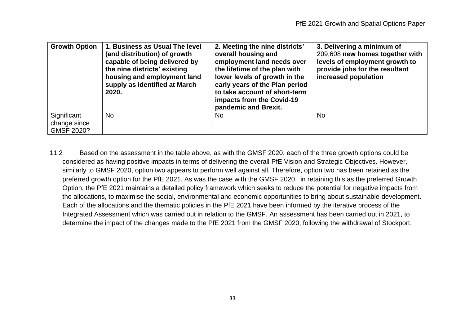| <b>Growth Option</b>                      | 1. Business as Usual The level<br>(and distribution) of growth<br>capable of being delivered by<br>the nine districts' existing<br>housing and employment land<br>supply as identified at March<br>2020. | 2. Meeting the nine districts'<br>overall housing and<br>employment land needs over<br>the lifetime of the plan with<br>lower levels of growth in the<br>early years of the Plan period<br>to take account of short-term<br>impacts from the Covid-19<br>pandemic and Brexit. | 3. Delivering a minimum of<br>209,608 new homes together with<br>levels of employment growth to<br>provide jobs for the resultant<br>increased population |
|-------------------------------------------|----------------------------------------------------------------------------------------------------------------------------------------------------------------------------------------------------------|-------------------------------------------------------------------------------------------------------------------------------------------------------------------------------------------------------------------------------------------------------------------------------|-----------------------------------------------------------------------------------------------------------------------------------------------------------|
| Significant<br>change since<br>GMSF 2020? | <b>No</b>                                                                                                                                                                                                | No.                                                                                                                                                                                                                                                                           | No                                                                                                                                                        |

11.2 Based on the assessment in the table above, as with the GMSF 2020, each of the three growth options could be considered as having positive impacts in terms of delivering the overall PfE Vision and Strategic Objectives. However, similarly to GMSF 2020, option two appears to perform well against all. Therefore, option two has been retained as the preferred growth option for the PfE 2021. As was the case with the GMSF 2020, in retaining this as the preferred Growth Option, the PfE 2021 maintains a detailed policy framework which seeks to reduce the potential for negative impacts from the allocations, to maximise the social, environmental and economic opportunities to bring about sustainable development. Each of the allocations and the thematic policies in the PfE 2021 have been informed by the iterative process of the Integrated Assessment which was carried out in relation to the GMSF. An assessment has been carried out in 2021, to determine the impact of the changes made to the PfE 2021 from the GMSF 2020, following the withdrawal of Stockport.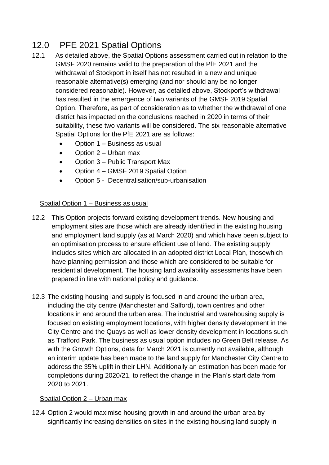## 12.0 PFE 2021 Spatial Options

- 12.1 As detailed above, the Spatial Options assessment carried out in relation to the GMSF 2020 remains valid to the preparation of the PfE 2021 and the withdrawal of Stockport in itself has not resulted in a new and unique reasonable alternative(s) emerging (and nor should any be no longer considered reasonable). However, as detailed above, Stockport's withdrawal has resulted in the emergence of two variants of the GMSF 2019 Spatial Option. Therefore, as part of consideration as to whether the withdrawal of one district has impacted on the conclusions reached in 2020 in terms of their suitability, these two variants will be considered. The six reasonable alternative Spatial Options for the PfE 2021 are as follows:
	- Option 1 Business as usual
	- Option 2 Urban max
	- Option 3 Public Transport Max
	- Option 4 GMSF 2019 Spatial Option
	- Option 5 Decentralisation/sub-urbanisation

#### Spatial Option 1 – Business as usual

- 12.2 This Option projects forward existing development trends. New housing and employment sites are those which are already identified in the existing housing and employment land supply (as at March 2020) and which have been subject to an optimisation process to ensure efficient use of land. The existing supply includes sites which are allocated in an adopted district Local Plan, thosewhich have planning permission and those which are considered to be suitable for residential development. The housing land availability assessments have been prepared in line with national policy and guidance.
- 12.3 The existing housing land supply is focused in and around the urban area, including the city centre (Manchester and Salford), town centres and other locations in and around the urban area. The industrial and warehousing supply is focused on existing employment locations, with higher density development in the City Centre and the Quays as well as lower density development in locations such as Trafford Park. The business as usual option includes no Green Belt release. As with the Growth Options, data for March 2021 is currently not available, although an interim update has been made to the land supply for Manchester City Centre to address the 35% uplift in their LHN. Additionally an estimation has been made for completions during 2020/21, to reflect the change in the Plan's start date from 2020 to 2021.

#### Spatial Option 2 – Urban max

12.4 Option 2 would maximise housing growth in and around the urban area by significantly increasing densities on sites in the existing housing land supply in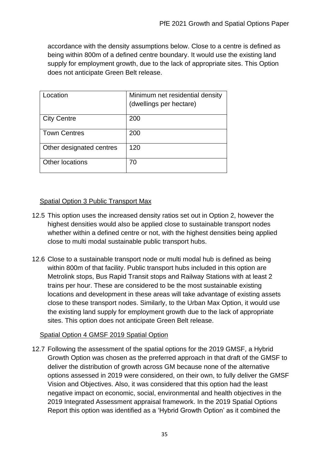accordance with the density assumptions below. Close to a centre is defined as being within 800m of a defined centre boundary. It would use the existing land supply for employment growth, due to the lack of appropriate sites. This Option does not anticipate Green Belt release.

| .ocation                 | Minimum net residential density<br>(dwellings per hectare) |
|--------------------------|------------------------------------------------------------|
| <b>City Centre</b>       | 200                                                        |
| <b>Town Centres</b>      | 200                                                        |
| Other designated centres | 120                                                        |
| <b>Other locations</b>   | 70                                                         |

### Spatial Option 3 Public Transport Max

- 12.5 This option uses the increased density ratios set out in Option 2, however the highest densities would also be applied close to sustainable transport nodes whether within a defined centre or not, with the highest densities being applied close to multi modal sustainable public transport hubs.
- 12.6 Close to a sustainable transport node or multi modal hub is defined as being within 800m of that facility. Public transport hubs included in this option are Metrolink stops, Bus Rapid Transit stops and Railway Stations with at least 2 trains per hour. These are considered to be the most sustainable existing locations and development in these areas will take advantage of existing assets close to these transport nodes. Similarly, to the Urban Max Option, it would use the existing land supply for employment growth due to the lack of appropriate sites. This option does not anticipate Green Belt release.

### Spatial Option 4 GMSF 2019 Spatial Option

12.7 Following the assessment of the spatial options for the 2019 GMSF, a Hybrid Growth Option was chosen as the preferred approach in that draft of the GMSF to deliver the distribution of growth across GM because none of the alternative options assessed in 2019 were considered, on their own, to fully deliver the GMSF Vision and Objectives. Also, it was considered that this option had the least negative impact on economic, social, environmental and health objectives in the 2019 Integrated Assessment appraisal framework. In the 2019 Spatial Options Report this option was identified as a 'Hybrid Growth Option' as it combined the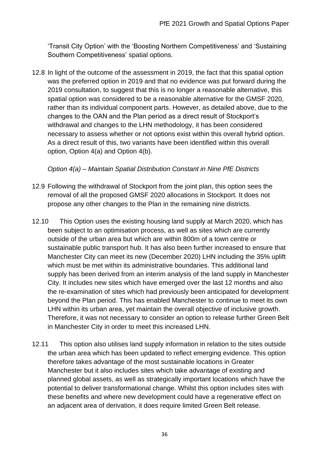'Transit City Option' with the 'Boosting Northern Competitiveness' and 'Sustaining Southern Competitiveness' spatial options.

12.8 In light of the outcome of the assessment in 2019, the fact that this spatial option was the preferred option in 2019 and that no evidence was put forward during the 2019 consultation, to suggest that this is no longer a reasonable alternative, this spatial option was considered to be a reasonable alternative for the GMSF 2020, rather than its individual component parts. However, as detailed above, due to the changes to the OAN and the Plan period as a direct result of Stockport's withdrawal and changes to the LHN methodology, it has been considered necessary to assess whether or not options exist within this overall hybrid option. As a direct result of this, two variants have been identified within this overall option, Option 4(a) and Option 4(b).

### *Option 4(a) – Maintain Spatial Distribution Constant in Nine PfE Districts*

- 12.9 Following the withdrawal of Stockport from the joint plan, this option sees the removal of all the proposed GMSF 2020 allocations in Stockport. It does not propose any other changes to the Plan in the remaining nine districts.
- 12.10 This Option uses the existing housing land supply at March 2020, which has been subject to an optimisation process, as well as sites which are currently outside of the urban area but which are within 800m of a town centre or sustainable public transport hub. It has also been further increased to ensure that Manchester City can meet its new (December 2020) LHN including the 35% uplift which must be met within its administrative boundaries. This additional land supply has been derived from an interim analysis of the land supply in Manchester City. It includes new sites which have emerged over the last 12 months and also the re-examination of sites which had previously been anticipated for development beyond the Plan period. This has enabled Manchester to continue to meet its own LHN within its urban area, yet maintain the overall objective of inclusive growth. Therefore, it was not necessary to consider an option to release further Green Belt in Manchester City in order to meet this increased LHN.
- 12.11 This option also utilises land supply information in relation to the sites outside the urban area which has been updated to reflect emerging evidence. This option therefore takes advantage of the most sustainable locations in Greater Manchester but it also includes sites which take advantage of existing and planned global assets, as well as strategically important locations which have the potential to deliver transformational change. Whilst this option includes sites with these benefits and where new development could have a regenerative effect on an adjacent area of derivation, it does require limited Green Belt release.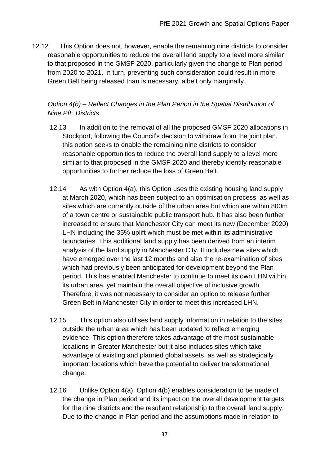12.12 This Option does not, however, enable the remaining nine districts to consider reasonable opportunities to reduce the overall land supply to a level more similar to that proposed in the GMSF 2020, particularly given the change to Plan period from 2020 to 2021. In turn, preventing such consideration could result in more Green Belt being released than is necessary, albeit only marginally.

### *Option 4(b) – Reflect Changes in the Plan Period in the Spatial Distribution of Nine PfE Districts*

- 12.13 In addition to the removal of all the proposed GMSF 2020 allocations in Stockport, following the Council's decision to withdraw from the joint plan, this option seeks to enable the remaining nine districts to consider reasonable opportunities to reduce the overall land supply to a level more similar to that proposed in the GMSF 2020 and thereby identify reasonable opportunities to further reduce the loss of Green Belt.
- 12.14 As with Option 4(a), this Option uses the existing housing land supply at March 2020, which has been subject to an optimisation process, as well as sites which are currently outside of the urban area but which are within 800m of a town centre or sustainable public transport hub. It has also been further increased to ensure that Manchester City can meet its new (December 2020) LHN including the 35% uplift which must be met within its administrative boundaries. This additional land supply has been derived from an interim analysis of the land supply in Manchester City. It includes new sites which have emerged over the last 12 months and also the re-examination of sites which had previously been anticipated for development beyond the Plan period. This has enabled Manchester to continue to meet its own LHN within its urban area, yet maintain the overall objective of inclusive growth. Therefore, it was not necessary to consider an option to release further Green Belt in Manchester City in order to meet this increased LHN.
- 12.15 This option also utilises land supply information in relation to the sites outside the urban area which has been updated to reflect emerging evidence. This option therefore takes advantage of the most sustainable locations in Greater Manchester but it also includes sites which take advantage of existing and planned global assets, as well as strategically important locations which have the potential to deliver transformational change.
- 12.16 Unlike Option 4(a), Option 4(b) enables consideration to be made of the change in Plan period and its impact on the overall development targets for the nine districts and the resultant relationship to the overall land supply. Due to the change in Plan period and the assumptions made in relation to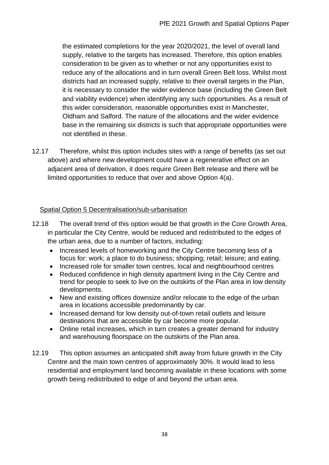the estimated completions for the year 2020/2021, the level of overall land supply, relative to the targets has increased. Therefore, this option enables consideration to be given as to whether or not any opportunities exist to reduce any of the allocations and in turn overall Green Belt loss. Whilst most districts had an increased supply, relative to their overall targets in the Plan, it is necessary to consider the wider evidence base (including the Green Belt and viability evidence) when identifying any such opportunities. As a result of this wider consideration, reasonable opportunities exist in Manchester, Oldham and Salford. The nature of the allocations and the wider evidence base in the remaining six districts is such that appropriate opportunities were not identified in these.

12.17 Therefore, whilst this option includes sites with a range of benefits (as set out above) and where new development could have a regenerative effect on an adjacent area of derivation, it does require Green Belt release and there will be limited opportunities to reduce that over and above Option 4(a).

### Spatial Option 5 Decentralisation/sub-urbanisation

- 12.18 The overall trend of this option would be that growth in the Core Growth Area, in particular the City Centre, would be reduced and redistributed to the edges of the urban area, due to a number of factors, including:
	- Increased levels of homeworking and the City Centre becoming less of a focus for: work; a place to do business; shopping; retail; leisure; and eating.
	- Increased role for smaller town centres, local and neighbourhood centres
	- Reduced confidence in high density apartment living in the City Centre and trend for people to seek to live on the outskirts of the Plan area in low density developments.
	- New and existing offices downsize and/or relocate to the edge of the urban area in locations accessible predominantly by car.
	- Increased demand for low density out-of-town retail outlets and leisure destinations that are accessible by car become more popular.
	- Online retail increases, which in turn creates a greater demand for industry and warehousing floorspace on the outskirts of the Plan area.
- 12.19 This option assumes an anticipated shift away from future growth in the City Centre and the main town centres of approximately 30%. It would lead to less residential and employment land becoming available in these locations with some growth being redistributed to edge of and beyond the urban area.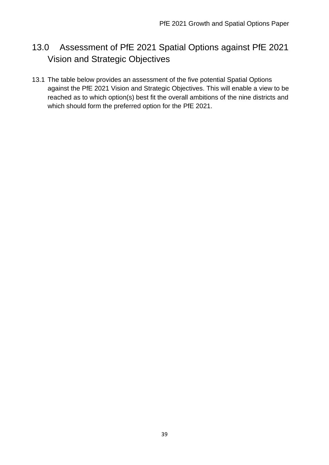# 13.0 Assessment of PfE 2021 Spatial Options against PfE 2021 Vision and Strategic Objectives

13.1 The table below provides an assessment of the five potential Spatial Options against the PfE 2021 Vision and Strategic Objectives. This will enable a view to be reached as to which option(s) best fit the overall ambitions of the nine districts and which should form the preferred option for the PfE 2021.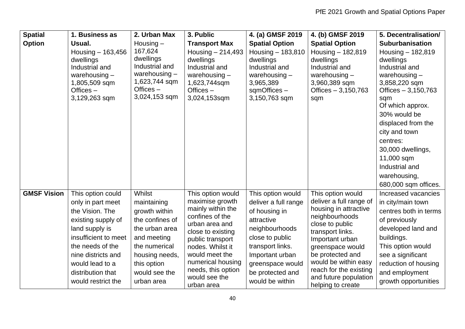| <b>Spatial</b>     | 1. Business as                                                                                                                                                                                                                    | 2. Urban Max                                                                                                                                                                | 3. Public                                                                                                                                                                                                                                               | 4. (a) GMSF 2019                                                                                                                                                                                                | 4. (b) GMSF 2019                                                                                                                                                                                                                                                                          | 5. Decentralisation/                                                                                                                                                                                                               |
|--------------------|-----------------------------------------------------------------------------------------------------------------------------------------------------------------------------------------------------------------------------------|-----------------------------------------------------------------------------------------------------------------------------------------------------------------------------|---------------------------------------------------------------------------------------------------------------------------------------------------------------------------------------------------------------------------------------------------------|-----------------------------------------------------------------------------------------------------------------------------------------------------------------------------------------------------------------|-------------------------------------------------------------------------------------------------------------------------------------------------------------------------------------------------------------------------------------------------------------------------------------------|------------------------------------------------------------------------------------------------------------------------------------------------------------------------------------------------------------------------------------|
| <b>Option</b>      | Usual.                                                                                                                                                                                                                            | Housing $-$                                                                                                                                                                 | <b>Transport Max</b>                                                                                                                                                                                                                                    | <b>Spatial Option</b>                                                                                                                                                                                           | <b>Spatial Option</b>                                                                                                                                                                                                                                                                     | <b>Suburbanisation</b>                                                                                                                                                                                                             |
|                    | Housing - 163,456<br>dwellings<br>Industrial and<br>warehousing $-$<br>1,805,509 sqm<br>Offices $-$<br>3,129,263 sqm                                                                                                              | 167,624<br>dwellings<br>Industrial and<br>warehousing $-$<br>1,623,744 sqm<br>Offices $-$<br>3,024,153 sqm                                                                  | Housing $-214,493$<br>dwellings<br>Industrial and<br>warehousing $-$<br>1,623,744sqm<br>Offices $-$<br>3,024,153sqm                                                                                                                                     | Housing - 183,810<br>dwellings<br>Industrial and<br>warehousing $-$<br>3,965,389<br>sqmOffices-<br>3,150,763 sqm                                                                                                | Housing $-182,819$<br>dwellings<br>Industrial and<br>warehousing $-$<br>3,960,389 sqm<br>Offices $-3,150,763$<br>sqm                                                                                                                                                                      | Housing $-182,819$<br>dwellings<br>Industrial and<br>warehousing $-$<br>3,858,220 sqm<br>Offices - 3,150,763<br>sqm<br>Of which approx.<br>30% would be<br>displaced from the<br>city and town                                     |
|                    |                                                                                                                                                                                                                                   |                                                                                                                                                                             |                                                                                                                                                                                                                                                         |                                                                                                                                                                                                                 |                                                                                                                                                                                                                                                                                           | centres:<br>30,000 dwellings,<br>11,000 sqm<br>Industrial and<br>warehousing,<br>680,000 sqm offices.                                                                                                                              |
| <b>GMSF Vision</b> | This option could<br>only in part meet<br>the Vision. The<br>existing supply of<br>land supply is<br>insufficient to meet<br>the needs of the<br>nine districts and<br>would lead to a<br>distribution that<br>would restrict the | Whilst<br>maintaining<br>growth within<br>the confines of<br>the urban area<br>and meeting<br>the numerical<br>housing needs,<br>this option<br>would see the<br>urban area | This option would<br>maximise growth<br>mainly within the<br>confines of the<br>urban area and<br>close to existing<br>public transport<br>nodes. Whilst it<br>would meet the<br>numerical housing<br>needs, this option<br>would see the<br>urban area | This option would<br>deliver a full range<br>of housing in<br>attractive<br>neighbourhoods<br>close to public<br>transport links.<br>Important urban<br>greenspace would<br>be protected and<br>would be within | This option would<br>deliver a full range of<br>housing in attractive<br>neighbourhoods<br>close to public<br>transport links.<br>Important urban<br>greenspace would<br>be protected and<br>would be within easy<br>reach for the existing<br>and future population<br>helping to create | Increased vacancies<br>in city/main town<br>centres both in terms<br>of previously<br>developed land and<br>buildings.<br>This option would<br>see a significant<br>reduction of housing<br>and employment<br>growth opportunities |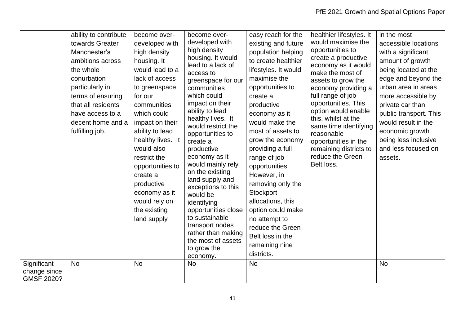| Significant                | ability to contribute<br>towards Greater<br>Manchester's<br>ambitions across<br>the whole<br>conurbation<br>particularly in<br>terms of ensuring<br>that all residents<br>have access to a<br>decent home and a<br>fulfilling job.<br><b>No</b> | become over-<br>developed with<br>high density<br>housing. It<br>would lead to a<br>lack of access<br>to greenspace<br>for our<br>communities<br>which could<br>impact on their<br>ability to lead<br>healthy lives. It<br>would also<br>restrict the<br>opportunities to<br>create a<br>productive<br>economy as it<br>would rely on<br>the existing<br>land supply<br><b>No</b> | become over-<br>developed with<br>high density<br>housing. It would<br>lead to a lack of<br>access to<br>greenspace for our<br>communities<br>which could<br>impact on their<br>ability to lead<br>healthy lives. It<br>would restrict the<br>opportunities to<br>create a<br>productive<br>economy as it<br>would mainly rely<br>on the existing<br>land supply and<br>exceptions to this<br>would be<br>identifying<br>opportunities close<br>to sustainable<br>transport nodes<br>rather than making<br>the most of assets<br>to grow the<br>economy.<br><b>No</b> | easy reach for the<br>existing and future<br>population helping<br>to create healthier<br>lifestyles. It would<br>maximise the<br>opportunities to<br>create a<br>productive<br>economy as it<br>would make the<br>most of assets to<br>grow the economy<br>providing a full<br>range of job<br>opportunities.<br>However, in<br>removing only the<br>Stockport<br>allocations, this<br>option could make<br>no attempt to<br>reduce the Green<br>Belt loss in the<br>remaining nine<br>districts.<br><b>No</b> | healthier lifestyles. It<br>would maximise the<br>opportunities to<br>create a productive<br>economy as it would<br>make the most of<br>assets to grow the<br>economy providing a<br>full range of job<br>opportunities. This<br>option would enable<br>this, whilst at the<br>same time identifying<br>reasonable<br>opportunities in the<br>remaining districts to<br>reduce the Green<br>Belt loss. | in the most<br>accessible locations<br>with a significant<br>amount of growth<br>being located at the<br>edge and beyond the<br>urban area in areas<br>more accessible by<br>private car than<br>public transport. This<br>would result in the<br>economic growth<br>being less inclusive<br>and less focused on<br>assets.<br><b>No</b> |
|----------------------------|-------------------------------------------------------------------------------------------------------------------------------------------------------------------------------------------------------------------------------------------------|-----------------------------------------------------------------------------------------------------------------------------------------------------------------------------------------------------------------------------------------------------------------------------------------------------------------------------------------------------------------------------------|-----------------------------------------------------------------------------------------------------------------------------------------------------------------------------------------------------------------------------------------------------------------------------------------------------------------------------------------------------------------------------------------------------------------------------------------------------------------------------------------------------------------------------------------------------------------------|-----------------------------------------------------------------------------------------------------------------------------------------------------------------------------------------------------------------------------------------------------------------------------------------------------------------------------------------------------------------------------------------------------------------------------------------------------------------------------------------------------------------|--------------------------------------------------------------------------------------------------------------------------------------------------------------------------------------------------------------------------------------------------------------------------------------------------------------------------------------------------------------------------------------------------------|------------------------------------------------------------------------------------------------------------------------------------------------------------------------------------------------------------------------------------------------------------------------------------------------------------------------------------------|
| change since<br>GMSF 2020? |                                                                                                                                                                                                                                                 |                                                                                                                                                                                                                                                                                                                                                                                   |                                                                                                                                                                                                                                                                                                                                                                                                                                                                                                                                                                       |                                                                                                                                                                                                                                                                                                                                                                                                                                                                                                                 |                                                                                                                                                                                                                                                                                                                                                                                                        |                                                                                                                                                                                                                                                                                                                                          |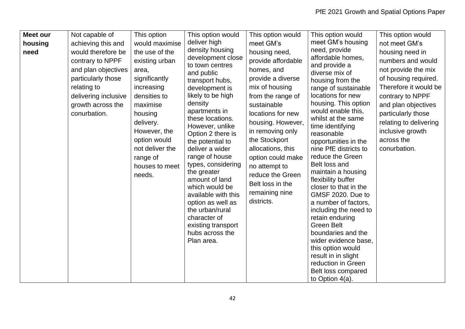| <b>Meet our</b> | Not capable of       | This option     | This option would                     | This option would  | This option would                       | This option would      |
|-----------------|----------------------|-----------------|---------------------------------------|--------------------|-----------------------------------------|------------------------|
| housing         | achieving this and   | would maximise  | deliver high                          | meet GM's          | meet GM's housing                       | not meet GM's          |
| need            | would therefore be   | the use of the  | density housing                       | housing need,      | need, provide                           | housing need in        |
|                 | contrary to NPPF     | existing urban  | development close<br>to town centres  | provide affordable | affordable homes,<br>and provide a      | numbers and would      |
|                 | and plan objectives  | area,           | and public                            | homes, and         | diverse mix of                          | not provide the mix    |
|                 | particularly those   | significantly   | transport hubs,                       | provide a diverse  | housing from the                        | of housing required.   |
|                 | relating to          | increasing      | development is                        | mix of housing     | range of sustainable                    | Therefore it would be  |
|                 | delivering inclusive | densities to    | likely to be high                     | from the range of  | locations for new                       | contrary to NPPF       |
|                 | growth across the    | maximise        | density                               | sustainable        | housing. This option                    | and plan objectives    |
|                 | conurbation.         | housing         | apartments in                         | locations for new  | would enable this,                      | particularly those     |
|                 |                      | delivery.       | these locations.<br>However, unlike   | housing. However,  | whilst at the same<br>time identifying  | relating to delivering |
|                 |                      | However, the    | Option 2 there is                     | in removing only   | reasonable                              | inclusive growth       |
|                 |                      | option would    | the potential to                      | the Stockport      | opportunities in the                    | across the             |
|                 |                      | not deliver the | deliver a wider                       | allocations, this  | nine PfE districts to                   | conurbation.           |
|                 |                      | range of        | range of house                        | option could make  | reduce the Green                        |                        |
|                 |                      | houses to meet  | types, considering                    | no attempt to      | Belt loss and                           |                        |
|                 |                      | needs.          | the greater                           | reduce the Green   | maintain a housing                      |                        |
|                 |                      |                 | amount of land                        | Belt loss in the   | flexibility buffer                      |                        |
|                 |                      |                 | which would be                        |                    | closer to that in the                   |                        |
|                 |                      |                 | available with this                   | remaining nine     | GMSF 2020. Due to                       |                        |
|                 |                      |                 | option as well as                     | districts.         | a number of factors,                    |                        |
|                 |                      |                 | the urban/rural                       |                    | including the need to                   |                        |
|                 |                      |                 | character of                          |                    | retain enduring                         |                        |
|                 |                      |                 | existing transport<br>hubs across the |                    | <b>Green Belt</b><br>boundaries and the |                        |
|                 |                      |                 | Plan area.                            |                    | wider evidence base,                    |                        |
|                 |                      |                 |                                       |                    | this option would                       |                        |
|                 |                      |                 |                                       |                    | result in in slight                     |                        |
|                 |                      |                 |                                       |                    | reduction in Green                      |                        |
|                 |                      |                 |                                       |                    | Belt loss compared                      |                        |
|                 |                      |                 |                                       |                    | to Option $4(a)$ .                      |                        |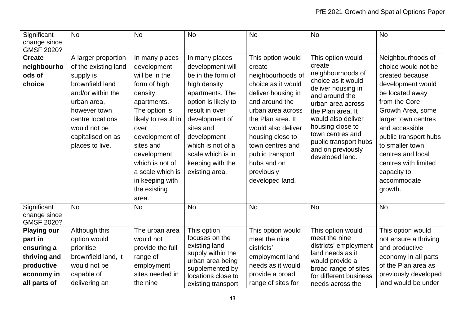| Significant<br>change since<br>GMSF 2020?                                                               | <b>No</b>                                                                                                                                                                                                   | <b>No</b>                                                                                                                                                                                                                                                                  | <b>No</b>                                                                                                                                                                                                                                                         | <b>No</b>                                                                                                                                                                                                                                                                                  | <b>No</b>                                                                                                                                                                                                                                                                               | <b>No</b>                                                                                                                                                                                                                                                                                                            |
|---------------------------------------------------------------------------------------------------------|-------------------------------------------------------------------------------------------------------------------------------------------------------------------------------------------------------------|----------------------------------------------------------------------------------------------------------------------------------------------------------------------------------------------------------------------------------------------------------------------------|-------------------------------------------------------------------------------------------------------------------------------------------------------------------------------------------------------------------------------------------------------------------|--------------------------------------------------------------------------------------------------------------------------------------------------------------------------------------------------------------------------------------------------------------------------------------------|-----------------------------------------------------------------------------------------------------------------------------------------------------------------------------------------------------------------------------------------------------------------------------------------|----------------------------------------------------------------------------------------------------------------------------------------------------------------------------------------------------------------------------------------------------------------------------------------------------------------------|
| <b>Create</b><br>neighbourho<br>ods of<br>choice                                                        | A larger proportion<br>of the existing land<br>supply is<br>brownfield land<br>and/or within the<br>urban area,<br>however town<br>centre locations<br>would not be<br>capitalised on as<br>places to live. | In many places<br>development<br>will be in the<br>form of high<br>density<br>apartments.<br>The option is<br>likely to result in<br>over<br>development of<br>sites and<br>development<br>which is not of<br>a scale which is<br>in keeping with<br>the existing<br>area. | In many places<br>development will<br>be in the form of<br>high density<br>apartments. The<br>option is likely to<br>result in over<br>development of<br>sites and<br>development<br>which is not of a<br>scale which is in<br>keeping with the<br>existing area. | This option would<br>create<br>neighbourhoods of<br>choice as it would<br>deliver housing in<br>and around the<br>urban area across<br>the Plan area. It<br>would also deliver<br>housing close to<br>town centres and<br>public transport<br>hubs and on<br>previously<br>developed land. | This option would<br>create<br>neighbourhoods of<br>choice as it would<br>deliver housing in<br>and around the<br>urban area across<br>the Plan area. It<br>would also deliver<br>housing close to<br>town centres and<br>public transport hubs<br>and on previously<br>developed land. | Neighbourhoods of<br>choice would not be<br>created because<br>development would<br>be located away<br>from the Core<br>Growth Area, some<br>larger town centres<br>and accessible<br>public transport hubs<br>to smaller town<br>centres and local<br>centres with limited<br>capacity to<br>accommodate<br>growth. |
| Significant<br>change since<br><b>GMSF 2020?</b>                                                        | <b>No</b>                                                                                                                                                                                                   | <b>No</b>                                                                                                                                                                                                                                                                  | <b>No</b>                                                                                                                                                                                                                                                         | <b>No</b>                                                                                                                                                                                                                                                                                  | <b>No</b>                                                                                                                                                                                                                                                                               | <b>No</b>                                                                                                                                                                                                                                                                                                            |
| <b>Playing our</b><br>part in<br>ensuring a<br>thriving and<br>productive<br>economy in<br>all parts of | Although this<br>option would<br>prioritise<br>brownfield land, it<br>would not be<br>capable of<br>delivering an                                                                                           | The urban area<br>would not<br>provide the full<br>range of<br>employment<br>sites needed in<br>the nine                                                                                                                                                                   | This option<br>focuses on the<br>existing land<br>supply within the<br>urban area being<br>supplemented by<br>locations close to<br>existing transport                                                                                                            | This option would<br>meet the nine<br>districts'<br>employment land<br>needs as it would<br>provide a broad<br>range of sites for                                                                                                                                                          | This option would<br>meet the nine<br>districts' employment<br>land needs as it<br>would provide a<br>broad range of sites<br>for different business<br>needs across the                                                                                                                | This option would<br>not ensure a thriving<br>and productive<br>economy in all parts<br>of the Plan area as<br>previously developed<br>land would be under                                                                                                                                                           |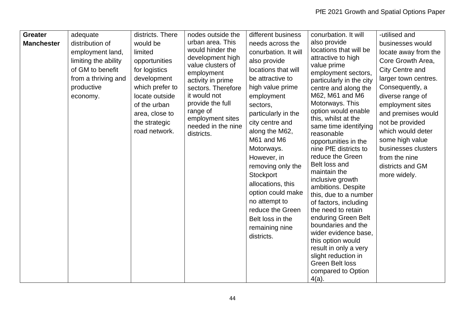| <b>Greater</b>    | adequate             | districts. There | nodes outside the                | different business   | conurbation. It will                            | -utilised and          |
|-------------------|----------------------|------------------|----------------------------------|----------------------|-------------------------------------------------|------------------------|
| <b>Manchester</b> | distribution of      | would be         | urban area. This                 | needs across the     | also provide                                    | businesses would       |
|                   | employment land,     | limited          | would hinder the                 | conurbation. It will | locations that will be                          | locate away from the   |
|                   | limiting the ability | opportunities    | development high                 | also provide         | attractive to high                              | Core Growth Area,      |
|                   | of GM to benefit     | for logistics    | value clusters of                | locations that will  | value prime                                     | <b>City Centre and</b> |
|                   | from a thriving and  | development      | employment<br>activity in prime  | be attractive to     | employment sectors,<br>particularly in the city | larger town centres.   |
|                   | productive           | which prefer to  | sectors. Therefore               | high value prime     | centre and along the                            | Consequently, a        |
|                   | economy.             | locate outside   | it would not                     | employment           | M62, M61 and M6                                 | diverse range of       |
|                   |                      | of the urban     | provide the full                 | sectors,             | Motorways. This                                 | employment sites       |
|                   |                      | area, close to   | range of                         | particularly in the  | option would enable                             | and premises would     |
|                   |                      | the strategic    | employment sites                 | city centre and      | this, whilst at the                             | not be provided        |
|                   |                      | road network.    | needed in the nine<br>districts. | along the M62,       | same time identifying<br>reasonable             | which would deter      |
|                   |                      |                  |                                  | M61 and M6           | opportunities in the                            | some high value        |
|                   |                      |                  |                                  | Motorways.           | nine PfE districts to                           | businesses clusters    |
|                   |                      |                  |                                  | However, in          | reduce the Green                                | from the nine          |
|                   |                      |                  |                                  | removing only the    | Belt loss and                                   | districts and GM       |
|                   |                      |                  |                                  | Stockport            | maintain the                                    | more widely.           |
|                   |                      |                  |                                  | allocations, this    | inclusive growth                                |                        |
|                   |                      |                  |                                  | option could make    | ambitions. Despite<br>this, due to a number     |                        |
|                   |                      |                  |                                  | no attempt to        | of factors, including                           |                        |
|                   |                      |                  |                                  | reduce the Green     | the need to retain                              |                        |
|                   |                      |                  |                                  | Belt loss in the     | enduring Green Belt                             |                        |
|                   |                      |                  |                                  | remaining nine       | boundaries and the                              |                        |
|                   |                      |                  |                                  | districts.           | wider evidence base,                            |                        |
|                   |                      |                  |                                  |                      | this option would                               |                        |
|                   |                      |                  |                                  |                      | result in only a very                           |                        |
|                   |                      |                  |                                  |                      | slight reduction in<br><b>Green Belt loss</b>   |                        |
|                   |                      |                  |                                  |                      | compared to Option                              |                        |
|                   |                      |                  |                                  |                      | $4(a)$ .                                        |                        |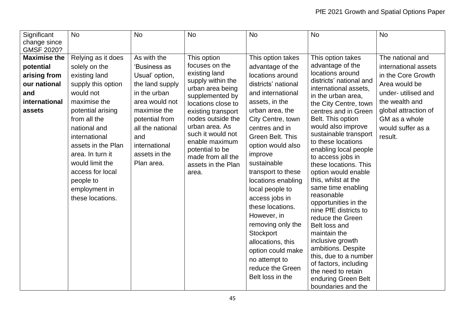| Significant         | <b>No</b>          | <b>No</b>        | <b>No</b>                               | <b>No</b>           | <b>No</b>                                        | <b>No</b>            |
|---------------------|--------------------|------------------|-----------------------------------------|---------------------|--------------------------------------------------|----------------------|
| change since        |                    |                  |                                         |                     |                                                  |                      |
| GMSF 2020?          |                    |                  |                                         |                     |                                                  |                      |
| <b>Maximise the</b> | Relying as it does | As with the      | This option                             | This option takes   | This option takes                                | The national and     |
| potential           | solely on the      | 'Business as     | focuses on the                          | advantage of the    | advantage of the                                 | international assets |
| arising from        | existing land      | Usual' option,   | existing land                           | locations around    | locations around                                 | in the Core Growth   |
| our national        | supply this option | the land supply  | supply within the<br>urban area being   | districts' national | districts' national and<br>international assets, | Area would be        |
| and                 | would not          | in the urban     | supplemented by                         | and international   | in the urban area,                               | under- utilised and  |
| international       | maximise the       | area would not   | locations close to                      | assets, in the      | the City Centre, town                            | the wealth and       |
| assets              | potential arising  | maximise the     | existing transport                      | urban area, the     | centres and in Green                             | global attraction of |
|                     | from all the       | potential from   | nodes outside the                       | City Centre, town   | Belt. This option                                | GM as a whole        |
|                     | national and       | all the national | urban area. As                          | centres and in      | would also improve                               | would suffer as a    |
|                     | international      | and              | such it would not                       | Green Belt. This    | sustainable transport                            | result.              |
|                     | assets in the Plan | international    | enable maximum                          | option would also   | to these locations                               |                      |
|                     | area. In turn it   | assets in the    | potential to be                         | improve             | enabling local people                            |                      |
|                     | would limit the    | Plan area.       | made from all the<br>assets in the Plan | sustainable         | to access jobs in<br>these locations. This       |                      |
|                     | access for local   |                  | area.                                   | transport to these  | option would enable                              |                      |
|                     | people to          |                  |                                         | locations enabling  | this, whilst at the                              |                      |
|                     | employment in      |                  |                                         | local people to     | same time enabling                               |                      |
|                     | these locations.   |                  |                                         | access jobs in      | reasonable                                       |                      |
|                     |                    |                  |                                         | these locations.    | opportunities in the                             |                      |
|                     |                    |                  |                                         |                     | nine PfE districts to                            |                      |
|                     |                    |                  |                                         | However, in         | reduce the Green                                 |                      |
|                     |                    |                  |                                         | removing only the   | Belt loss and                                    |                      |
|                     |                    |                  |                                         | Stockport           | maintain the                                     |                      |
|                     |                    |                  |                                         | allocations, this   | inclusive growth<br>ambitions. Despite           |                      |
|                     |                    |                  |                                         | option could make   | this, due to a number                            |                      |
|                     |                    |                  |                                         | no attempt to       | of factors, including                            |                      |
|                     |                    |                  |                                         | reduce the Green    | the need to retain                               |                      |
|                     |                    |                  |                                         | Belt loss in the    | enduring Green Belt                              |                      |
|                     |                    |                  |                                         |                     | boundaries and the                               |                      |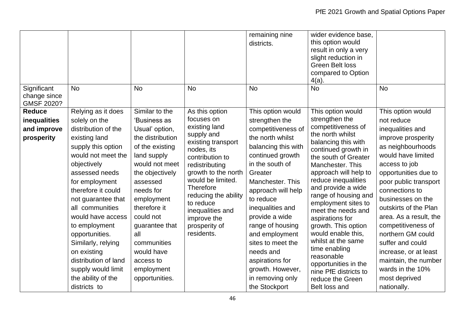| Significant                                                | <b>No</b>                                                                                                                                                                                                                                                                                                                                                                                                                  | <b>No</b>                                                                                                                                                                                                                                                                                                          | <b>No</b>                                                                                                                                                                                                                                                                                                   | remaining nine<br>districts.<br><b>No</b>                                                                                                                                                                                                                                                                                                                                                               | wider evidence base.<br>this option would<br>result in only a very<br>slight reduction in<br><b>Green Belt loss</b><br>compared to Option<br>$4(a)$ .<br><b>No</b>                                                                                                                                                                                                                                                                                                                                                            | <b>No</b>                                                                                                                                                                                                                                                                                                                                                                                                                                            |
|------------------------------------------------------------|----------------------------------------------------------------------------------------------------------------------------------------------------------------------------------------------------------------------------------------------------------------------------------------------------------------------------------------------------------------------------------------------------------------------------|--------------------------------------------------------------------------------------------------------------------------------------------------------------------------------------------------------------------------------------------------------------------------------------------------------------------|-------------------------------------------------------------------------------------------------------------------------------------------------------------------------------------------------------------------------------------------------------------------------------------------------------------|---------------------------------------------------------------------------------------------------------------------------------------------------------------------------------------------------------------------------------------------------------------------------------------------------------------------------------------------------------------------------------------------------------|-------------------------------------------------------------------------------------------------------------------------------------------------------------------------------------------------------------------------------------------------------------------------------------------------------------------------------------------------------------------------------------------------------------------------------------------------------------------------------------------------------------------------------|------------------------------------------------------------------------------------------------------------------------------------------------------------------------------------------------------------------------------------------------------------------------------------------------------------------------------------------------------------------------------------------------------------------------------------------------------|
| change since<br>GMSF 2020?                                 |                                                                                                                                                                                                                                                                                                                                                                                                                            |                                                                                                                                                                                                                                                                                                                    |                                                                                                                                                                                                                                                                                                             |                                                                                                                                                                                                                                                                                                                                                                                                         |                                                                                                                                                                                                                                                                                                                                                                                                                                                                                                                               |                                                                                                                                                                                                                                                                                                                                                                                                                                                      |
| <b>Reduce</b><br>inequalities<br>and improve<br>prosperity | Relying as it does<br>solely on the<br>distribution of the<br>existing land<br>supply this option<br>would not meet the<br>objectively<br>assessed needs<br>for employment<br>therefore it could<br>not guarantee that<br>all communities<br>would have access<br>to employment<br>opportunities.<br>Similarly, relying<br>on existing<br>distribution of land<br>supply would limit<br>the ability of the<br>districts to | Similar to the<br>'Business as<br>Usual' option,<br>the distribution<br>of the existing<br>land supply<br>would not meet<br>the objectively<br>assessed<br>needs for<br>employment<br>therefore it<br>could not<br>guarantee that<br>all<br>communities<br>would have<br>access to<br>employment<br>opportunities. | As this option<br>focuses on<br>existing land<br>supply and<br>existing transport<br>nodes, its<br>contribution to<br>redistributing<br>growth to the north<br>would be limited.<br><b>Therefore</b><br>reducing the ability<br>to reduce<br>inequalities and<br>improve the<br>prosperity of<br>residents. | This option would<br>strengthen the<br>competitiveness of<br>the north whilst<br>balancing this with<br>continued growth<br>in the south of<br>Greater<br>Manchester. This<br>approach will help<br>to reduce<br>inequalities and<br>provide a wide<br>range of housing<br>and employment<br>sites to meet the<br>needs and<br>aspirations for<br>growth. However,<br>in removing only<br>the Stockport | This option would<br>strengthen the<br>competitiveness of<br>the north whilst<br>balancing this with<br>continued growth in<br>the south of Greater<br>Manchester. This<br>approach will help to<br>reduce inequalities<br>and provide a wide<br>range of housing and<br>employment sites to<br>meet the needs and<br>aspirations for<br>growth. This option<br>would enable this,<br>whilst at the same<br>time enabling<br>reasonable<br>opportunities in the<br>nine PfE districts to<br>reduce the Green<br>Belt loss and | This option would<br>not reduce<br>inequalities and<br>improve prosperity<br>as neighbourhoods<br>would have limited<br>access to job<br>opportunities due to<br>poor public transport<br>connections to<br>businesses on the<br>outskirts of the Plan<br>area. As a result, the<br>competitiveness of<br>northern GM could<br>suffer and could<br>increase, or at least<br>maintain, the number<br>wards in the 10%<br>most deprived<br>nationally. |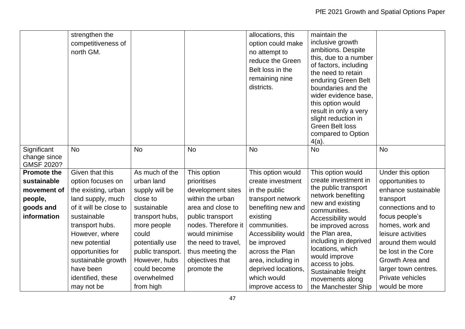|                                                                                         | strengthen the<br>competitiveness of<br>north GM.                                                                                                                                                                                                                          |                                                                                                                                                                                                                           |                                                                                                                                                                                                                                    | allocations, this<br>option could make<br>no attempt to<br>reduce the Green<br>Belt loss in the<br>remaining nine<br>districts.                                                                                                                                          | maintain the<br>inclusive growth<br>ambitions. Despite<br>this, due to a number<br>of factors, including<br>the need to retain<br>enduring Green Belt<br>boundaries and the<br>wider evidence base,<br>this option would<br>result in only a very<br>slight reduction in<br><b>Green Belt loss</b><br>compared to Option<br>4(a)             |                                                                                                                                                                                                                                                                                        |
|-----------------------------------------------------------------------------------------|----------------------------------------------------------------------------------------------------------------------------------------------------------------------------------------------------------------------------------------------------------------------------|---------------------------------------------------------------------------------------------------------------------------------------------------------------------------------------------------------------------------|------------------------------------------------------------------------------------------------------------------------------------------------------------------------------------------------------------------------------------|--------------------------------------------------------------------------------------------------------------------------------------------------------------------------------------------------------------------------------------------------------------------------|----------------------------------------------------------------------------------------------------------------------------------------------------------------------------------------------------------------------------------------------------------------------------------------------------------------------------------------------|----------------------------------------------------------------------------------------------------------------------------------------------------------------------------------------------------------------------------------------------------------------------------------------|
| Significant<br>change since<br>GMSF 2020?                                               | <b>No</b>                                                                                                                                                                                                                                                                  | <b>No</b>                                                                                                                                                                                                                 | <b>No</b>                                                                                                                                                                                                                          | <b>No</b>                                                                                                                                                                                                                                                                | <b>No</b>                                                                                                                                                                                                                                                                                                                                    | <b>No</b>                                                                                                                                                                                                                                                                              |
| <b>Promote the</b><br>sustainable<br>movement of<br>people,<br>goods and<br>information | Given that this<br>option focuses on<br>the existing, urban<br>land supply, much<br>of it will be close to<br>sustainable<br>transport hubs.<br>However, where<br>new potential<br>opportunities for<br>sustainable growth<br>have been<br>identified, these<br>may not be | As much of the<br>urban land<br>supply will be<br>close to<br>sustainable<br>transport hubs,<br>more people<br>could<br>potentially use<br>public transport.<br>However, hubs<br>could become<br>overwhelmed<br>from high | This option<br>prioritises<br>development sites<br>within the urban<br>area and close to<br>public transport<br>nodes. Therefore it<br>would minimise<br>the need to travel,<br>thus meeting the<br>objectives that<br>promote the | This option would<br>create investment<br>in the public<br>transport network<br>benefiting new and<br>existing<br>communities.<br>Accessibility would<br>be improved<br>across the Plan<br>area, including in<br>deprived locations,<br>which would<br>improve access to | This option would<br>create investment in<br>the public transport<br>network benefiting<br>new and existing<br>communities.<br>Accessibility would<br>be improved across<br>the Plan area,<br>including in deprived<br>locations, which<br>would improve<br>access to jobs.<br>Sustainable freight<br>movements along<br>the Manchester Ship | Under this option<br>opportunities to<br>enhance sustainable<br>transport<br>connections and to<br>focus people's<br>homes, work and<br>leisure activities<br>around them would<br>be lost in the Core<br>Growth Area and<br>larger town centres.<br>Private vehicles<br>would be more |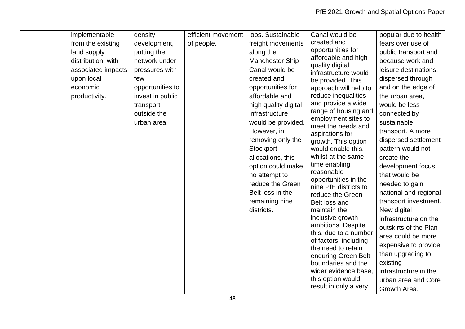| implementable      | density          | efficient movement | jobs. Sustainable    | Canal would be                                | popular due to health |
|--------------------|------------------|--------------------|----------------------|-----------------------------------------------|-----------------------|
| from the existing  | development,     | of people.         | freight movements    | created and                                   | fears over use of     |
| land supply        | putting the      |                    | along the            | opportunities for                             | public transport and  |
| distribution, with | network under    |                    | Manchester Ship      | affordable and high                           | because work and      |
| associated impacts | pressures with   |                    | Canal would be       | quality digital<br>infrastructure would       | leisure destinations, |
| upon local         | few              |                    | created and          | be provided. This                             | dispersed through     |
| economic           | opportunities to |                    | opportunities for    | approach will help to                         | and on the edge of    |
| productivity.      | invest in public |                    | affordable and       | reduce inequalities                           | the urban area,       |
|                    | transport        |                    | high quality digital | and provide a wide                            | would be less         |
|                    | outside the      |                    | infrastructure       | range of housing and                          | connected by          |
|                    | urban area.      |                    | would be provided.   | employment sites to<br>meet the needs and     | sustainable           |
|                    |                  |                    | However, in          | aspirations for                               | transport. A more     |
|                    |                  |                    | removing only the    | growth. This option                           | dispersed settlement  |
|                    |                  |                    | Stockport            | would enable this,                            | pattern would not     |
|                    |                  |                    | allocations, this    | whilst at the same                            | create the            |
|                    |                  |                    | option could make    | time enabling                                 | development focus     |
|                    |                  |                    | no attempt to        | reasonable                                    | that would be         |
|                    |                  |                    | reduce the Green     | opportunities in the<br>nine PfE districts to | needed to gain        |
|                    |                  |                    | Belt loss in the     | reduce the Green                              | national and regional |
|                    |                  |                    | remaining nine       | Belt loss and                                 | transport investment. |
|                    |                  |                    | districts.           | maintain the                                  | New digital           |
|                    |                  |                    |                      | inclusive growth                              | infrastructure on the |
|                    |                  |                    |                      | ambitions. Despite                            | outskirts of the Plan |
|                    |                  |                    |                      | this, due to a number                         | area could be more    |
|                    |                  |                    |                      | of factors, including<br>the need to retain   | expensive to provide  |
|                    |                  |                    |                      | enduring Green Belt                           | than upgrading to     |
|                    |                  |                    |                      | boundaries and the                            | existing              |
|                    |                  |                    |                      | wider evidence base,                          | infrastructure in the |
|                    |                  |                    |                      | this option would                             | urban area and Core   |
|                    |                  |                    |                      | result in only a very                         | Growth Area.          |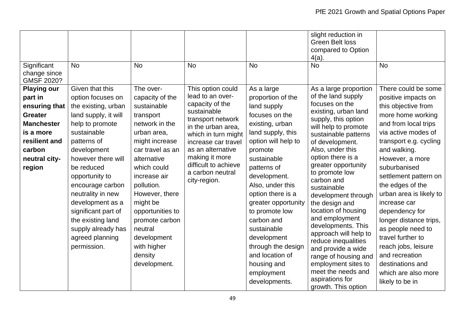| Significant<br>change since<br><b>GMSF 2020?</b>                                                                                                         | <b>No</b>                                                                                                                                                                                                                                                                                                                                                                  | <b>No</b>                                                                                                                                                                                                                                                                                                                           | <b>No</b>                                                                                                                                                                                                                                                           | <b>No</b>                                                                                                                                                                                                                                                                                                                                                                                                     | slight reduction in<br><b>Green Belt loss</b><br>compared to Option<br>$4(a)$ .<br><b>No</b>                                                                                                                                                                                                                                                                                                                                                                                                                                                                                                | <b>No</b>                                                                                                                                                                                                                                                                                                                                                                                                                                                                                               |
|----------------------------------------------------------------------------------------------------------------------------------------------------------|----------------------------------------------------------------------------------------------------------------------------------------------------------------------------------------------------------------------------------------------------------------------------------------------------------------------------------------------------------------------------|-------------------------------------------------------------------------------------------------------------------------------------------------------------------------------------------------------------------------------------------------------------------------------------------------------------------------------------|---------------------------------------------------------------------------------------------------------------------------------------------------------------------------------------------------------------------------------------------------------------------|---------------------------------------------------------------------------------------------------------------------------------------------------------------------------------------------------------------------------------------------------------------------------------------------------------------------------------------------------------------------------------------------------------------|---------------------------------------------------------------------------------------------------------------------------------------------------------------------------------------------------------------------------------------------------------------------------------------------------------------------------------------------------------------------------------------------------------------------------------------------------------------------------------------------------------------------------------------------------------------------------------------------|---------------------------------------------------------------------------------------------------------------------------------------------------------------------------------------------------------------------------------------------------------------------------------------------------------------------------------------------------------------------------------------------------------------------------------------------------------------------------------------------------------|
| <b>Playing our</b><br>part in<br>ensuring that<br><b>Greater</b><br><b>Manchester</b><br>is a more<br>resilient and<br>carbon<br>neutral city-<br>region | Given that this<br>option focuses on<br>the existing, urban<br>land supply, it will<br>help to promote<br>sustainable<br>patterns of<br>development<br>however there will<br>be reduced<br>opportunity to<br>encourage carbon<br>neutrality in new<br>development as a<br>significant part of<br>the existing land<br>supply already has<br>agreed planning<br>permission. | The over-<br>capacity of the<br>sustainable<br>transport<br>network in the<br>urban area,<br>might increase<br>car travel as an<br>alternative<br>which could<br>increase air<br>pollution.<br>However, there<br>might be<br>opportunities to<br>promote carbon<br>neutral<br>development<br>with higher<br>density<br>development. | This option could<br>lead to an over-<br>capacity of the<br>sustainable<br>transport network<br>in the urban area,<br>which in turn might<br>increase car travel<br>as an alternative<br>making it more<br>difficult to achieve<br>a carbon neutral<br>city-region. | As a large<br>proportion of the<br>land supply<br>focuses on the<br>existing, urban<br>land supply, this<br>option will help to<br>promote<br>sustainable<br>patterns of<br>development.<br>Also, under this<br>option there is a<br>greater opportunity<br>to promote low<br>carbon and<br>sustainable<br>development<br>through the design<br>and location of<br>housing and<br>employment<br>developments. | As a large proportion<br>of the land supply<br>focuses on the<br>existing, urban land<br>supply, this option<br>will help to promote<br>sustainable patterns<br>of development.<br>Also, under this<br>option there is a<br>greater opportunity<br>to promote low<br>carbon and<br>sustainable<br>development through<br>the design and<br>location of housing<br>and employment<br>developments. This<br>approach will help to<br>reduce inequalities<br>and provide a wide<br>range of housing and<br>employment sites to<br>meet the needs and<br>aspirations for<br>growth. This option | There could be some<br>positive impacts on<br>this objective from<br>more home working<br>and from local trips<br>via active modes of<br>transport e.g. cycling<br>and walking.<br>However, a more<br>suburbanised<br>settlement pattern on<br>the edges of the<br>urban area is likely to<br>increase car<br>dependency for<br>longer distance trips,<br>as people need to<br>travel further to<br>reach jobs, leisure<br>and recreation<br>destinations and<br>which are also more<br>likely to be in |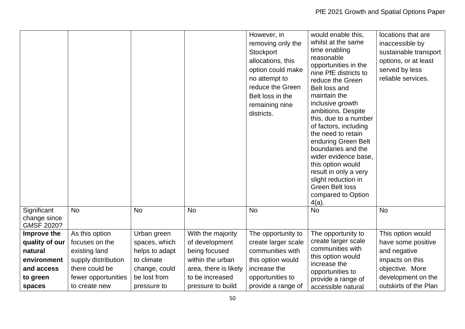|                                           |                     |                |                       | However, in<br>removing only the<br>Stockport<br>allocations, this<br>option could make<br>no attempt to<br>reduce the Green<br>Belt loss in the<br>remaining nine<br>districts. | would enable this,<br>whilst at the same<br>time enabling<br>reasonable<br>opportunities in the<br>nine PfE districts to<br>reduce the Green<br>Belt loss and<br>maintain the<br>inclusive growth<br>ambitions. Despite<br>this, due to a number<br>of factors, including<br>the need to retain<br>enduring Green Belt<br>boundaries and the<br>wider evidence base.<br>this option would<br>result in only a very<br>slight reduction in<br><b>Green Belt loss</b><br>compared to Option<br>$4(a)$ . | locations that are<br>inaccessible by<br>sustainable transport<br>options, or at least<br>served by less<br>reliable services. |
|-------------------------------------------|---------------------|----------------|-----------------------|----------------------------------------------------------------------------------------------------------------------------------------------------------------------------------|-------------------------------------------------------------------------------------------------------------------------------------------------------------------------------------------------------------------------------------------------------------------------------------------------------------------------------------------------------------------------------------------------------------------------------------------------------------------------------------------------------|--------------------------------------------------------------------------------------------------------------------------------|
| Significant<br>change since<br>GMSF 2020? | <b>No</b>           | <b>No</b>      | <b>No</b>             | <b>No</b>                                                                                                                                                                        | <b>No</b>                                                                                                                                                                                                                                                                                                                                                                                                                                                                                             | <b>No</b>                                                                                                                      |
| Improve the                               | As this option      | Urban green    | With the majority     | The opportunity to                                                                                                                                                               | The opportunity to                                                                                                                                                                                                                                                                                                                                                                                                                                                                                    | This option would                                                                                                              |
| quality of our                            | focuses on the      | spaces, which  | of development        | create larger scale                                                                                                                                                              | create larger scale<br>communities with                                                                                                                                                                                                                                                                                                                                                                                                                                                               | have some positive                                                                                                             |
| natural                                   | existing land       | helps to adapt | being focused         | communities with                                                                                                                                                                 | this option would                                                                                                                                                                                                                                                                                                                                                                                                                                                                                     | and negative                                                                                                                   |
| environment                               | supply distribution | to climate     | within the urban      | this option would                                                                                                                                                                | increase the                                                                                                                                                                                                                                                                                                                                                                                                                                                                                          | impacts on this                                                                                                                |
| and access                                | there could be      | change, could  | area, there is likely | increase the                                                                                                                                                                     | opportunities to                                                                                                                                                                                                                                                                                                                                                                                                                                                                                      | objective. More                                                                                                                |
| to green                                  | fewer opportunities | be lost from   | to be increased       | opportunities to                                                                                                                                                                 | provide a range of                                                                                                                                                                                                                                                                                                                                                                                                                                                                                    | development on the                                                                                                             |
| spaces                                    | to create new       | pressure to    | pressure to build     | provide a range of                                                                                                                                                               | accessible natural                                                                                                                                                                                                                                                                                                                                                                                                                                                                                    | outskirts of the Plan                                                                                                          |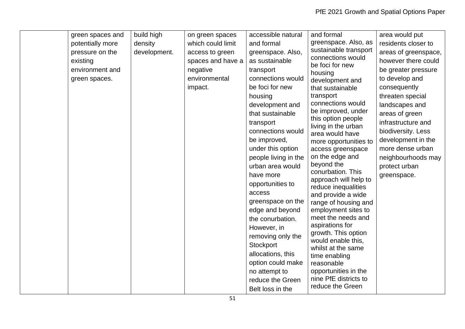| green spaces and | build high   | on green spaces   | accessible natural   | and formal                                    | area would put       |
|------------------|--------------|-------------------|----------------------|-----------------------------------------------|----------------------|
|                  |              |                   |                      | greenspace. Also, as                          |                      |
| potentially more | density      | which could limit | and formal           | sustainable transport                         | residents closer to  |
| pressure on the  | development. | access to green   | greenspace. Also,    | connections would                             | areas of greenspace, |
| existing         |              | spaces and have a | as sustainable       | be foci for new                               | however there could  |
| environment and  |              | negative          | transport            | housing                                       | be greater pressure  |
| green spaces.    |              | environmental     | connections would    | development and                               | to develop and       |
|                  |              | impact.           | be foci for new      | that sustainable                              | consequently         |
|                  |              |                   | housing              | transport                                     | threaten special     |
|                  |              |                   | development and      | connections would                             | landscapes and       |
|                  |              |                   | that sustainable     | be improved, under                            | areas of green       |
|                  |              |                   | transport            | this option people                            | infrastructure and   |
|                  |              |                   | connections would    | living in the urban<br>area would have        | biodiversity. Less   |
|                  |              |                   | be improved,         | more opportunities to                         | development in the   |
|                  |              |                   | under this option    | access greenspace                             | more dense urban     |
|                  |              |                   | people living in the | on the edge and                               | neighbourhoods may   |
|                  |              |                   | urban area would     | beyond the                                    | protect urban        |
|                  |              |                   | have more            | conurbation. This                             | greenspace.          |
|                  |              |                   | opportunities to     | approach will help to                         |                      |
|                  |              |                   | access               | reduce inequalities                           |                      |
|                  |              |                   | greenspace on the    | and provide a wide<br>range of housing and    |                      |
|                  |              |                   | edge and beyond      | employment sites to                           |                      |
|                  |              |                   | the conurbation.     | meet the needs and                            |                      |
|                  |              |                   | However, in          | aspirations for                               |                      |
|                  |              |                   | removing only the    | growth. This option                           |                      |
|                  |              |                   | Stockport            | would enable this,                            |                      |
|                  |              |                   |                      | whilst at the same                            |                      |
|                  |              |                   | allocations, this    | time enabling                                 |                      |
|                  |              |                   | option could make    | reasonable                                    |                      |
|                  |              |                   | no attempt to        | opportunities in the<br>nine PfE districts to |                      |
|                  |              |                   | reduce the Green     | reduce the Green                              |                      |
|                  |              |                   | Belt loss in the     |                                               |                      |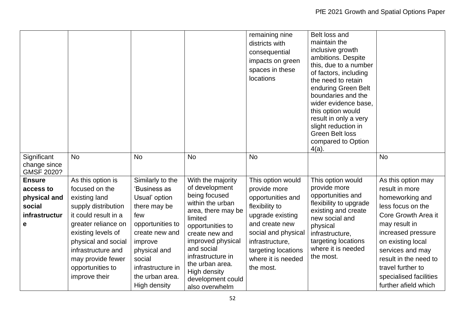|                                                                            |                                                                                                                                                                                                                                                         |                                                                                                                                                                                                             |                                                                                                                                                                                                                                                                                   | remaining nine<br>districts with<br>consequential<br>impacts on green<br>spaces in these<br>locations                                                                                                              | Belt loss and<br>maintain the<br>inclusive growth<br>ambitions. Despite<br>this, due to a number<br>of factors, including<br>the need to retain<br>enduring Green Belt<br>boundaries and the<br>wider evidence base,<br>this option would<br>result in only a very<br>slight reduction in<br><b>Green Belt loss</b><br>compared to Option<br>$4(a)$ . |                                                                                                                                                                                                                                                                                     |
|----------------------------------------------------------------------------|---------------------------------------------------------------------------------------------------------------------------------------------------------------------------------------------------------------------------------------------------------|-------------------------------------------------------------------------------------------------------------------------------------------------------------------------------------------------------------|-----------------------------------------------------------------------------------------------------------------------------------------------------------------------------------------------------------------------------------------------------------------------------------|--------------------------------------------------------------------------------------------------------------------------------------------------------------------------------------------------------------------|-------------------------------------------------------------------------------------------------------------------------------------------------------------------------------------------------------------------------------------------------------------------------------------------------------------------------------------------------------|-------------------------------------------------------------------------------------------------------------------------------------------------------------------------------------------------------------------------------------------------------------------------------------|
| Significant<br>change since<br>GMSF 2020?                                  | <b>No</b>                                                                                                                                                                                                                                               | <b>No</b>                                                                                                                                                                                                   | <b>No</b>                                                                                                                                                                                                                                                                         | <b>No</b>                                                                                                                                                                                                          |                                                                                                                                                                                                                                                                                                                                                       | <b>No</b>                                                                                                                                                                                                                                                                           |
| <b>Ensure</b><br>access to<br>physical and<br>social<br>infrastructur<br>e | As this option is<br>focused on the<br>existing land<br>supply distribution<br>it could result in a<br>greater reliance on<br>existing levels of<br>physical and social<br>infrastructure and<br>may provide fewer<br>opportunities to<br>improve their | Similarly to the<br>'Business as<br>Usual' option<br>there may be<br>few<br>opportunities to<br>create new and<br>improve<br>physical and<br>social<br>infrastructure in<br>the urban area.<br>High density | With the majority<br>of development<br>being focused<br>within the urban<br>area, there may be<br>limited<br>opportunities to<br>create new and<br>improved physical<br>and social<br>infrastructure in<br>the urban area.<br>High density<br>development could<br>also overwhelm | This option would<br>provide more<br>opportunities and<br>flexibility to<br>upgrade existing<br>and create new<br>social and physical<br>infrastructure,<br>targeting locations<br>where it is needed<br>the most. | This option would<br>provide more<br>opportunities and<br>flexibility to upgrade<br>existing and create<br>new social and<br>physical<br>infrastructure,<br>targeting locations<br>where it is needed<br>the most.                                                                                                                                    | As this option may<br>result in more<br>homeworking and<br>less focus on the<br>Core Growth Area it<br>may result in<br>increased pressure<br>on existing local<br>services and may<br>result in the need to<br>travel further to<br>specialised facilities<br>further afield which |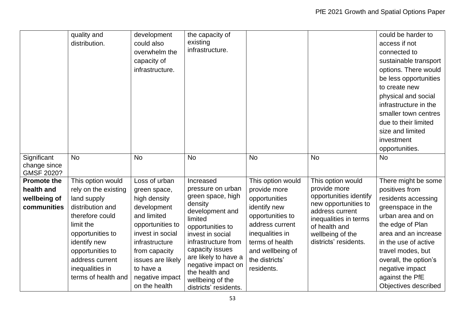|                                                                 | quality and<br>distribution.                                                                                                                                                                                                      | development<br>could also<br>overwhelm the<br>capacity of<br>infrastructure.                                                                                                                                                 | the capacity of<br>existing<br>infrastructure.                                                                                                                                                                                                                                              |                                                                                                                                                                                                     |                                                                                                                                                                                               | could be harder to<br>access if not<br>connected to<br>sustainable transport<br>options. There would<br>be less opportunities<br>to create new<br>physical and social<br>infrastructure in the<br>smaller town centres<br>due to their limited<br>size and limited<br>investment<br>opportunities. |
|-----------------------------------------------------------------|-----------------------------------------------------------------------------------------------------------------------------------------------------------------------------------------------------------------------------------|------------------------------------------------------------------------------------------------------------------------------------------------------------------------------------------------------------------------------|---------------------------------------------------------------------------------------------------------------------------------------------------------------------------------------------------------------------------------------------------------------------------------------------|-----------------------------------------------------------------------------------------------------------------------------------------------------------------------------------------------------|-----------------------------------------------------------------------------------------------------------------------------------------------------------------------------------------------|----------------------------------------------------------------------------------------------------------------------------------------------------------------------------------------------------------------------------------------------------------------------------------------------------|
| Significant<br>change since<br>GMSF 2020?                       | <b>No</b>                                                                                                                                                                                                                         | <b>No</b>                                                                                                                                                                                                                    | <b>No</b>                                                                                                                                                                                                                                                                                   | <b>No</b>                                                                                                                                                                                           | <b>No</b>                                                                                                                                                                                     | <b>No</b>                                                                                                                                                                                                                                                                                          |
| <b>Promote the</b><br>health and<br>wellbeing of<br>communities | This option would<br>rely on the existing<br>land supply<br>distribution and<br>therefore could<br>limit the<br>opportunities to<br>identify new<br>opportunities to<br>address current<br>inequalities in<br>terms of health and | Loss of urban<br>green space,<br>high density<br>development<br>and limited<br>opportunities to<br>invest in social<br>infrastructure<br>from capacity<br>issues are likely<br>to have a<br>negative impact<br>on the health | Increased<br>pressure on urban<br>green space, high<br>density<br>development and<br>limited<br>opportunities to<br>invest in social<br>infrastructure from<br>capacity issues<br>are likely to have a<br>negative impact on<br>the health and<br>wellbeing of the<br>districts' residents. | This option would<br>provide more<br>opportunities<br>identify new<br>opportunities to<br>address current<br>inequalities in<br>terms of health<br>and wellbeing of<br>the districts'<br>residents. | This option would<br>provide more<br>opportunities identify<br>new opportunities to<br>address current<br>inequalities in terms<br>of health and<br>wellbeing of the<br>districts' residents. | There might be some<br>positives from<br>residents accessing<br>greenspace in the<br>urban area and on<br>the edge of Plan<br>area and an increase<br>in the use of active<br>travel modes, but<br>overall, the option's<br>negative impact<br>against the PfE<br>Objectives described             |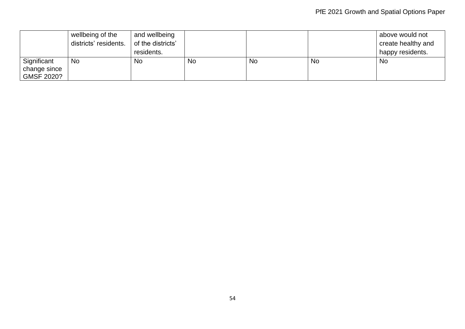|                                                  | wellbeing of the      | and wellbeing     |    |    |           | above would not    |
|--------------------------------------------------|-----------------------|-------------------|----|----|-----------|--------------------|
|                                                  | districts' residents. | of the districts' |    |    |           | create healthy and |
|                                                  |                       | residents.        |    |    |           | happy residents.   |
| Significant<br>change since<br><b>GMSF 2020?</b> | <b>No</b>             | No                | No | No | <b>No</b> | No                 |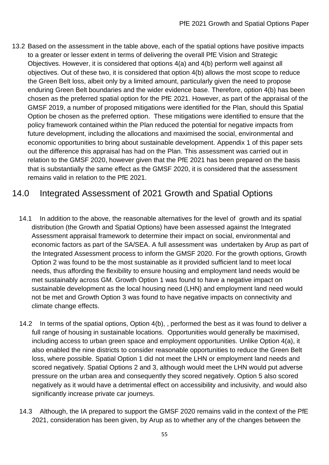13.2 Based on the assessment in the table above, each of the spatial options have positive impacts to a greater or lesser extent in terms of delivering the overall PfE Vision and Strategic Objectives. However, it is considered that options 4(a) and 4(b) perform well against all objectives. Out of these two, it is considered that option 4(b) allows the most scope to reduce the Green Belt loss, albeit only by a limited amount, particularly given the need to propose enduring Green Belt boundaries and the wider evidence base. Therefore, option 4(b) has been chosen as the preferred spatial option for the PfE 2021. However, as part of the appraisal of the GMSF 2019, a number of proposed mitigations were identified for the Plan, should this Spatial Option be chosen as the preferred option. These mitigations were identified to ensure that the policy framework contained within the Plan reduced the potential for negative impacts from future development, including the allocations and maximised the social, environmental and economic opportunities to bring about sustainable development. Appendix 1 of this paper sets out the difference this appraisal has had on the Plan. This assessment was carried out in relation to the GMSF 2020, however given that the PfE 2021 has been prepared on the basis that is substantially the same effect as the GMSF 2020, it is considered that the assessment remains valid in relation to the PfE 2021.

## 14.0 Integrated Assessment of 2021 Growth and Spatial Options

- 14.1 In addition to the above, the reasonable alternatives for the level of growth and its spatial distribution (the Growth and Spatial Options) have been assessed against the Integrated Assessment appraisal framework to determine their impact on social, environmental and economic factors as part of the SA/SEA. A full assessment was undertaken by Arup as part of the Integrated Assessment process to inform the GMSF 2020. For the growth options, Growth Option 2 was found to be the most sustainable as it provided sufficient land to meet local needs, thus affording the flexibility to ensure housing and employment land needs would be met sustainably across GM. Growth Option 1 was found to have a negative impact on sustainable development as the local housing need (LHN) and employment land need would not be met and Growth Option 3 was found to have negative impacts on connectivity and climate change effects.
- 14.2 In terms of the spatial options, Option 4(b), , performed the best as it was found to deliver a full range of housing in sustainable locations. Opportunities would generally be maximised, including access to urban green space and employment opportunities. Unlike Option 4(a), it also enabled the nine districts to consider reasonable opportunities to reduce the Green Belt loss, where possible. Spatial Option 1 did not meet the LHN or employment land needs and scored negatively. Spatial Options 2 and 3, although would meet the LHN would put adverse pressure on the urban area and consequently they scored negatively. Option 5 also scored negatively as it would have a detrimental effect on accessibility and inclusivity, and would also significantly increase private car journeys.
- 14.3 Although, the IA prepared to support the GMSF 2020 remains valid in the context of the PfE 2021, consideration has been given, by Arup as to whether any of the changes between the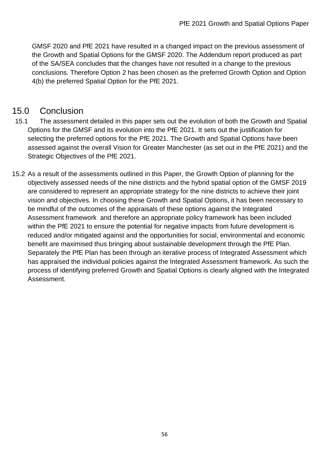GMSF 2020 and PfE 2021 have resulted in a changed impact on the previous assessment of the Growth and Spatial Options for the GMSF 2020. The Addendum report produced as part of the SA/SEA concludes that the changes have not resulted in a change to the previous conclusions. Therefore Option 2 has been chosen as the preferred Growth Option and Option 4(b) the preferred Spatial Option for the PfE 2021.

## 15.0 Conclusion

- 15.1 The assessment detailed in this paper sets out the evolution of both the Growth and Spatial Options for the GMSF and its evolution into the PfE 2021. It sets out the justification for selecting the preferred options for the PfE 2021. The Growth and Spatial Options have been assessed against the overall Vision for Greater Manchester (as set out in the PfE 2021) and the Strategic Objectives of the PfE 2021.
- 15.2 As a result of the assessments outlined in this Paper, the Growth Option of planning for the objectively assessed needs of the nine districts and the hybrid spatial option of the GMSF 2019 are considered to represent an appropriate strategy for the nine districts to achieve their joint vision and objectives. In choosing these Growth and Spatial Options, it has been necessary to be mindful of the outcomes of the appraisals of these options against the Integrated Assessment framework and therefore an appropriate policy framework has been included within the PfE 2021 to ensure the potential for negative impacts from future development is reduced and/or mitigated against and the opportunities for social, environmental and economic benefit are maximised thus bringing about sustainable development through the PfE Plan. Separately the PfE Plan has been through an iterative process of Integrated Assessment which has appraised the individual policies against the Integrated Assessment framework. As such the process of identifying preferred Growth and Spatial Options is clearly aligned with the Integrated Assessment.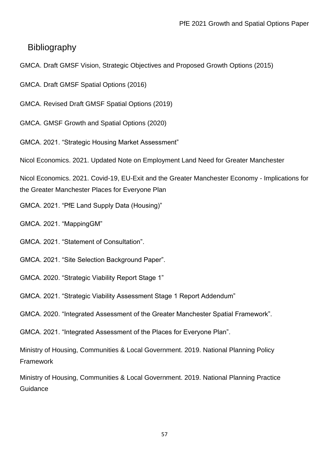### **Bibliography**

- GMCA. Draft GMSF Vision, Strategic Objectives and Proposed Growth Options (2015)
- GMCA. Draft GMSF Spatial Options (2016)
- GMCA. Revised Draft GMSF Spatial Options (2019)
- GMCA. GMSF Growth and Spatial Options (2020)
- GMCA. 2021. "Strategic Housing Market Assessment"
- Nicol Economics. 2021. Updated Note on Employment Land Need for Greater Manchester

Nicol Economics. 2021. Covid-19, EU-Exit and the Greater Manchester Economy - Implications for the Greater Manchester Places for Everyone Plan

- GMCA. 2021. "PfE Land Supply Data (Housing)"
- GMCA. 2021. "MappingGM"
- GMCA. 2021. "Statement of Consultation".
- GMCA. 2021. "Site Selection Background Paper".
- GMCA. 2020. "Strategic Viability Report Stage 1"
- GMCA. 2021. "Strategic Viability Assessment Stage 1 Report Addendum"
- GMCA. 2020. "Integrated Assessment of the Greater Manchester Spatial Framework".
- GMCA. 2021. "Integrated Assessment of the Places for Everyone Plan".

Ministry of Housing, Communities & Local Government. 2019. National Planning Policy **Framework** 

Ministry of Housing, Communities & Local Government. 2019. National Planning Practice **Guidance**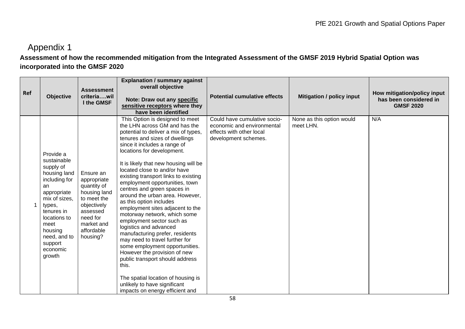# Appendix 1

### **Assessment of how the recommended mitigation from the Integrated Assessment of the GMSF 2019 Hybrid Spatial Option was incorporated into the GMSF 2020**

| Ref | <b>Objective</b>                                                                                                                                                                                                         | <b>Assessment</b><br>criteriawil<br>I the GMSF                                                                                                        | <b>Explanation / summary against</b><br>overall objective<br>Note: Draw out any specific<br>sensitive receptors where they<br>have been identified                                                                                                                                                                                                                                                                                                                                                                                                                                                                                                                                                                                                                                                                                                                              | <b>Potential cumulative effects</b>                                                                            | <b>Mitigation / policy input</b>       | How mitigation/policy input<br>has been considered in<br><b>GMSF 2020</b> |
|-----|--------------------------------------------------------------------------------------------------------------------------------------------------------------------------------------------------------------------------|-------------------------------------------------------------------------------------------------------------------------------------------------------|---------------------------------------------------------------------------------------------------------------------------------------------------------------------------------------------------------------------------------------------------------------------------------------------------------------------------------------------------------------------------------------------------------------------------------------------------------------------------------------------------------------------------------------------------------------------------------------------------------------------------------------------------------------------------------------------------------------------------------------------------------------------------------------------------------------------------------------------------------------------------------|----------------------------------------------------------------------------------------------------------------|----------------------------------------|---------------------------------------------------------------------------|
|     | Provide a<br>sustainable<br>supply of<br>housing land<br>including for<br>an<br>appropriate<br>mix of sizes,<br>types,<br>tenures in<br>locations to<br>meet<br>housing<br>need, and to<br>support<br>economic<br>growth | Ensure an<br>appropriate<br>quantity of<br>housing land<br>to meet the<br>objectively<br>assessed<br>need for<br>market and<br>affordable<br>housing? | This Option is designed to meet<br>the LHN across GM and has the<br>potential to deliver a mix of types,<br>tenures and sizes of dwellings<br>since it includes a range of<br>locations for development.<br>It is likely that new housing will be<br>located close to and/or have<br>existing transport links to existing<br>employment opportunities, town<br>centres and green spaces in<br>around the urban area. However,<br>as this option includes<br>employment sites adjacent to the<br>motorway network, which some<br>employment sector such as<br>logistics and advanced<br>manufacturing prefer, residents<br>may need to travel further for<br>some employment opportunities.<br>However the provision of new<br>public transport should address<br>this.<br>The spatial location of housing is<br>unlikely to have significant<br>impacts on energy efficient and | Could have cumulative socio-<br>economic and environmental<br>effects with other local<br>development schemes. | None as this option would<br>meet LHN. | N/A                                                                       |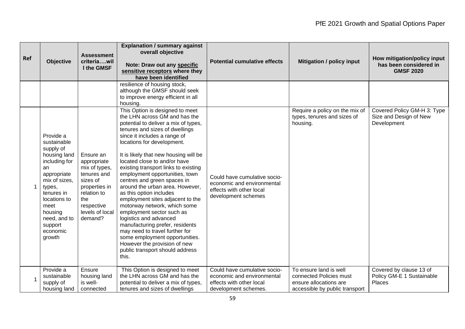| Ref | <b>Objective</b>                                                                                                                                                                                                         | <b>Assessment</b><br>criteriawil<br>I the GMSF                                                                                                          | <b>Explanation / summary against</b><br>overall objective<br>Note: Draw out any specific<br>sensitive receptors where they<br>have been identified                                                                                                                                                                                                                                                                                                                                                                                                                                                                                                                                                                                                                     | <b>Potential cumulative effects</b>                                                                            | <b>Mitigation / policy input</b>                                                                              | How mitigation/policy input<br>has been considered in<br><b>GMSF 2020</b> |
|-----|--------------------------------------------------------------------------------------------------------------------------------------------------------------------------------------------------------------------------|---------------------------------------------------------------------------------------------------------------------------------------------------------|------------------------------------------------------------------------------------------------------------------------------------------------------------------------------------------------------------------------------------------------------------------------------------------------------------------------------------------------------------------------------------------------------------------------------------------------------------------------------------------------------------------------------------------------------------------------------------------------------------------------------------------------------------------------------------------------------------------------------------------------------------------------|----------------------------------------------------------------------------------------------------------------|---------------------------------------------------------------------------------------------------------------|---------------------------------------------------------------------------|
|     |                                                                                                                                                                                                                          |                                                                                                                                                         | resilience of housing stock,<br>although the GMSF should seek<br>to improve energy efficient in all<br>housing.                                                                                                                                                                                                                                                                                                                                                                                                                                                                                                                                                                                                                                                        |                                                                                                                |                                                                                                               |                                                                           |
|     | Provide a<br>sustainable<br>supply of<br>housing land<br>including for<br>an<br>appropriate<br>mix of sizes.<br>types,<br>tenures in<br>locations to<br>meet<br>housing<br>need, and to<br>support<br>economic<br>growth | Ensure an<br>appropriate<br>mix of types,<br>tenures and<br>sizes of<br>properties in<br>relation to<br>the<br>respective<br>levels of local<br>demand? | This Option is designed to meet<br>the LHN across GM and has the<br>potential to deliver a mix of types,<br>tenures and sizes of dwellings<br>since it includes a range of<br>locations for development.<br>It is likely that new housing will be<br>located close to and/or have<br>existing transport links to existing<br>employment opportunities, town<br>centres and green spaces in<br>around the urban area. However,<br>as this option includes<br>employment sites adjacent to the<br>motorway network, which some<br>employment sector such as<br>logistics and advanced<br>manufacturing prefer, residents<br>may need to travel further for<br>some employment opportunities.<br>However the provision of new<br>public transport should address<br>this. | Could have cumulative socio-<br>economic and environmental<br>effects with other local<br>development schemes  | Require a policy on the mix of<br>types, tenures and sizes of<br>housing.                                     | Covered Policy GM-H 3: Type<br>Size and Design of New<br>Development      |
|     | Provide a<br>sustainable<br>supply of<br>housing land                                                                                                                                                                    | Ensure<br>housing land<br>is well-<br>connected                                                                                                         | This Option is designed to meet<br>the LHN across GM and has the<br>potential to deliver a mix of types,<br>tenures and sizes of dwellings                                                                                                                                                                                                                                                                                                                                                                                                                                                                                                                                                                                                                             | Could have cumulative socio-<br>economic and environmental<br>effects with other local<br>development schemes. | To ensure land is well<br>connected Policies must<br>ensure allocations are<br>accessible by public transport | Covered by clause 13 of<br>Policy GM-E 1 Sustainable<br>Places            |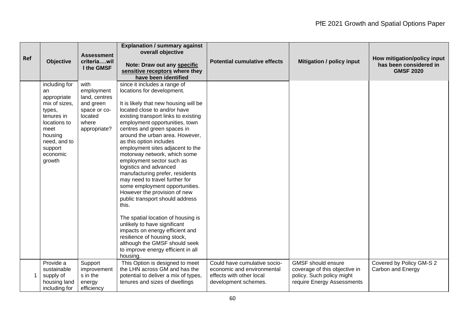| Ref | <b>Objective</b>                                                                                                                                                | <b>Assessment</b><br>criteriawil<br>I the GMSF                                                       | <b>Explanation / summary against</b><br>overall objective<br>Note: Draw out any specific<br>sensitive receptors where they<br>have been identified                                                                                                                                                                                                                                                                                                                                                                                                                                                                                                                                                                                                                                                                                                   | <b>Potential cumulative effects</b>                                                                            | <b>Mitigation / policy input</b>                                                                                      | How mitigation/policy input<br>has been considered in<br><b>GMSF 2020</b> |
|-----|-----------------------------------------------------------------------------------------------------------------------------------------------------------------|------------------------------------------------------------------------------------------------------|------------------------------------------------------------------------------------------------------------------------------------------------------------------------------------------------------------------------------------------------------------------------------------------------------------------------------------------------------------------------------------------------------------------------------------------------------------------------------------------------------------------------------------------------------------------------------------------------------------------------------------------------------------------------------------------------------------------------------------------------------------------------------------------------------------------------------------------------------|----------------------------------------------------------------------------------------------------------------|-----------------------------------------------------------------------------------------------------------------------|---------------------------------------------------------------------------|
|     | including for<br>an<br>appropriate<br>mix of sizes,<br>types,<br>tenures in<br>locations to<br>meet<br>housing<br>need, and to<br>support<br>economic<br>growth | with<br>employment<br>land, centres<br>and green<br>space or co-<br>located<br>where<br>appropriate? | since it includes a range of<br>locations for development.<br>It is likely that new housing will be<br>located close to and/or have<br>existing transport links to existing<br>employment opportunities, town<br>centres and green spaces in<br>around the urban area. However,<br>as this option includes<br>employment sites adjacent to the<br>motorway network, which some<br>employment sector such as<br>logistics and advanced<br>manufacturing prefer, residents<br>may need to travel further for<br>some employment opportunities.<br>However the provision of new<br>public transport should address<br>this.<br>The spatial location of housing is<br>unlikely to have significant<br>impacts on energy efficient and<br>resilience of housing stock,<br>although the GMSF should seek<br>to improve energy efficient in all<br>housing. |                                                                                                                |                                                                                                                       |                                                                           |
|     | Provide a<br>sustainable<br>supply of<br>housing land<br>including for                                                                                          | Support<br>improvement<br>s in the<br>energy<br>efficiency                                           | This Option is designed to meet<br>the LHN across GM and has the<br>potential to deliver a mix of types,<br>tenures and sizes of dwellings                                                                                                                                                                                                                                                                                                                                                                                                                                                                                                                                                                                                                                                                                                           | Could have cumulative socio-<br>economic and environmental<br>effects with other local<br>development schemes. | <b>GMSF</b> should ensure<br>coverage of this objective in<br>policy. Such policy might<br>require Energy Assessments | Covered by Policy GM-S 2<br>Carbon and Energy                             |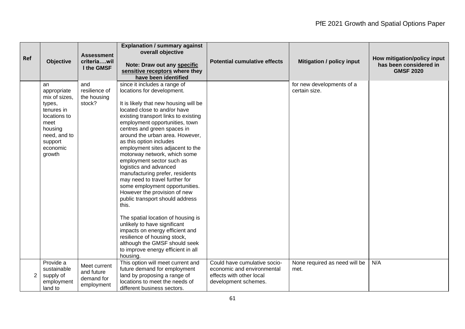| <b>Ref</b>     | <b>Objective</b>                                                                                                                               | <b>Assessment</b><br>criteriawil<br>I the GMSF         | <b>Explanation / summary against</b><br>overall objective<br>Note: Draw out any specific<br>sensitive receptors where they<br>have been identified                                                                                                                                                                                                                                                                                                                                                                                                                                                                                                                                                                                                                                                                                                   | <b>Potential cumulative effects</b>                                                                            | <b>Mitigation / policy input</b>           | How mitigation/policy input<br>has been considered in<br><b>GMSF 2020</b> |
|----------------|------------------------------------------------------------------------------------------------------------------------------------------------|--------------------------------------------------------|------------------------------------------------------------------------------------------------------------------------------------------------------------------------------------------------------------------------------------------------------------------------------------------------------------------------------------------------------------------------------------------------------------------------------------------------------------------------------------------------------------------------------------------------------------------------------------------------------------------------------------------------------------------------------------------------------------------------------------------------------------------------------------------------------------------------------------------------------|----------------------------------------------------------------------------------------------------------------|--------------------------------------------|---------------------------------------------------------------------------|
|                | an<br>appropriate<br>mix of sizes,<br>types,<br>tenures in<br>locations to<br>meet<br>housing<br>need, and to<br>support<br>economic<br>growth | and<br>resilience of<br>the housing<br>stock?          | since it includes a range of<br>locations for development.<br>It is likely that new housing will be<br>located close to and/or have<br>existing transport links to existing<br>employment opportunities, town<br>centres and green spaces in<br>around the urban area. However,<br>as this option includes<br>employment sites adjacent to the<br>motorway network, which some<br>employment sector such as<br>logistics and advanced<br>manufacturing prefer, residents<br>may need to travel further for<br>some employment opportunities.<br>However the provision of new<br>public transport should address<br>this.<br>The spatial location of housing is<br>unlikely to have significant<br>impacts on energy efficient and<br>resilience of housing stock,<br>although the GMSF should seek<br>to improve energy efficient in all<br>housing. |                                                                                                                | for new developments of a<br>certain size. |                                                                           |
| $\overline{2}$ | Provide a<br>sustainable<br>supply of<br>employment<br>land to                                                                                 | Meet current<br>and future<br>demand for<br>employment | This option will meet current and<br>future demand for employment<br>land by proposing a range of<br>locations to meet the needs of<br>different business sectors.                                                                                                                                                                                                                                                                                                                                                                                                                                                                                                                                                                                                                                                                                   | Could have cumulative socio-<br>economic and environmental<br>effects with other local<br>development schemes. | None required as need will be<br>met.      | N/A                                                                       |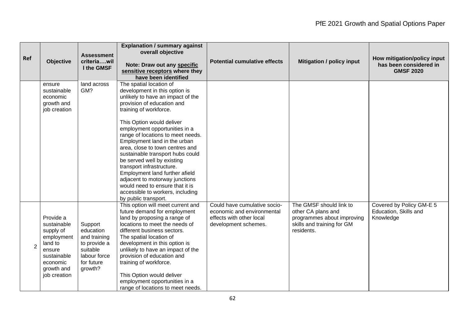| Ref            | <b>Objective</b>                                                                                                                  | <b>Assessment</b><br>criteriawil<br>I the GMSF                                                            | <b>Explanation / summary against</b><br>overall objective<br>Note: Draw out any specific<br>sensitive receptors where they<br>have been identified                                                                                                                                                                                                                                                                                                                                                                                                                                            | <b>Potential cumulative effects</b>                                                                            | <b>Mitigation / policy input</b>                                                                                        | How mitigation/policy input<br>has been considered in<br><b>GMSF 2020</b> |
|----------------|-----------------------------------------------------------------------------------------------------------------------------------|-----------------------------------------------------------------------------------------------------------|-----------------------------------------------------------------------------------------------------------------------------------------------------------------------------------------------------------------------------------------------------------------------------------------------------------------------------------------------------------------------------------------------------------------------------------------------------------------------------------------------------------------------------------------------------------------------------------------------|----------------------------------------------------------------------------------------------------------------|-------------------------------------------------------------------------------------------------------------------------|---------------------------------------------------------------------------|
|                | ensure<br>sustainable<br>economic<br>growth and<br>job creation                                                                   | land across<br>GM?                                                                                        | The spatial location of<br>development in this option is<br>unlikely to have an impact of the<br>provision of education and<br>training of workforce.<br>This Option would deliver<br>employment opportunities in a<br>range of locations to meet needs.<br>Employment land in the urban<br>area, close to town centres and<br>sustainable transport hubs could<br>be served well by existing<br>transport infrastructure.<br>Employment land further afield<br>adjacent to motorway junctions<br>would need to ensure that it is<br>accessible to workers, including<br>by public transport. |                                                                                                                |                                                                                                                         |                                                                           |
| $\overline{2}$ | Provide a<br>sustainable<br>supply of<br>employment<br>land to<br>ensure<br>sustainable<br>economic<br>growth and<br>job creation | Support<br>education<br>and training<br>to provide a<br>suitable<br>labour force<br>for future<br>growth? | This option will meet current and<br>future demand for employment<br>land by proposing a range of<br>locations to meet the needs of<br>different business sectors.<br>The spatial location of<br>development in this option is<br>unlikely to have an impact of the<br>provision of education and<br>training of workforce.<br>This Option would deliver<br>employment opportunities in a<br>range of locations to meet needs.                                                                                                                                                                | Could have cumulative socio-<br>economic and environmental<br>effects with other local<br>development schemes. | The GMSF should link to<br>other CA plans and<br>programmes about improving<br>skills and training for GM<br>residents. | Covered by Policy GM-E 5<br>Education, Skills and<br>Knowledge            |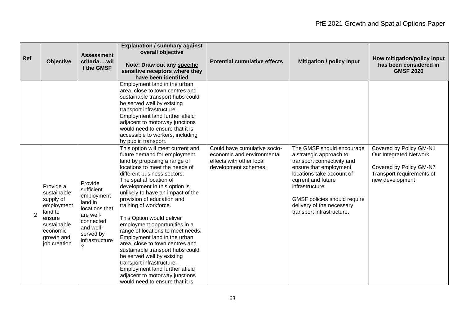| Ref            | <b>Objective</b>                                                                                                                  | <b>Assessment</b><br>criteriawil<br>I the GMSF                                                                                         | <b>Explanation / summary against</b><br>overall objective<br>Note: Draw out any specific<br>sensitive receptors where they<br>have been identified                                                                                                                                                                                                                                                                                                                                                                                                                                                                                                                                                      | <b>Potential cumulative effects</b>                                                                            | <b>Mitigation / policy input</b>                                                                                                                                                                                                                                             | How mitigation/policy input<br>has been considered in<br><b>GMSF 2020</b>                                                    |
|----------------|-----------------------------------------------------------------------------------------------------------------------------------|----------------------------------------------------------------------------------------------------------------------------------------|---------------------------------------------------------------------------------------------------------------------------------------------------------------------------------------------------------------------------------------------------------------------------------------------------------------------------------------------------------------------------------------------------------------------------------------------------------------------------------------------------------------------------------------------------------------------------------------------------------------------------------------------------------------------------------------------------------|----------------------------------------------------------------------------------------------------------------|------------------------------------------------------------------------------------------------------------------------------------------------------------------------------------------------------------------------------------------------------------------------------|------------------------------------------------------------------------------------------------------------------------------|
|                |                                                                                                                                   |                                                                                                                                        | Employment land in the urban<br>area, close to town centres and<br>sustainable transport hubs could<br>be served well by existing<br>transport infrastructure.<br>Employment land further afield<br>adjacent to motorway junctions<br>would need to ensure that it is<br>accessible to workers, including<br>by public transport.                                                                                                                                                                                                                                                                                                                                                                       |                                                                                                                |                                                                                                                                                                                                                                                                              |                                                                                                                              |
| $\overline{2}$ | Provide a<br>sustainable<br>supply of<br>employment<br>land to<br>ensure<br>sustainable<br>economic<br>growth and<br>job creation | Provide<br>sufficient<br>employment<br>land in<br>locations that<br>are well-<br>connected<br>and well-<br>served by<br>infrastructure | This option will meet current and<br>future demand for employment<br>land by proposing a range of<br>locations to meet the needs of<br>different business sectors.<br>The spatial location of<br>development in this option is<br>unlikely to have an impact of the<br>provision of education and<br>training of workforce.<br>This Option would deliver<br>employment opportunities in a<br>range of locations to meet needs.<br>Employment land in the urban<br>area, close to town centres and<br>sustainable transport hubs could<br>be served well by existing<br>transport infrastructure.<br>Employment land further afield<br>adjacent to motorway junctions<br>would need to ensure that it is | Could have cumulative socio-<br>economic and environmental<br>effects with other local<br>development schemes. | The GMSF should encourage<br>a strategic approach to<br>transport connectivity and<br>ensure that employment<br>locations take account of<br>current and future<br>infrastructure.<br>GMSF policies should require<br>delivery of the necessary<br>transport infrastructure. | Covered by Policy GM-N1<br>Our Integrated Network<br>Covered by Policy GM-N7<br>Transport requirements of<br>new development |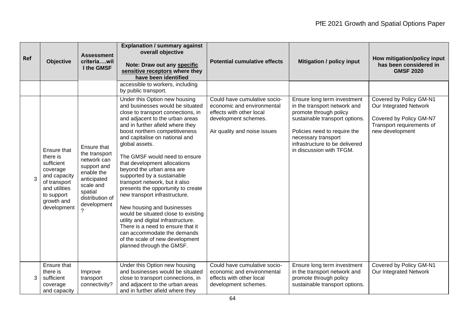| Ref | <b>Objective</b>                                                                                                                              | <b>Assessment</b><br>criteriawil<br>I the GMSF                                                                                                    | <b>Explanation / summary against</b><br>overall objective<br>Note: Draw out any specific<br>sensitive receptors where they<br>have been identified                                                                                                                                                                                                                                                                                                                                                                                                                                                                                                                                                                                                        | <b>Potential cumulative effects</b>                                                                                                            | <b>Mitigation / policy input</b>                                                                                                                                                                                                             | How mitigation/policy input<br>has been considered in<br><b>GMSF 2020</b>                                                    |
|-----|-----------------------------------------------------------------------------------------------------------------------------------------------|---------------------------------------------------------------------------------------------------------------------------------------------------|-----------------------------------------------------------------------------------------------------------------------------------------------------------------------------------------------------------------------------------------------------------------------------------------------------------------------------------------------------------------------------------------------------------------------------------------------------------------------------------------------------------------------------------------------------------------------------------------------------------------------------------------------------------------------------------------------------------------------------------------------------------|------------------------------------------------------------------------------------------------------------------------------------------------|----------------------------------------------------------------------------------------------------------------------------------------------------------------------------------------------------------------------------------------------|------------------------------------------------------------------------------------------------------------------------------|
|     |                                                                                                                                               |                                                                                                                                                   | accessible to workers, including<br>by public transport.                                                                                                                                                                                                                                                                                                                                                                                                                                                                                                                                                                                                                                                                                                  |                                                                                                                                                |                                                                                                                                                                                                                                              |                                                                                                                              |
| 3   | Ensure that<br>there is<br>sufficient<br>coverage<br>and capacity<br>of transport<br>and utilities<br>to support<br>growth and<br>development | Ensure that<br>the transport<br>network can<br>support and<br>enable the<br>anticipated<br>scale and<br>spatial<br>distribution of<br>development | Under this Option new housing<br>and businesses would be situated<br>close to transport connections, in<br>and adjacent to the urban areas<br>and in further afield where they<br>boost northern competitiveness<br>and capitalise on national and<br>global assets.<br>The GMSF would need to ensure<br>that development allocations<br>beyond the urban area are<br>supported by a sustainable<br>transport network, but it also<br>presents the opportunity to create<br>new transport infrastructure.<br>New housing and businesses<br>would be situated close to existing<br>utility and digital infrastructure.<br>There is a need to ensure that it<br>can accommodate the demands<br>of the scale of new development<br>planned through the GMSF. | Could have cumulative socio-<br>economic and environmental<br>effects with other local<br>development schemes.<br>Air quality and noise issues | Ensure long term investment<br>in the transport network and<br>promote through policy<br>sustainable transport options.<br>Policies need to require the<br>necessary transport<br>infrastructure to be delivered<br>in discussion with TFGM. | Covered by Policy GM-N1<br>Our Integrated Network<br>Covered by Policy GM-N7<br>Transport requirements of<br>new development |
| 3   | Ensure that<br>there is<br>sufficient<br>coverage<br>and capacity                                                                             | Improve<br>transport<br>connectivity?                                                                                                             | Under this Option new housing<br>and businesses would be situated<br>close to transport connections, in<br>and adjacent to the urban areas<br>and in further afield where they                                                                                                                                                                                                                                                                                                                                                                                                                                                                                                                                                                            | Could have cumulative socio-<br>economic and environmental<br>effects with other local<br>development schemes.                                 | Ensure long term investment<br>in the transport network and<br>promote through policy<br>sustainable transport options.                                                                                                                      | Covered by Policy GM-N1<br>Our Integrated Network                                                                            |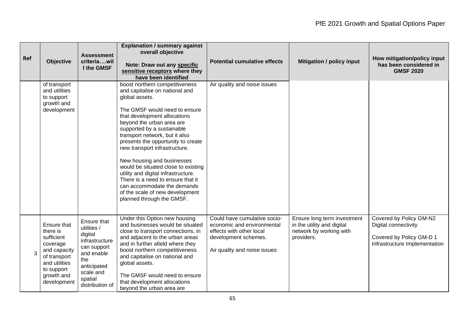| Ref | Objective                                                                                                                                     | <b>Assessment</b><br>criteriawil<br>I the GMSF                                                                                                        | <b>Explanation / summary against</b><br>overall objective<br>Note: Draw out any specific<br>sensitive receptors where they<br>have been identified                                                                                                                                                                                                                                                                                                                                                                                                                      | <b>Potential cumulative effects</b>                                                                                                            | <b>Mitigation / policy input</b>                                                                   | How mitigation/policy input<br>has been considered in<br><b>GMSF 2020</b>                                    |
|-----|-----------------------------------------------------------------------------------------------------------------------------------------------|-------------------------------------------------------------------------------------------------------------------------------------------------------|-------------------------------------------------------------------------------------------------------------------------------------------------------------------------------------------------------------------------------------------------------------------------------------------------------------------------------------------------------------------------------------------------------------------------------------------------------------------------------------------------------------------------------------------------------------------------|------------------------------------------------------------------------------------------------------------------------------------------------|----------------------------------------------------------------------------------------------------|--------------------------------------------------------------------------------------------------------------|
|     | of transport<br>and utilities<br>to support<br>growth and<br>development                                                                      |                                                                                                                                                       | boost northern competitiveness<br>and capitalise on national and<br>global assets.<br>The GMSF would need to ensure<br>that development allocations<br>beyond the urban area are<br>supported by a sustainable<br>transport network, but it also<br>presents the opportunity to create<br>new transport infrastructure.<br>New housing and businesses<br>would be situated close to existing<br>utility and digital infrastructure.<br>There is a need to ensure that it<br>can accommodate the demands<br>of the scale of new development<br>planned through the GMSF. | Air quality and noise issues                                                                                                                   |                                                                                                    |                                                                                                              |
| 3   | Ensure that<br>there is<br>sufficient<br>coverage<br>and capacity<br>of transport<br>and utilities<br>to support<br>growth and<br>development | Ensure that<br>utilities /<br>digital<br>infrastructure<br>can support<br>and enable<br>the<br>anticipated<br>scale and<br>spatial<br>distribution of | Under this Option new housing<br>and businesses would be situated<br>close to transport connections, in<br>and adjacent to the urban areas<br>and in further afield where they<br>boost northern competitiveness<br>and capitalise on national and<br>global assets.<br>The GMSF would need to ensure<br>that development allocations<br>beyond the urban area are                                                                                                                                                                                                      | Could have cumulative socio-<br>economic and environmental<br>effects with other local<br>development schemes.<br>Air quality and noise issues | Ensure long term investment<br>in the utility and digital<br>network by working with<br>providers. | Covered by Policy GM-N2<br>Digital connectivity<br>Covered by Policy GM-D 1<br>Infrastructure Implementation |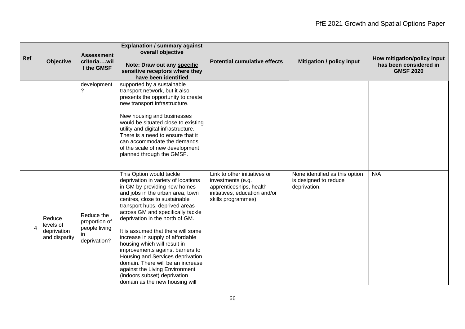| Ref            | <b>Objective</b>                                    | <b>Assessment</b><br>criteriawil<br>I the GMSF               | <b>Explanation / summary against</b><br>overall objective<br>Note: Draw out any specific<br>sensitive receptors where they<br>have been identified                                                                                                                                                                                                                                                                                                                                                                                                                                                        | <b>Potential cumulative effects</b>                                                                                                 | <b>Mitigation / policy input</b>                                        | How mitigation/policy input<br>has been considered in<br><b>GMSF 2020</b> |
|----------------|-----------------------------------------------------|--------------------------------------------------------------|-----------------------------------------------------------------------------------------------------------------------------------------------------------------------------------------------------------------------------------------------------------------------------------------------------------------------------------------------------------------------------------------------------------------------------------------------------------------------------------------------------------------------------------------------------------------------------------------------------------|-------------------------------------------------------------------------------------------------------------------------------------|-------------------------------------------------------------------------|---------------------------------------------------------------------------|
|                |                                                     | development                                                  | supported by a sustainable<br>transport network, but it also<br>presents the opportunity to create<br>new transport infrastructure.<br>New housing and businesses<br>would be situated close to existing<br>utility and digital infrastructure.<br>There is a need to ensure that it<br>can accommodate the demands<br>of the scale of new development<br>planned through the GMSF.                                                                                                                                                                                                                       |                                                                                                                                     |                                                                         |                                                                           |
| $\overline{4}$ | Reduce<br>levels of<br>deprivation<br>and disparity | Reduce the<br>proportion of<br>people living<br>deprivation? | This Option would tackle<br>deprivation in variety of locations<br>in GM by providing new homes<br>and jobs in the urban area, town<br>centres, close to sustainable<br>transport hubs, deprived areas<br>across GM and specifically tackle<br>deprivation in the north of GM.<br>It is assumed that there will some<br>increase in supply of affordable<br>housing which will result in<br>improvements against barriers to<br>Housing and Services deprivation<br>domain. There will be an increase<br>against the Living Environment<br>(indoors subset) deprivation<br>domain as the new housing will | Link to other initiatives or<br>investments (e.g.<br>apprenticeships, health<br>initiatives, education and/or<br>skills programmes) | None identified as this option<br>is designed to reduce<br>deprivation. | N/A                                                                       |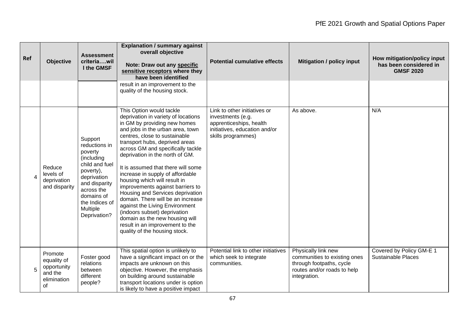| Ref | <b>Objective</b>                                                      | <b>Assessment</b><br>criteriawil<br>I the GMSF                                                                                                                                             | <b>Explanation / summary against</b><br>overall objective<br>Note: Draw out any specific<br>sensitive receptors where they<br>have been identified                                                                                                                                                                                                                                                                                                                                                                                                                                                                                                                            | <b>Potential cumulative effects</b>                                                                                                 | <b>Mitigation / policy input</b>                                                                                               | How mitigation/policy input<br>has been considered in<br><b>GMSF 2020</b> |
|-----|-----------------------------------------------------------------------|--------------------------------------------------------------------------------------------------------------------------------------------------------------------------------------------|-------------------------------------------------------------------------------------------------------------------------------------------------------------------------------------------------------------------------------------------------------------------------------------------------------------------------------------------------------------------------------------------------------------------------------------------------------------------------------------------------------------------------------------------------------------------------------------------------------------------------------------------------------------------------------|-------------------------------------------------------------------------------------------------------------------------------------|--------------------------------------------------------------------------------------------------------------------------------|---------------------------------------------------------------------------|
|     |                                                                       |                                                                                                                                                                                            | result in an improvement to the<br>quality of the housing stock.                                                                                                                                                                                                                                                                                                                                                                                                                                                                                                                                                                                                              |                                                                                                                                     |                                                                                                                                |                                                                           |
| 4   | Reduce<br>levels of<br>deprivation<br>and disparity                   | Support<br>reductions in<br>poverty<br>(including<br>child and fuel<br>poverty),<br>deprivation<br>and disparity<br>across the<br>domains of<br>the Indices of<br>Multiple<br>Deprivation? | This Option would tackle<br>deprivation in variety of locations<br>in GM by providing new homes<br>and jobs in the urban area, town<br>centres, close to sustainable<br>transport hubs, deprived areas<br>across GM and specifically tackle<br>deprivation in the north of GM.<br>It is assumed that there will some<br>increase in supply of affordable<br>housing which will result in<br>improvements against barriers to<br>Housing and Services deprivation<br>domain. There will be an increase<br>against the Living Environment<br>(indoors subset) deprivation<br>domain as the new housing will<br>result in an improvement to the<br>quality of the housing stock. | Link to other initiatives or<br>investments (e.g.<br>apprenticeships, health<br>initiatives, education and/or<br>skills programmes) | As above.                                                                                                                      | N/A                                                                       |
| 5   | Promote<br>equality of<br>opportunity<br>and the<br>elimination<br>of | Foster good<br>relations<br>between<br>different<br>people?                                                                                                                                | This spatial option is unlikely to<br>have a significant impact on or the<br>impacts are unknown on this<br>objective. However, the emphasis<br>on building around sustainable<br>transport locations under is option<br>is likely to have a positive impact                                                                                                                                                                                                                                                                                                                                                                                                                  | Potential link to other initiatives<br>which seek to integrate<br>communities.                                                      | Physically link new<br>communities to existing ones<br>through footpaths, cycle<br>routes and/or roads to help<br>integration. | Covered by Policy GM-E 1<br><b>Sustainable Places</b>                     |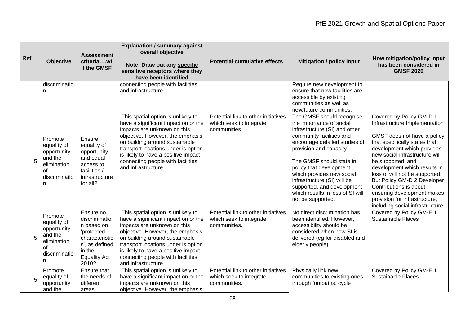| Ref | <b>Objective</b>                                                                            | <b>Assessment</b><br>criteriawil<br>I the GMSF                                                                                       | <b>Explanation / summary against</b><br>overall objective<br>Note: Draw out any specific<br>sensitive receptors where they<br>have been identified                                                                                                                                                                       | <b>Potential cumulative effects</b>                                            | <b>Mitigation / policy input</b>                                                                                                                                                                                                                                                                                                                                                         | How mitigation/policy input<br>has been considered in<br><b>GMSF 2020</b>                                                                                                                                                                                                                                                                                                                                                                    |
|-----|---------------------------------------------------------------------------------------------|--------------------------------------------------------------------------------------------------------------------------------------|--------------------------------------------------------------------------------------------------------------------------------------------------------------------------------------------------------------------------------------------------------------------------------------------------------------------------|--------------------------------------------------------------------------------|------------------------------------------------------------------------------------------------------------------------------------------------------------------------------------------------------------------------------------------------------------------------------------------------------------------------------------------------------------------------------------------|----------------------------------------------------------------------------------------------------------------------------------------------------------------------------------------------------------------------------------------------------------------------------------------------------------------------------------------------------------------------------------------------------------------------------------------------|
|     | discriminatio<br>n                                                                          |                                                                                                                                      | connecting people with facilities<br>and infrastructure.                                                                                                                                                                                                                                                                 |                                                                                | Require new development to<br>ensure that new facilities are<br>accessible by existing<br>communities as well as<br>new/future communities.                                                                                                                                                                                                                                              |                                                                                                                                                                                                                                                                                                                                                                                                                                              |
| 5   | Promote<br>equality of<br>opportunity<br>and the<br>elimination<br>οf<br>discriminatio<br>n | Ensure<br>equality of<br>opportunity<br>and equal<br>access to<br>facilities /<br>infrastructure<br>for all?                         | This spatial option is unlikely to<br>have a significant impact on or the<br>impacts are unknown on this<br>objective. However, the emphasis<br>on building around sustainable<br>transport locations under is option<br>is likely to have a positive impact<br>connecting people with facilities<br>and infrastructure. | Potential link to other initiatives<br>which seek to integrate<br>communities. | The GMSF should recognise<br>the importance of social<br>infrastructure (SI) and other<br>community facilities and<br>encourage detailed studies of<br>provision and capacity.<br>The GMSF should state in<br>policy that development<br>which provides new social<br>infrastructure (SI) will be<br>supported, and development<br>which results in loss of SI will<br>not be supported. | Covered by Policy GM-D 1<br>Infrastructure Implementation<br>GMSF does not have a policy<br>that specifically states that<br>development which provides<br>new social infrastructure will<br>be supported, and<br>development which results in<br>loss of will not be supported.<br>But Policy GM-D 2 Developer<br>Contributions is about<br>ensuring development makes<br>provision for infrastructure,<br>including social infrastructure. |
| 5   | Promote<br>equality of<br>opportunity<br>and the<br>elimination<br>οf<br>discriminatio<br>n | Ensure no<br>discriminatio<br>n based on<br>'protected<br>characteristic<br>s', as defined<br>in the<br><b>Equality Act</b><br>2010? | This spatial option is unlikely to<br>have a significant impact on or the<br>impacts are unknown on this<br>objective. However, the emphasis<br>on building around sustainable<br>transport locations under is option<br>is likely to have a positive impact<br>connecting people with facilities<br>and infrastructure. | Potential link to other initiatives<br>which seek to integrate<br>communities. | No direct discrimination has<br>been identified. However,<br>accessibility should be<br>considered when new SI is<br>delivered (eg for disabled and<br>elderly people).                                                                                                                                                                                                                  | Covered by Policy GM-E 1<br>Sustainable Places                                                                                                                                                                                                                                                                                                                                                                                               |
| 5   | Promote<br>equality of<br>opportunity<br>and the                                            | Ensure that<br>the needs of<br>different<br>areas.                                                                                   | This spatial option is unlikely to<br>have a significant impact on or the<br>impacts are unknown on this<br>objective. However, the emphasis                                                                                                                                                                             | Potential link to other initiatives<br>which seek to integrate<br>communities. | Physically link new<br>communities to existing ones<br>through footpaths, cycle                                                                                                                                                                                                                                                                                                          | Covered by Policy GM-E 1<br><b>Sustainable Places</b>                                                                                                                                                                                                                                                                                                                                                                                        |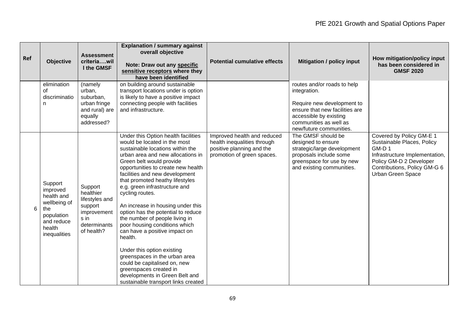| Ref | <b>Objective</b>                                                                                               | <b>Assessment</b><br>criteriawil<br>I the GMSF                                                         | <b>Explanation / summary against</b><br>overall objective<br>Note: Draw out any specific<br>sensitive receptors where they<br>have been identified                                                                                                                                                                                                                                                                                                                                                                                                                                                                                                                                                                                  | <b>Potential cumulative effects</b>                                                                                   | <b>Mitigation / policy input</b>                                                                                                                                                           | How mitigation/policy input<br>has been considered in<br><b>GMSF 2020</b>                                                                                                         |
|-----|----------------------------------------------------------------------------------------------------------------|--------------------------------------------------------------------------------------------------------|-------------------------------------------------------------------------------------------------------------------------------------------------------------------------------------------------------------------------------------------------------------------------------------------------------------------------------------------------------------------------------------------------------------------------------------------------------------------------------------------------------------------------------------------------------------------------------------------------------------------------------------------------------------------------------------------------------------------------------------|-----------------------------------------------------------------------------------------------------------------------|--------------------------------------------------------------------------------------------------------------------------------------------------------------------------------------------|-----------------------------------------------------------------------------------------------------------------------------------------------------------------------------------|
|     | elimination<br>0f<br>discriminatio<br>n                                                                        | (namely<br>urban,<br>suburban,<br>urban fringe<br>and rural) are<br>equally<br>addressed?              | on building around sustainable<br>transport locations under is option<br>is likely to have a positive impact<br>connecting people with facilities<br>and infrastructure.                                                                                                                                                                                                                                                                                                                                                                                                                                                                                                                                                            |                                                                                                                       | routes and/or roads to help<br>integration.<br>Require new development to<br>ensure that new facilities are<br>accessible by existing<br>communities as well as<br>new/future communities. |                                                                                                                                                                                   |
| 6   | Support<br>improved<br>health and<br>wellbeing of<br>the<br>population<br>and reduce<br>health<br>inequalities | Support<br>healthier<br>lifestyles and<br>support<br>improvement<br>s in<br>determinants<br>of health? | Under this Option health facilities<br>would be located in the most<br>sustainable locations within the<br>urban area and new allocations in<br>Green belt would provide<br>opportunities to create new health<br>facilities and new development<br>that promoted heathy lifestyles<br>e.g. green infrastructure and<br>cycling routes.<br>An increase in housing under this<br>option has the potential to reduce<br>the number of people living in<br>poor housing conditions which<br>can have a positive impact on<br>health.<br>Under this option existing<br>greenspaces in the urban area<br>could be capitalised on, new<br>greenspaces created in<br>developments in Green Belt and<br>sustainable transport links created | Improved health and reduced<br>health inequalities through<br>positive planning and the<br>promotion of green spaces. | The GMSF should be<br>designed to ensure<br>strategic/large development<br>proposals include some<br>greenspace for use by new<br>and existing communities.                                | Covered by Policy GM-E 1<br>Sustainable Places, Policy<br>GM-D1<br>Infrastructure Implementation,<br>Policy GM-D 2 Developer<br>Contributions, Policy GM-G 6<br>Urban Green Space |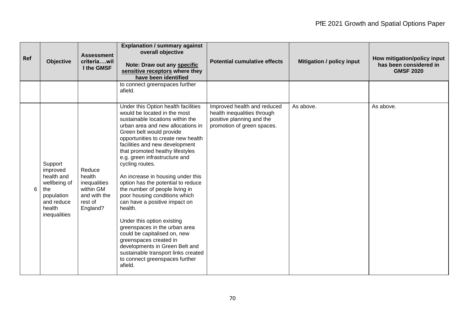| Ref | Objective                                                                                                      | <b>Assessment</b><br>criteriawil<br>I the GMSF                                       | <b>Explanation / summary against</b><br>overall objective<br>Note: Draw out any specific<br>sensitive receptors where they<br>have been identified                                                                                                                                                                                                                                                                                                                                                                                                                                                                                                                                                                                                                               | <b>Potential cumulative effects</b>                                                                                   | <b>Mitigation / policy input</b> | How mitigation/policy input<br>has been considered in<br><b>GMSF 2020</b> |
|-----|----------------------------------------------------------------------------------------------------------------|--------------------------------------------------------------------------------------|----------------------------------------------------------------------------------------------------------------------------------------------------------------------------------------------------------------------------------------------------------------------------------------------------------------------------------------------------------------------------------------------------------------------------------------------------------------------------------------------------------------------------------------------------------------------------------------------------------------------------------------------------------------------------------------------------------------------------------------------------------------------------------|-----------------------------------------------------------------------------------------------------------------------|----------------------------------|---------------------------------------------------------------------------|
|     |                                                                                                                |                                                                                      | to connect greenspaces further<br>afield.                                                                                                                                                                                                                                                                                                                                                                                                                                                                                                                                                                                                                                                                                                                                        |                                                                                                                       |                                  |                                                                           |
| 6   | Support<br>improved<br>health and<br>wellbeing of<br>the<br>population<br>and reduce<br>health<br>inequalities | Reduce<br>health<br>inequalities<br>within GM<br>and with the<br>rest of<br>England? | Under this Option health facilities<br>would be located in the most<br>sustainable locations within the<br>urban area and new allocations in<br>Green belt would provide<br>opportunities to create new health<br>facilities and new development<br>that promoted heathy lifestyles<br>e.g. green infrastructure and<br>cycling routes.<br>An increase in housing under this<br>option has the potential to reduce<br>the number of people living in<br>poor housing conditions which<br>can have a positive impact on<br>health.<br>Under this option existing<br>greenspaces in the urban area<br>could be capitalised on, new<br>greenspaces created in<br>developments in Green Belt and<br>sustainable transport links created<br>to connect greenspaces further<br>afield. | Improved health and reduced<br>health inequalities through<br>positive planning and the<br>promotion of green spaces. | As above.                        | As above.                                                                 |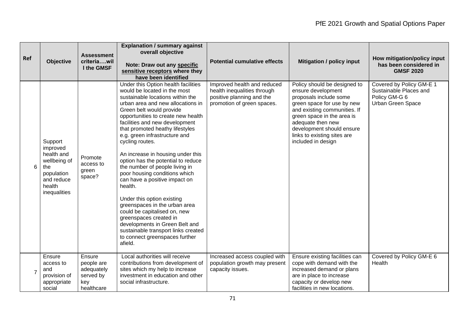| Ref            | <b>Objective</b>                                                                                               | <b>Assessment</b><br>criteriawil<br>I the GMSF                       | <b>Explanation / summary against</b><br>overall objective<br>Note: Draw out any specific<br>sensitive receptors where they<br>have been identified                                                                                                                                                                                                                                                                                                                                                                                                                                                                                                                                                                                                                               | <b>Potential cumulative effects</b>                                                                                   | <b>Mitigation / policy input</b>                                                                                                                                                                                                                                                | How mitigation/policy input<br>has been considered in<br><b>GMSF 2020</b>                |
|----------------|----------------------------------------------------------------------------------------------------------------|----------------------------------------------------------------------|----------------------------------------------------------------------------------------------------------------------------------------------------------------------------------------------------------------------------------------------------------------------------------------------------------------------------------------------------------------------------------------------------------------------------------------------------------------------------------------------------------------------------------------------------------------------------------------------------------------------------------------------------------------------------------------------------------------------------------------------------------------------------------|-----------------------------------------------------------------------------------------------------------------------|---------------------------------------------------------------------------------------------------------------------------------------------------------------------------------------------------------------------------------------------------------------------------------|------------------------------------------------------------------------------------------|
| 6              | Support<br>improved<br>health and<br>wellbeing of<br>the<br>population<br>and reduce<br>health<br>inequalities | Promote<br>access to<br>green<br>space?                              | Under this Option health facilities<br>would be located in the most<br>sustainable locations within the<br>urban area and new allocations in<br>Green belt would provide<br>opportunities to create new health<br>facilities and new development<br>that promoted heathy lifestyles<br>e.g. green infrastructure and<br>cycling routes.<br>An increase in housing under this<br>option has the potential to reduce<br>the number of people living in<br>poor housing conditions which<br>can have a positive impact on<br>health.<br>Under this option existing<br>greenspaces in the urban area<br>could be capitalised on, new<br>greenspaces created in<br>developments in Green Belt and<br>sustainable transport links created<br>to connect greenspaces further<br>afield. | Improved health and reduced<br>health inequalities through<br>positive planning and the<br>promotion of green spaces. | Policy should be designed to<br>ensure development<br>proposals include some<br>green space for use by new<br>and existing communities. If<br>green space in the area is<br>adequate then new<br>development should ensure<br>links to existing sites are<br>included in design | Covered by Policy GM-E 1<br>Sustainable Places and<br>Policy GM-G 6<br>Urban Green Space |
| $\overline{7}$ | Ensure<br>access to<br>and<br>provision of<br>appropriate<br>social                                            | Ensure<br>people are<br>adequately<br>served by<br>key<br>healthcare | Local authorities will receive<br>contributions from development of<br>sites which my help to increase<br>investment in education and other<br>social infrastructure.                                                                                                                                                                                                                                                                                                                                                                                                                                                                                                                                                                                                            | Increased access coupled with<br>population growth may present<br>capacity issues.                                    | Ensure existing facilities can<br>cope with demand with the<br>increased demand or plans<br>are in place to increase<br>capacity or develop new<br>facilities in new locations.                                                                                                 | Covered by Policy GM-E 6<br>Health                                                       |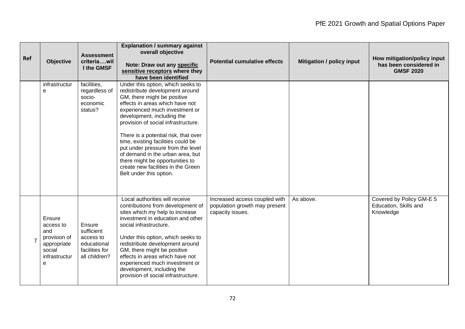| Ref | <b>Objective</b>                                                                          | <b>Assessment</b><br>criteriawil<br>I the GMSF                                      | <b>Explanation / summary against</b><br>overall objective<br>Note: Draw out any specific<br>sensitive receptors where they<br>have been identified                                                                                                                                                                                                                                                                                                                                                       | <b>Potential cumulative effects</b>                                                | <b>Mitigation / policy input</b> | How mitigation/policy input<br>has been considered in<br><b>GMSF 2020</b> |
|-----|-------------------------------------------------------------------------------------------|-------------------------------------------------------------------------------------|----------------------------------------------------------------------------------------------------------------------------------------------------------------------------------------------------------------------------------------------------------------------------------------------------------------------------------------------------------------------------------------------------------------------------------------------------------------------------------------------------------|------------------------------------------------------------------------------------|----------------------------------|---------------------------------------------------------------------------|
|     | infrastructur<br>e                                                                        | facilities,<br>regardless of<br>socio-<br>economic<br>status?                       | Under this option, which seeks to<br>redistribute development around<br>GM, there might be positive<br>effects in areas which have not<br>experienced much investment or<br>development, including the<br>provision of social infrastructure.<br>There is a potential risk, that over<br>time, existing facilities could be<br>put under pressure from the level<br>of demand in the urban area, but<br>there might be opportunities to<br>create new facilities in the Green<br>Belt under this option. |                                                                                    |                                  |                                                                           |
|     | Ensure<br>access to<br>and<br>provision of<br>appropriate<br>social<br>infrastructur<br>e | Ensure<br>sufficient<br>access to<br>educational<br>facilities for<br>all children? | Local authorities will receive<br>contributions from development of<br>sites which my help to increase<br>investment in education and other<br>social infrastructure.<br>Under this option, which seeks to<br>redistribute development around<br>GM, there might be positive<br>effects in areas which have not<br>experienced much investment or<br>development, including the<br>provision of social infrastructure.                                                                                   | Increased access coupled with<br>population growth may present<br>capacity issues. | As above.                        | Covered by Policy GM-E 5<br>Education, Skills and<br>Knowledge            |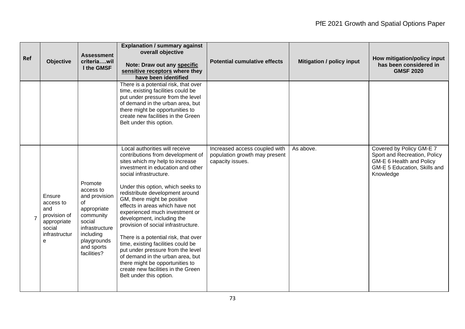| Ref | <b>Objective</b>                                                                          | <b>Assessment</b><br>criteriawil<br>I the GMSF                                                                                                               | <b>Explanation / summary against</b><br>overall objective<br>Note: Draw out any specific<br>sensitive receptors where they<br>have been identified                                                                                                                                                                                                                                                                                                                                                                                                                                                                                                                                | <b>Potential cumulative effects</b>                                                | <b>Mitigation / policy input</b> | How mitigation/policy input<br>has been considered in<br><b>GMSF 2020</b>                                                         |
|-----|-------------------------------------------------------------------------------------------|--------------------------------------------------------------------------------------------------------------------------------------------------------------|-----------------------------------------------------------------------------------------------------------------------------------------------------------------------------------------------------------------------------------------------------------------------------------------------------------------------------------------------------------------------------------------------------------------------------------------------------------------------------------------------------------------------------------------------------------------------------------------------------------------------------------------------------------------------------------|------------------------------------------------------------------------------------|----------------------------------|-----------------------------------------------------------------------------------------------------------------------------------|
|     |                                                                                           |                                                                                                                                                              | There is a potential risk, that over<br>time, existing facilities could be<br>put under pressure from the level<br>of demand in the urban area, but<br>there might be opportunities to<br>create new facilities in the Green<br>Belt under this option.                                                                                                                                                                                                                                                                                                                                                                                                                           |                                                                                    |                                  |                                                                                                                                   |
|     | Ensure<br>access to<br>and<br>provision of<br>appropriate<br>social<br>infrastructur<br>e | Promote<br>access to<br>and provision<br>of<br>appropriate<br>community<br>social<br>infrastructure<br>including<br>playgrounds<br>and sports<br>facilities? | Local authorities will receive<br>contributions from development of<br>sites which my help to increase<br>investment in education and other<br>social infrastructure.<br>Under this option, which seeks to<br>redistribute development around<br>GM, there might be positive<br>effects in areas which have not<br>experienced much investment or<br>development, including the<br>provision of social infrastructure.<br>There is a potential risk, that over<br>time, existing facilities could be<br>put under pressure from the level<br>of demand in the urban area, but<br>there might be opportunities to<br>create new facilities in the Green<br>Belt under this option. | Increased access coupled with<br>population growth may present<br>capacity issues. | As above.                        | Covered by Policy GM-E 7<br>Sport and Recreation, Policy<br>GM-E 6 Health and Policy<br>GM-E 5 Education, Skills and<br>Knowledge |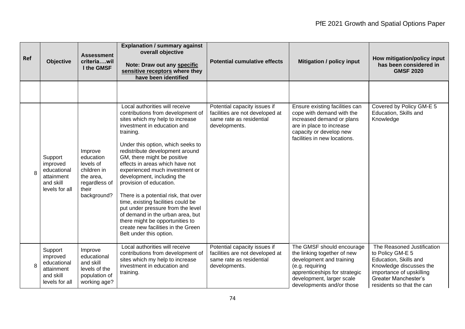| Ref | <b>Objective</b>                                                                | <b>Assessment</b><br>criteriawil<br>I the GMSF                                                         | <b>Explanation / summary against</b><br>overall objective<br>Note: Draw out any specific<br>sensitive receptors where they<br>have been identified                                                                                                                                                                                                                                                                                                                                                                                                                                                                                                 | <b>Potential cumulative effects</b>                                                                          | <b>Mitigation / policy input</b>                                                                                                                                                                   | How mitigation/policy input<br>has been considered in<br><b>GMSF 2020</b>                                                                                                           |
|-----|---------------------------------------------------------------------------------|--------------------------------------------------------------------------------------------------------|----------------------------------------------------------------------------------------------------------------------------------------------------------------------------------------------------------------------------------------------------------------------------------------------------------------------------------------------------------------------------------------------------------------------------------------------------------------------------------------------------------------------------------------------------------------------------------------------------------------------------------------------------|--------------------------------------------------------------------------------------------------------------|----------------------------------------------------------------------------------------------------------------------------------------------------------------------------------------------------|-------------------------------------------------------------------------------------------------------------------------------------------------------------------------------------|
|     |                                                                                 |                                                                                                        |                                                                                                                                                                                                                                                                                                                                                                                                                                                                                                                                                                                                                                                    |                                                                                                              |                                                                                                                                                                                                    |                                                                                                                                                                                     |
| 8   | Support<br>improved<br>educational<br>attainment<br>and skill<br>levels for all | Improve<br>education<br>levels of<br>children in<br>the area.<br>regardless of<br>their<br>background? | Local authorities will receive<br>contributions from development of<br>sites which my help to increase<br>investment in education and<br>training.<br>Under this option, which seeks to<br>redistribute development around<br>GM, there might be positive<br>effects in areas which have not<br>experienced much investment or<br>development, including the<br>provision of education.<br>There is a potential risk, that over<br>time, existing facilities could be<br>put under pressure from the level<br>of demand in the urban area, but<br>there might be opportunities to<br>create new facilities in the Green<br>Belt under this option. | Potential capacity issues if<br>facilities are not developed at<br>same rate as residential<br>developments. | Ensure existing facilities can<br>cope with demand with the<br>increased demand or plans<br>are in place to increase<br>capacity or develop new<br>facilities in new locations.                    | Covered by Policy GM-E 5<br>Education, Skills and<br>Knowledge                                                                                                                      |
| 8   | Support<br>improved<br>educational<br>attainment<br>and skill<br>levels for all | Improve<br>educational<br>and skill<br>levels of the<br>population of<br>working age?                  | Local authorities will receive<br>contributions from development of<br>sites which my help to increase<br>investment in education and<br>training.                                                                                                                                                                                                                                                                                                                                                                                                                                                                                                 | Potential capacity issues if<br>facilities are not developed at<br>same rate as residential<br>developments. | The GMSF should encourage<br>the linking together of new<br>development and training<br>(e.g. requiring<br>apprenticeships for strategic<br>development, larger scale<br>developments and/or those | The Reasoned Justification<br>to Policy GM-E 5<br>Education, Skills and<br>Knowledge discusses the<br>importance of upskilling<br>Greater Manchester's<br>residents so that the can |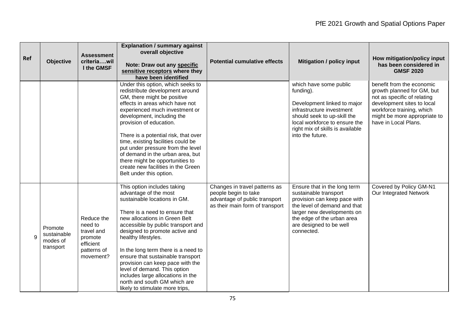| Ref | Objective                                       | <b>Assessment</b><br>criteriawil<br>I the GMSF                                          | <b>Explanation / summary against</b><br>overall objective<br>Note: Draw out any specific<br>sensitive receptors where they<br>have been identified                                                                                                                                                                                                                                                                                                                                                             | <b>Potential cumulative effects</b>                                                                                       | <b>Mitigation / policy input</b>                                                                                                                                                                                           | How mitigation/policy input<br>has been considered in<br><b>GMSF 2020</b>                                                                                                                                 |
|-----|-------------------------------------------------|-----------------------------------------------------------------------------------------|----------------------------------------------------------------------------------------------------------------------------------------------------------------------------------------------------------------------------------------------------------------------------------------------------------------------------------------------------------------------------------------------------------------------------------------------------------------------------------------------------------------|---------------------------------------------------------------------------------------------------------------------------|----------------------------------------------------------------------------------------------------------------------------------------------------------------------------------------------------------------------------|-----------------------------------------------------------------------------------------------------------------------------------------------------------------------------------------------------------|
|     |                                                 |                                                                                         | Under this option, which seeks to<br>redistribute development around<br>GM, there might be positive<br>effects in areas which have not<br>experienced much investment or<br>development, including the<br>provision of education.<br>There is a potential risk, that over<br>time, existing facilities could be<br>put under pressure from the level<br>of demand in the urban area, but<br>there might be opportunities to<br>create new facilities in the Green<br>Belt under this option.                   |                                                                                                                           | which have some public<br>funding).<br>Development linked to major<br>infrastructure investment<br>should seek to up-skill the<br>local workforce to ensure the<br>right mix of skills is available<br>into the future.    | benefit from the economic<br>growth planned for GM, but<br>not as specific of relating<br>development sites to local<br>workforce training, which<br>might be more appropriate to<br>have in Local Plans. |
| 9   | Promote<br>sustainable<br>modes of<br>transport | Reduce the<br>need to<br>travel and<br>promote<br>efficient<br>patterns of<br>movement? | This option includes taking<br>advantage of the most<br>sustainable locations in GM.<br>There is a need to ensure that<br>new allocations in Green Belt<br>accessible by public transport and<br>designed to promote active and<br>healthy lifestyles.<br>In the long term there is a need to<br>ensure that sustainable transport<br>provision can keep pace with the<br>level of demand. This option<br>includes large allocations in the<br>north and south GM which are<br>likely to stimulate more trips, | Changes in travel patterns as<br>people begin to take<br>advantage of public transport<br>as their main form of transport | Ensure that in the long term<br>sustainable transport<br>provision can keep pace with<br>the level of demand and that<br>larger new developments on<br>the edge of the urban area<br>are designed to be well<br>connected. | Covered by Policy GM-N1<br>Our Integrated Network                                                                                                                                                         |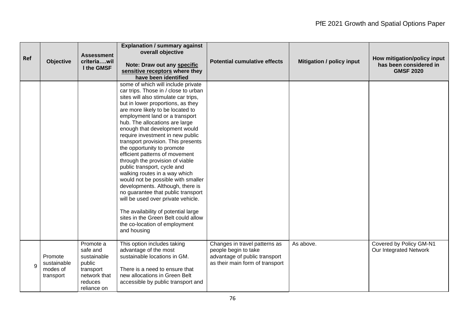| Ref          | Objective                                       | <b>Assessment</b><br>criteriawil<br>I the GMSF                                                        | <b>Explanation / summary against</b><br>overall objective<br>Note: Draw out any specific<br>sensitive receptors where they<br>have been identified                                                                                                                                                                                                                                                                                                                                                                                                                                                                                                                                                                                                                                                                                | <b>Potential cumulative effects</b>                                                                                       | <b>Mitigation / policy input</b> | How mitigation/policy input<br>has been considered in<br><b>GMSF 2020</b> |
|--------------|-------------------------------------------------|-------------------------------------------------------------------------------------------------------|-----------------------------------------------------------------------------------------------------------------------------------------------------------------------------------------------------------------------------------------------------------------------------------------------------------------------------------------------------------------------------------------------------------------------------------------------------------------------------------------------------------------------------------------------------------------------------------------------------------------------------------------------------------------------------------------------------------------------------------------------------------------------------------------------------------------------------------|---------------------------------------------------------------------------------------------------------------------------|----------------------------------|---------------------------------------------------------------------------|
|              |                                                 |                                                                                                       | some of which will include private<br>car trips. Those in / close to urban<br>sites will also stimulate car trips,<br>but in lower proportions, as they<br>are more likely to be located to<br>employment land or a transport<br>hub. The allocations are large<br>enough that development would<br>require investment in new public<br>transport provision. This presents<br>the opportunity to promote<br>efficient patterns of movement<br>through the provision of viable<br>public transport, cycle and<br>walking routes in a way which<br>would not be possible with smaller<br>developments. Although, there is<br>no guarantee that public transport<br>will be used over private vehicle.<br>The availability of potential large<br>sites in the Green Belt could allow<br>the co-location of employment<br>and housing |                                                                                                                           |                                  |                                                                           |
| $\mathbf{Q}$ | Promote<br>sustainable<br>modes of<br>transport | Promote a<br>safe and<br>sustainable<br>public<br>transport<br>network that<br>reduces<br>reliance on | This option includes taking<br>advantage of the most<br>sustainable locations in GM.<br>There is a need to ensure that<br>new allocations in Green Belt<br>accessible by public transport and                                                                                                                                                                                                                                                                                                                                                                                                                                                                                                                                                                                                                                     | Changes in travel patterns as<br>people begin to take<br>advantage of public transport<br>as their main form of transport | As above.                        | Covered by Policy GM-N1<br>Our Integrated Network                         |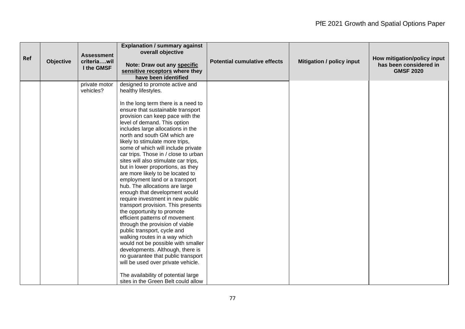| Ref | <b>Objective</b> | <b>Assessment</b><br>criteriawil<br>I the GMSF | <b>Explanation / summary against</b><br>overall objective<br>Note: Draw out any specific<br>sensitive receptors where they<br>have been identified                                                                                                                                                                                                                                                                                                                                                                                                                                                                                                                                                                                                                                                                                                                                                                                                                                                                                                                                                 | <b>Potential cumulative effects</b> | <b>Mitigation / policy input</b> | How mitigation/policy input<br>has been considered in<br><b>GMSF 2020</b> |
|-----|------------------|------------------------------------------------|----------------------------------------------------------------------------------------------------------------------------------------------------------------------------------------------------------------------------------------------------------------------------------------------------------------------------------------------------------------------------------------------------------------------------------------------------------------------------------------------------------------------------------------------------------------------------------------------------------------------------------------------------------------------------------------------------------------------------------------------------------------------------------------------------------------------------------------------------------------------------------------------------------------------------------------------------------------------------------------------------------------------------------------------------------------------------------------------------|-------------------------------------|----------------------------------|---------------------------------------------------------------------------|
|     |                  | private motor<br>vehicles?                     | designed to promote active and<br>healthy lifestyles.<br>In the long term there is a need to<br>ensure that sustainable transport<br>provision can keep pace with the<br>level of demand. This option<br>includes large allocations in the<br>north and south GM which are<br>likely to stimulate more trips,<br>some of which will include private<br>car trips. Those in / close to urban<br>sites will also stimulate car trips,<br>but in lower proportions, as they<br>are more likely to be located to<br>employment land or a transport<br>hub. The allocations are large<br>enough that development would<br>require investment in new public<br>transport provision. This presents<br>the opportunity to promote<br>efficient patterns of movement<br>through the provision of viable<br>public transport, cycle and<br>walking routes in a way which<br>would not be possible with smaller<br>developments. Although, there is<br>no guarantee that public transport<br>will be used over private vehicle.<br>The availability of potential large<br>sites in the Green Belt could allow |                                     |                                  |                                                                           |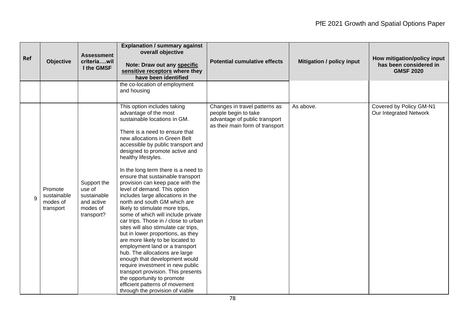| Ref | <b>Objective</b>                                | <b>Assessment</b><br>criteriawil<br>I the GMSF                               | <b>Explanation / summary against</b><br>overall objective<br>Note: Draw out any specific<br>sensitive receptors where they<br>have been identified                                                                                                                                                                                                                                                                                                                                                                                                                                                                                                                                                                                                                                                                                                                                                                                                                                              | <b>Potential cumulative effects</b>                                                                                       | <b>Mitigation / policy input</b> | How mitigation/policy input<br>has been considered in<br><b>GMSF 2020</b> |
|-----|-------------------------------------------------|------------------------------------------------------------------------------|-------------------------------------------------------------------------------------------------------------------------------------------------------------------------------------------------------------------------------------------------------------------------------------------------------------------------------------------------------------------------------------------------------------------------------------------------------------------------------------------------------------------------------------------------------------------------------------------------------------------------------------------------------------------------------------------------------------------------------------------------------------------------------------------------------------------------------------------------------------------------------------------------------------------------------------------------------------------------------------------------|---------------------------------------------------------------------------------------------------------------------------|----------------------------------|---------------------------------------------------------------------------|
|     |                                                 |                                                                              | the co-location of employment<br>and housing                                                                                                                                                                                                                                                                                                                                                                                                                                                                                                                                                                                                                                                                                                                                                                                                                                                                                                                                                    |                                                                                                                           |                                  |                                                                           |
| 9   | Promote<br>sustainable<br>modes of<br>transport | Support the<br>use of<br>sustainable<br>and active<br>modes of<br>transport? | This option includes taking<br>advantage of the most<br>sustainable locations in GM.<br>There is a need to ensure that<br>new allocations in Green Belt<br>accessible by public transport and<br>designed to promote active and<br>healthy lifestyles.<br>In the long term there is a need to<br>ensure that sustainable transport<br>provision can keep pace with the<br>level of demand. This option<br>includes large allocations in the<br>north and south GM which are<br>likely to stimulate more trips,<br>some of which will include private<br>car trips. Those in / close to urban<br>sites will also stimulate car trips,<br>but in lower proportions, as they<br>are more likely to be located to<br>employment land or a transport<br>hub. The allocations are large<br>enough that development would<br>require investment in new public<br>transport provision. This presents<br>the opportunity to promote<br>efficient patterns of movement<br>through the provision of viable | Changes in travel patterns as<br>people begin to take<br>advantage of public transport<br>as their main form of transport | As above.                        | Covered by Policy GM-N1<br>Our Integrated Network                         |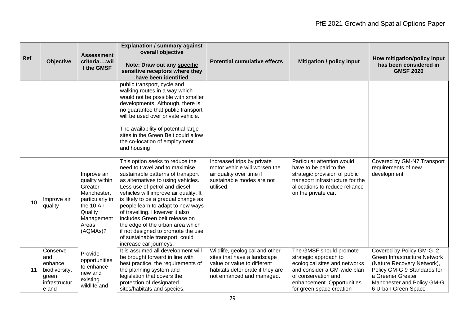| Ref | <b>Objective</b>                                                               | <b>Assessment</b><br>criteriawil<br>I the GMSF                                                                                         | <b>Explanation / summary against</b><br>overall objective<br>Note: Draw out any specific<br>sensitive receptors where they<br>have been identified                                                                                                                                                                                                                                                                                                                                                            | <b>Potential cumulative effects</b>                                                                                                                           | <b>Mitigation / policy input</b>                                                                                                                                                                  | How mitigation/policy input<br>has been considered in<br><b>GMSF 2020</b>                                                                                                                       |
|-----|--------------------------------------------------------------------------------|----------------------------------------------------------------------------------------------------------------------------------------|---------------------------------------------------------------------------------------------------------------------------------------------------------------------------------------------------------------------------------------------------------------------------------------------------------------------------------------------------------------------------------------------------------------------------------------------------------------------------------------------------------------|---------------------------------------------------------------------------------------------------------------------------------------------------------------|---------------------------------------------------------------------------------------------------------------------------------------------------------------------------------------------------|-------------------------------------------------------------------------------------------------------------------------------------------------------------------------------------------------|
|     |                                                                                |                                                                                                                                        | public transport, cycle and<br>walking routes in a way which<br>would not be possible with smaller<br>developments. Although, there is<br>no guarantee that public transport<br>will be used over private vehicle.<br>The availability of potential large<br>sites in the Green Belt could allow<br>the co-location of employment<br>and housing                                                                                                                                                              |                                                                                                                                                               |                                                                                                                                                                                                   |                                                                                                                                                                                                 |
| 10  | Improve air<br>quality                                                         | Improve air<br>quality within<br>Greater<br>Manchester,<br>particularly in<br>the 10 Air<br>Quality<br>Management<br>Areas<br>(AQMAs)? | This option seeks to reduce the<br>need to travel and to maximise<br>sustainable patterns of transport<br>as alternatives to using vehicles.<br>Less use of petrol and diesel<br>vehicles will improve air quality. It<br>is likely to be a gradual change as<br>people learn to adapt to new ways<br>of travelling. However it also<br>includes Green belt release on<br>the edge of the urban area which<br>if not designed to promote the use<br>of sustainable transport, could<br>increase car journeys. | Increased trips by private<br>motor vehicle will worsen the<br>air quality over time if<br>sustainable modes are not<br>utilised.                             | Particular attention would<br>have to be paid to the<br>strategic provision of public<br>transport infrastructure for the<br>allocations to reduce reliance<br>on the private car.                | Covered by GM-N7 Transport<br>requirements of new<br>development                                                                                                                                |
| 11  | Conserve<br>and<br>enhance<br>biodiversity,<br>green<br>infrastructur<br>e and | Provide<br>opportunities<br>to enhance<br>new and<br>existing<br>wildlife and                                                          | It is assumed all development will<br>be brought forward in line with<br>best practice, the requirements of<br>the planning system and<br>legislation that covers the<br>protection of designated<br>sites/habitats and species.                                                                                                                                                                                                                                                                              | Wildlife, geological and other<br>sites that have a landscape<br>value or value to different<br>habitats deteriorate if they are<br>not enhanced and managed. | The GMSF should promote<br>strategic approach to<br>ecological sites and networks<br>and consider a GM-wide plan<br>of conservation and<br>enhancement. Opportunities<br>for green space creation | Covered by Policy GM-G 2<br>Green Infrastructure Network<br>(Nature Recovery Network),<br>Policy GM-G 9 Standards for<br>a Greener Greater<br>Manchester and Policy GM-G<br>6 Urban Green Space |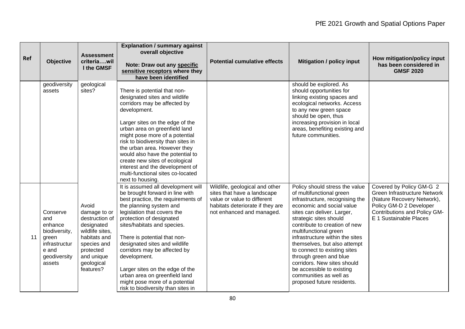| Ref | <b>Objective</b>                                                                                         | <b>Assessment</b><br>criteriawil<br>I the GMSF                                                                                                                | <b>Explanation / summary against</b><br>overall objective<br>Note: Draw out any specific<br>sensitive receptors where they<br>have been identified                                                                                                                                                                                                                                                                                                                                            | <b>Potential cumulative effects</b>                                                                                                                           | <b>Mitigation / policy input</b>                                                                                                                                                                                                                                                                                                                                                                                                                                                              | How mitigation/policy input<br>has been considered in<br><b>GMSF 2020</b>                                                                                                          |
|-----|----------------------------------------------------------------------------------------------------------|---------------------------------------------------------------------------------------------------------------------------------------------------------------|-----------------------------------------------------------------------------------------------------------------------------------------------------------------------------------------------------------------------------------------------------------------------------------------------------------------------------------------------------------------------------------------------------------------------------------------------------------------------------------------------|---------------------------------------------------------------------------------------------------------------------------------------------------------------|-----------------------------------------------------------------------------------------------------------------------------------------------------------------------------------------------------------------------------------------------------------------------------------------------------------------------------------------------------------------------------------------------------------------------------------------------------------------------------------------------|------------------------------------------------------------------------------------------------------------------------------------------------------------------------------------|
|     | geodiversity<br>assets                                                                                   | geological<br>sites?                                                                                                                                          | There is potential that non-<br>designated sites and wildlife<br>corridors may be affected by<br>development.<br>Larger sites on the edge of the<br>urban area on greenfield land<br>might pose more of a potential<br>risk to biodiversity than sites in<br>the urban area. However they<br>would also have the potential to<br>create new sites of ecological<br>interest and the development of<br>multi-functional sites co-located<br>next to housing.                                   |                                                                                                                                                               | should be explored. As<br>should opportunities for<br>linking existing spaces and<br>ecological networks. Access<br>to any new green space<br>should be open, thus<br>increasing provision in local<br>areas, benefiting existing and<br>future communities.                                                                                                                                                                                                                                  |                                                                                                                                                                                    |
| 11  | Conserve<br>and<br>enhance<br>biodiversity,<br>green<br>infrastructur<br>e and<br>geodiversity<br>assets | Avoid<br>damage to or<br>destruction of<br>designated<br>wildlife sites,<br>habitats and<br>species and<br>protected<br>and unique<br>geological<br>features? | It is assumed all development will<br>be brought forward in line with<br>best practice, the requirements of<br>the planning system and<br>legislation that covers the<br>protection of designated<br>sites/habitats and species.<br>There is potential that non-<br>designated sites and wildlife<br>corridors may be affected by<br>development.<br>Larger sites on the edge of the<br>urban area on greenfield land<br>might pose more of a potential<br>risk to biodiversity than sites in | Wildlife, geological and other<br>sites that have a landscape<br>value or value to different<br>habitats deteriorate if they are<br>not enhanced and managed. | Policy should stress the value<br>of multifunctional green<br>infrastructure, recognising the<br>economic and social value<br>sites can deliver. Larger,<br>strategic sites should<br>contribute to creation of new<br>multifunctional green<br>infrastructure within the sites<br>themselves, but also attempt<br>to connect to existing sites<br>through green and blue<br>corridors. New sites should<br>be accessible to existing<br>communities as well as<br>proposed future residents. | Covered by Policy GM-G 2<br><b>Green Infrastructure Network</b><br>(Nature Recovery Network),<br>Policy GM-D 2 Developer<br>Contributions and Policy GM-<br>E 1 Sustainable Places |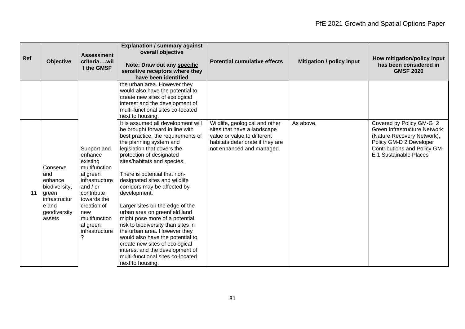| Ref | <b>Objective</b>                                                                                         | <b>Assessment</b><br>criteriawil<br>I the GMSF                                                                                                                                                                | <b>Explanation / summary against</b><br>overall objective<br>Note: Draw out any specific<br>sensitive receptors where they<br>have been identified                                                                                                                                                                                                                                                                                                                                                                                                                                                                                                                                              | <b>Potential cumulative effects</b>                                                                                                                           | <b>Mitigation / policy input</b> | How mitigation/policy input<br>has been considered in<br><b>GMSF 2020</b>                                                                                                          |
|-----|----------------------------------------------------------------------------------------------------------|---------------------------------------------------------------------------------------------------------------------------------------------------------------------------------------------------------------|-------------------------------------------------------------------------------------------------------------------------------------------------------------------------------------------------------------------------------------------------------------------------------------------------------------------------------------------------------------------------------------------------------------------------------------------------------------------------------------------------------------------------------------------------------------------------------------------------------------------------------------------------------------------------------------------------|---------------------------------------------------------------------------------------------------------------------------------------------------------------|----------------------------------|------------------------------------------------------------------------------------------------------------------------------------------------------------------------------------|
|     |                                                                                                          |                                                                                                                                                                                                               | the urban area. However they<br>would also have the potential to<br>create new sites of ecological<br>interest and the development of<br>multi-functional sites co-located<br>next to housing.                                                                                                                                                                                                                                                                                                                                                                                                                                                                                                  |                                                                                                                                                               |                                  |                                                                                                                                                                                    |
| 11  | Conserve<br>and<br>enhance<br>biodiversity,<br>green<br>infrastructur<br>e and<br>geodiversity<br>assets | Support and<br>enhance<br>existing<br>multifunction<br>al green<br>infrastructure<br>and $/$ or<br>contribute<br>towards the<br>creation of<br>new<br>multifunction<br>al green<br>infrastructure<br>$\gamma$ | It is assumed all development will<br>be brought forward in line with<br>best practice, the requirements of<br>the planning system and<br>legislation that covers the<br>protection of designated<br>sites/habitats and species.<br>There is potential that non-<br>designated sites and wildlife<br>corridors may be affected by<br>development.<br>Larger sites on the edge of the<br>urban area on greenfield land<br>might pose more of a potential<br>risk to biodiversity than sites in<br>the urban area. However they<br>would also have the potential to<br>create new sites of ecological<br>interest and the development of<br>multi-functional sites co-located<br>next to housing. | Wildlife, geological and other<br>sites that have a landscape<br>value or value to different<br>habitats deteriorate if they are<br>not enhanced and managed. | As above.                        | Covered by Policy GM-G 2<br><b>Green Infrastructure Network</b><br>(Nature Recovery Network),<br>Policy GM-D 2 Developer<br>Contributions and Policy GM-<br>E 1 Sustainable Places |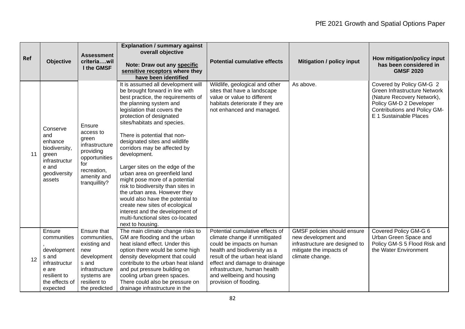| Ref | <b>Objective</b>                                                                                                      | <b>Assessment</b><br>criteriawil<br>I the GMSF                                                                                               | <b>Explanation / summary against</b><br>overall objective<br>Note: Draw out any specific<br>sensitive receptors where they<br>have been identified                                                                                                                                                                                                                                                                                                                                                                                                                                                                                                                                              | <b>Potential cumulative effects</b>                                                                                                                                                                                                                                                      | <b>Mitigation / policy input</b>                                                                                                   | How mitigation/policy input<br>has been considered in<br><b>GMSF 2020</b>                                                                                                   |
|-----|-----------------------------------------------------------------------------------------------------------------------|----------------------------------------------------------------------------------------------------------------------------------------------|-------------------------------------------------------------------------------------------------------------------------------------------------------------------------------------------------------------------------------------------------------------------------------------------------------------------------------------------------------------------------------------------------------------------------------------------------------------------------------------------------------------------------------------------------------------------------------------------------------------------------------------------------------------------------------------------------|------------------------------------------------------------------------------------------------------------------------------------------------------------------------------------------------------------------------------------------------------------------------------------------|------------------------------------------------------------------------------------------------------------------------------------|-----------------------------------------------------------------------------------------------------------------------------------------------------------------------------|
| 11  | Conserve<br>and<br>enhance<br>biodiversity,<br>green<br>infrastructur<br>e and<br>geodiversity<br>assets              | Ensure<br>access to<br>green<br>infrastructure<br>providing<br>opportunities<br>for<br>recreation,<br>amenity and<br>tranquillity?           | It is assumed all development will<br>be brought forward in line with<br>best practice, the requirements of<br>the planning system and<br>legislation that covers the<br>protection of designated<br>sites/habitats and species.<br>There is potential that non-<br>designated sites and wildlife<br>corridors may be affected by<br>development.<br>Larger sites on the edge of the<br>urban area on greenfield land<br>might pose more of a potential<br>risk to biodiversity than sites in<br>the urban area. However they<br>would also have the potential to<br>create new sites of ecological<br>interest and the development of<br>multi-functional sites co-located<br>next to housing. | Wildlife, geological and other<br>sites that have a landscape<br>value or value to different<br>habitats deteriorate if they are<br>not enhanced and managed.                                                                                                                            | As above.                                                                                                                          | Covered by Policy GM-G 2<br>Green Infrastructure Network<br>(Nature Recovery Network),<br>Policy GM-D 2 Developer<br>Contributions and Policy GM-<br>E 1 Sustainable Places |
| 12  | Ensure<br>communities<br>development<br>s and<br>infrastructur<br>e are<br>resilient to<br>the effects of<br>expected | Ensure that<br>communities,<br>existing and<br>new<br>development<br>s and<br>infrastructure<br>systems are<br>resilient to<br>the predicted | The main climate change risks to<br>GM are flooding and the urban<br>heat island effect. Under this<br>option there would be some high<br>density development that could<br>contribute to the urban heat island<br>and put pressure building on<br>cooling urban green spaces.<br>There could also be pressure on<br>drainage infrastructure in the                                                                                                                                                                                                                                                                                                                                             | Potential cumulative effects of<br>climate change if unmitigated<br>could be impacts on human<br>health and biodiversity as a<br>result of the urban heat island<br>effect and damage to drainage<br>infrastructure, human health<br>and wellbeing and housing<br>provision of flooding. | GMSF policies should ensure<br>new development and<br>infrastructure are designed to<br>mitigate the impacts of<br>climate change. | Covered Policy GM-G 6<br>Urban Green Space and<br>Policy GM-S 5 Flood Risk and<br>the Water Environment                                                                     |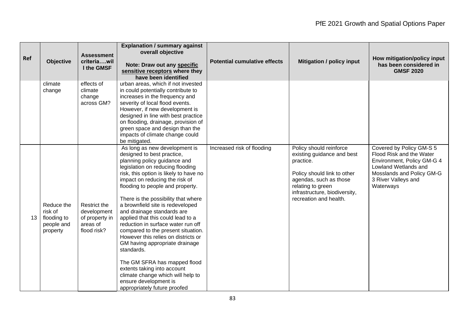| Ref             | <b>Objective</b>                                               | <b>Assessment</b><br>criteriawil<br>I the GMSF                           | <b>Explanation / summary against</b><br>overall objective<br>Note: Draw out any specific<br>sensitive receptors where they<br>have been identified                                                                                                                                                                                                                                                                                                                                                                                                                                                                                                                                                                            | <b>Potential cumulative effects</b> | <b>Mitigation / policy input</b>                                                                                                                                                                            | How mitigation/policy input<br>has been considered in<br><b>GMSF 2020</b>                                                                                                   |
|-----------------|----------------------------------------------------------------|--------------------------------------------------------------------------|-------------------------------------------------------------------------------------------------------------------------------------------------------------------------------------------------------------------------------------------------------------------------------------------------------------------------------------------------------------------------------------------------------------------------------------------------------------------------------------------------------------------------------------------------------------------------------------------------------------------------------------------------------------------------------------------------------------------------------|-------------------------------------|-------------------------------------------------------------------------------------------------------------------------------------------------------------------------------------------------------------|-----------------------------------------------------------------------------------------------------------------------------------------------------------------------------|
|                 | climate<br>change                                              | effects of<br>climate<br>change<br>across GM?                            | urban areas, which if not invested<br>in could potentially contribute to<br>increases in the frequency and<br>severity of local flood events.<br>However, if new development is<br>designed in line with best practice<br>on flooding, drainage, provision of<br>green space and design than the<br>impacts of climate change could<br>be mitigated.                                                                                                                                                                                                                                                                                                                                                                          |                                     |                                                                                                                                                                                                             |                                                                                                                                                                             |
| 13 <sup>°</sup> | Reduce the<br>risk of<br>flooding to<br>people and<br>property | Restrict the<br>development<br>of property in<br>areas of<br>flood risk? | As long as new development is<br>designed to best practice,<br>planning policy guidance and<br>legislation on reducing flooding<br>risk, this option is likely to have no<br>impact on reducing the risk of<br>flooding to people and property.<br>There is the possibility that where<br>a brownfield site is redeveloped<br>and drainage standards are<br>applied that this could lead to a<br>reduction in surface water run off<br>compared to the present situation.<br>However this relies on districts or<br>GM having appropriate drainage<br>standards.<br>The GM SFRA has mapped flood<br>extents taking into account<br>climate change which will help to<br>ensure development is<br>appropriately future proofed | Increased risk of flooding          | Policy should reinforce<br>existing guidance and best<br>practice.<br>Policy should link to other<br>agendas, such as those<br>relating to green<br>infrastructure, biodiversity,<br>recreation and health. | Covered by Policy GM-S 5<br>Flood Risk and the Water<br>Environment, Policy GM-G 4<br>Lowland Wetlands and<br>Mosslands and Policy GM-G<br>3 River Valleys and<br>Waterways |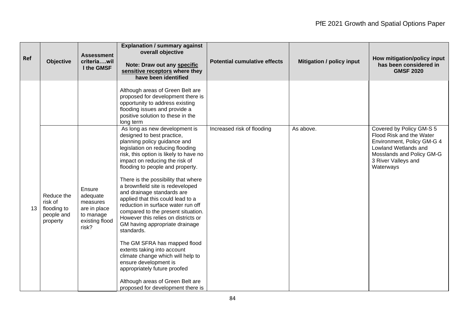| Ref | <b>Objective</b>                                               | <b>Assessment</b><br>criteriawil<br>I the GMSF                                         | <b>Explanation / summary against</b><br>overall objective<br>Note: Draw out any specific<br>sensitive receptors where they<br>have been identified                                                                                                                                                                                                                                                                                                                                                                                                                                                                                                                                                                                                                                                     | <b>Potential cumulative effects</b> | <b>Mitigation / policy input</b> | How mitigation/policy input<br>has been considered in<br><b>GMSF 2020</b>                                                                                                   |
|-----|----------------------------------------------------------------|----------------------------------------------------------------------------------------|--------------------------------------------------------------------------------------------------------------------------------------------------------------------------------------------------------------------------------------------------------------------------------------------------------------------------------------------------------------------------------------------------------------------------------------------------------------------------------------------------------------------------------------------------------------------------------------------------------------------------------------------------------------------------------------------------------------------------------------------------------------------------------------------------------|-------------------------------------|----------------------------------|-----------------------------------------------------------------------------------------------------------------------------------------------------------------------------|
|     |                                                                |                                                                                        | Although areas of Green Belt are<br>proposed for development there is<br>opportunity to address existing<br>flooding issues and provide a<br>positive solution to these in the<br>long term                                                                                                                                                                                                                                                                                                                                                                                                                                                                                                                                                                                                            |                                     |                                  |                                                                                                                                                                             |
| 13  | Reduce the<br>risk of<br>flooding to<br>people and<br>property | Ensure<br>adequate<br>measures<br>are in place<br>to manage<br>existing flood<br>risk? | As long as new development is<br>designed to best practice,<br>planning policy guidance and<br>legislation on reducing flooding<br>risk, this option is likely to have no<br>impact on reducing the risk of<br>flooding to people and property.<br>There is the possibility that where<br>a brownfield site is redeveloped<br>and drainage standards are<br>applied that this could lead to a<br>reduction in surface water run off<br>compared to the present situation.<br>However this relies on districts or<br>GM having appropriate drainage<br>standards.<br>The GM SFRA has mapped flood<br>extents taking into account<br>climate change which will help to<br>ensure development is<br>appropriately future proofed<br>Although areas of Green Belt are<br>proposed for development there is | Increased risk of flooding          | As above.                        | Covered by Policy GM-S 5<br>Flood Risk and the Water<br>Environment, Policy GM-G 4<br>Lowland Wetlands and<br>Mosslands and Policy GM-G<br>3 River Valleys and<br>Waterways |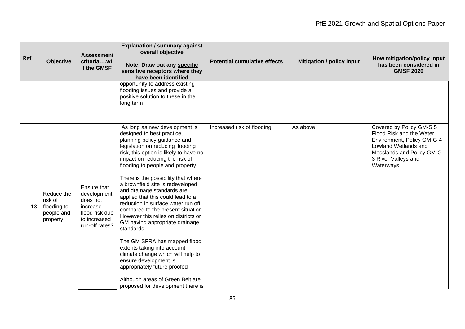| Ref             | <b>Objective</b>                                               | <b>Assessment</b><br>criteriawil<br>I the GMSF                                                         | <b>Explanation / summary against</b><br>overall objective<br>Note: Draw out any specific<br>sensitive receptors where they<br>have been identified                                                                                                                                                                                                                                                                                                                                                                                                                                                                                                                                                                                                                                                     | <b>Potential cumulative effects</b> | <b>Mitigation / policy input</b> | How mitigation/policy input<br>has been considered in<br><b>GMSF 2020</b>                                                                                                   |
|-----------------|----------------------------------------------------------------|--------------------------------------------------------------------------------------------------------|--------------------------------------------------------------------------------------------------------------------------------------------------------------------------------------------------------------------------------------------------------------------------------------------------------------------------------------------------------------------------------------------------------------------------------------------------------------------------------------------------------------------------------------------------------------------------------------------------------------------------------------------------------------------------------------------------------------------------------------------------------------------------------------------------------|-------------------------------------|----------------------------------|-----------------------------------------------------------------------------------------------------------------------------------------------------------------------------|
|                 |                                                                |                                                                                                        | opportunity to address existing<br>flooding issues and provide a<br>positive solution to these in the<br>long term                                                                                                                                                                                                                                                                                                                                                                                                                                                                                                                                                                                                                                                                                     |                                     |                                  |                                                                                                                                                                             |
| 13 <sup>°</sup> | Reduce the<br>risk of<br>flooding to<br>people and<br>property | Ensure that<br>development<br>does not<br>increase<br>flood risk due<br>to increased<br>run-off rates? | As long as new development is<br>designed to best practice,<br>planning policy guidance and<br>legislation on reducing flooding<br>risk, this option is likely to have no<br>impact on reducing the risk of<br>flooding to people and property.<br>There is the possibility that where<br>a brownfield site is redeveloped<br>and drainage standards are<br>applied that this could lead to a<br>reduction in surface water run off<br>compared to the present situation.<br>However this relies on districts or<br>GM having appropriate drainage<br>standards.<br>The GM SFRA has mapped flood<br>extents taking into account<br>climate change which will help to<br>ensure development is<br>appropriately future proofed<br>Although areas of Green Belt are<br>proposed for development there is | Increased risk of flooding          | As above.                        | Covered by Policy GM-S 5<br>Flood Risk and the Water<br>Environment, Policy GM-G 4<br>Lowland Wetlands and<br>Mosslands and Policy GM-G<br>3 River Valleys and<br>Waterways |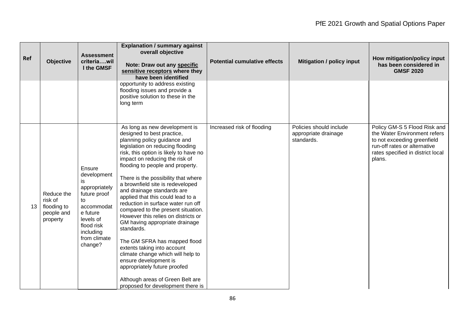| Ref | <b>Objective</b>                                               | <b>Assessment</b><br>criteriawil<br>I the GMSF                                                                                                                  | <b>Explanation / summary against</b><br>overall objective<br>Note: Draw out any specific<br>sensitive receptors where they<br>have been identified                                                                                                                                                                                                                                                                                                                                                                                                                                                                                                                                                                                                                                                     | <b>Potential cumulative effects</b> | <b>Mitigation / policy input</b>                              | How mitigation/policy input<br>has been considered in<br><b>GMSF 2020</b>                                                                                                  |
|-----|----------------------------------------------------------------|-----------------------------------------------------------------------------------------------------------------------------------------------------------------|--------------------------------------------------------------------------------------------------------------------------------------------------------------------------------------------------------------------------------------------------------------------------------------------------------------------------------------------------------------------------------------------------------------------------------------------------------------------------------------------------------------------------------------------------------------------------------------------------------------------------------------------------------------------------------------------------------------------------------------------------------------------------------------------------------|-------------------------------------|---------------------------------------------------------------|----------------------------------------------------------------------------------------------------------------------------------------------------------------------------|
|     |                                                                |                                                                                                                                                                 | opportunity to address existing<br>flooding issues and provide a<br>positive solution to these in the<br>long term                                                                                                                                                                                                                                                                                                                                                                                                                                                                                                                                                                                                                                                                                     |                                     |                                                               |                                                                                                                                                                            |
| 13  | Reduce the<br>risk of<br>flooding to<br>people and<br>property | Ensure<br>development<br>is<br>appropriately<br>future proof<br>to<br>accommodat<br>e future<br>levels of<br>flood risk<br>including<br>from climate<br>change? | As long as new development is<br>designed to best practice,<br>planning policy guidance and<br>legislation on reducing flooding<br>risk, this option is likely to have no<br>impact on reducing the risk of<br>flooding to people and property.<br>There is the possibility that where<br>a brownfield site is redeveloped<br>and drainage standards are<br>applied that this could lead to a<br>reduction in surface water run off<br>compared to the present situation.<br>However this relies on districts or<br>GM having appropriate drainage<br>standards.<br>The GM SFRA has mapped flood<br>extents taking into account<br>climate change which will help to<br>ensure development is<br>appropriately future proofed<br>Although areas of Green Belt are<br>proposed for development there is | Increased risk of flooding          | Policies should include<br>appropriate drainage<br>standards. | Policy GM-S 5 Flood Risk and<br>the Water Environment refers<br>to not exceeding greenfield<br>run-off rates or alternative<br>rates specified in district local<br>plans. |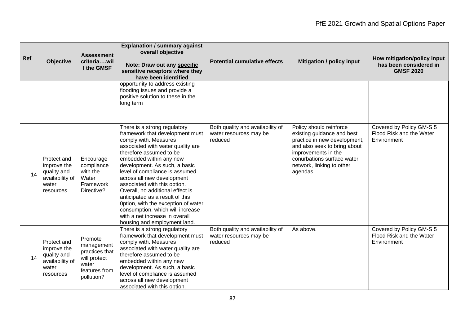| Ref | <b>Objective</b>                                                                   | <b>Assessment</b><br>criteriawil<br>I the GMSF                                                  | <b>Explanation / summary against</b><br>overall objective<br>Note: Draw out any specific<br>sensitive receptors where they<br>have been identified                                                                                                                                                                                                                                                                                                                                                                                       | <b>Potential cumulative effects</b>                                   | <b>Mitigation / policy input</b>                                                                                                                                                                                    | How mitigation/policy input<br>has been considered in<br><b>GMSF 2020</b> |
|-----|------------------------------------------------------------------------------------|-------------------------------------------------------------------------------------------------|------------------------------------------------------------------------------------------------------------------------------------------------------------------------------------------------------------------------------------------------------------------------------------------------------------------------------------------------------------------------------------------------------------------------------------------------------------------------------------------------------------------------------------------|-----------------------------------------------------------------------|---------------------------------------------------------------------------------------------------------------------------------------------------------------------------------------------------------------------|---------------------------------------------------------------------------|
|     |                                                                                    |                                                                                                 | opportunity to address existing<br>flooding issues and provide a<br>positive solution to these in the<br>long term                                                                                                                                                                                                                                                                                                                                                                                                                       |                                                                       |                                                                                                                                                                                                                     |                                                                           |
| 14  | Protect and<br>improve the<br>quality and<br>availability of<br>water<br>resources | Encourage<br>compliance<br>with the<br>Water<br>Framework<br>Directive?                         | There is a strong regulatory<br>framework that development must<br>comply with. Measures<br>associated with water quality are<br>therefore assumed to be<br>embedded within any new<br>development. As such, a basic<br>level of compliance is assumed<br>across all new development<br>associated with this option.<br>Overall, no additional effect is<br>anticipated as a result of this<br>Option, with the exception of water<br>consumption, which will increase<br>with a net increase in overall<br>housing and employment land. | Both quality and availability of<br>water resources may be<br>reduced | Policy should reinforce<br>existing guidance and best<br>practice in new development,<br>and also seek to bring about<br>improvements in the<br>conurbations surface water<br>network, linking to other<br>agendas. | Covered by Policy GM-S 5<br>Flood Risk and the Water<br>Environment       |
| 14  | Protect and<br>improve the<br>quality and<br>availability of<br>water<br>resources | Promote<br>management<br>practices that<br>will protect<br>water<br>features from<br>pollution? | There is a strong regulatory<br>framework that development must<br>comply with. Measures<br>associated with water quality are<br>therefore assumed to be<br>embedded within any new<br>development. As such, a basic<br>level of compliance is assumed<br>across all new development<br>associated with this option.                                                                                                                                                                                                                     | Both quality and availability of<br>water resources may be<br>reduced | As above.                                                                                                                                                                                                           | Covered by Policy GM-S 5<br>Flood Risk and the Water<br>Environment       |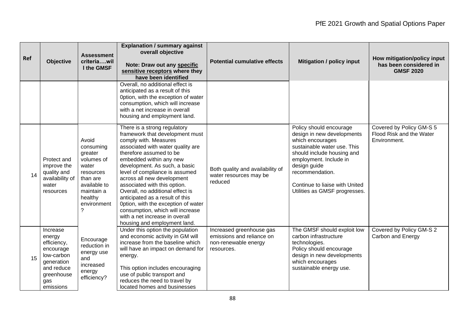| Ref | <b>Objective</b>                                                                                                           | <b>Assessment</b><br>criteriawil<br>I the GMSF                                                                                             | <b>Explanation / summary against</b><br>overall objective<br>Note: Draw out any specific<br>sensitive receptors where they<br>have been identified                                                                                                                                                                                                                                                                                                                                                                                       | <b>Potential cumulative effects</b>                                                         | <b>Mitigation / policy input</b>                                                                                                                                                                                                                                       | How mitigation/policy input<br>has been considered in<br><b>GMSF 2020</b> |
|-----|----------------------------------------------------------------------------------------------------------------------------|--------------------------------------------------------------------------------------------------------------------------------------------|------------------------------------------------------------------------------------------------------------------------------------------------------------------------------------------------------------------------------------------------------------------------------------------------------------------------------------------------------------------------------------------------------------------------------------------------------------------------------------------------------------------------------------------|---------------------------------------------------------------------------------------------|------------------------------------------------------------------------------------------------------------------------------------------------------------------------------------------------------------------------------------------------------------------------|---------------------------------------------------------------------------|
|     |                                                                                                                            |                                                                                                                                            | Overall, no additional effect is<br>anticipated as a result of this<br>Option, with the exception of water<br>consumption, which will increase<br>with a net increase in overall<br>housing and employment land.                                                                                                                                                                                                                                                                                                                         |                                                                                             |                                                                                                                                                                                                                                                                        |                                                                           |
| 14  | Protect and<br>improve the<br>quality and<br>availability of<br>water<br>resources                                         | Avoid<br>consuming<br>greater<br>volumes of<br>water<br>resources<br>than are<br>available to<br>maintain a<br>healthy<br>environment<br>? | There is a strong regulatory<br>framework that development must<br>comply with. Measures<br>associated with water quality are<br>therefore assumed to be<br>embedded within any new<br>development. As such, a basic<br>level of compliance is assumed<br>across all new development<br>associated with this option.<br>Overall, no additional effect is<br>anticipated as a result of this<br>Option, with the exception of water<br>consumption, which will increase<br>with a net increase in overall<br>housing and employment land. | Both quality and availability of<br>water resources may be<br>reduced                       | Policy should encourage<br>design in new developments<br>which encourages<br>sustainable water use. This<br>should include housing and<br>employment. Include in<br>design guide<br>recommendation.<br>Continue to liaise with United<br>Utilities as GMSF progresses. | Covered by Policy GM-S 5<br>Flood Risk and the Water<br>Environment.      |
| 15  | Increase<br>energy<br>efficiency,<br>encourage<br>low-carbon<br>generation<br>and reduce<br>greenhouse<br>gas<br>emissions | Encourage<br>reduction in<br>energy use<br>and<br>increased<br>energy<br>efficiency?                                                       | Under this option the population<br>and economic activity in GM will<br>increase from the baseline which<br>will have an impact on demand for<br>energy.<br>This option includes encouraging<br>use of public transport and<br>reduces the need to travel by<br>located homes and businesses                                                                                                                                                                                                                                             | Increased greenhouse gas<br>emissions and reliance on<br>non-renewable energy<br>resources. | The GMSF should exploit low<br>carbon infrastructure<br>technologies.<br>Policy should encourage<br>design in new developments<br>which encourages<br>sustainable energy use.                                                                                          | Covered by Policy GM-S 2<br>Carbon and Energy                             |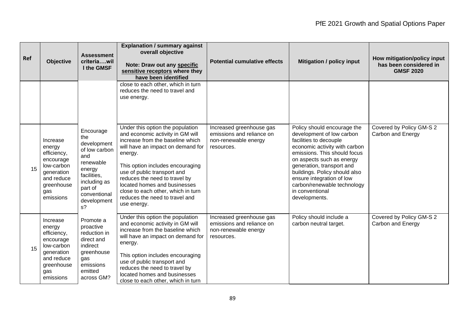| Ref | <b>Objective</b>                                                                                                           | <b>Assessment</b><br>criteriawil<br>I the GMSF                                                                                                                   | <b>Explanation / summary against</b><br>overall objective<br>Note: Draw out any specific<br>sensitive receptors where they<br>have been identified                                                                                                                                                                                                                                  | <b>Potential cumulative effects</b>                                                         | <b>Mitigation / policy input</b>                                                                                                                                                                                                                                                                                                               | How mitigation/policy input<br>has been considered in<br><b>GMSF 2020</b> |
|-----|----------------------------------------------------------------------------------------------------------------------------|------------------------------------------------------------------------------------------------------------------------------------------------------------------|-------------------------------------------------------------------------------------------------------------------------------------------------------------------------------------------------------------------------------------------------------------------------------------------------------------------------------------------------------------------------------------|---------------------------------------------------------------------------------------------|------------------------------------------------------------------------------------------------------------------------------------------------------------------------------------------------------------------------------------------------------------------------------------------------------------------------------------------------|---------------------------------------------------------------------------|
|     |                                                                                                                            |                                                                                                                                                                  | close to each other, which in turn<br>reduces the need to travel and<br>use energy.                                                                                                                                                                                                                                                                                                 |                                                                                             |                                                                                                                                                                                                                                                                                                                                                |                                                                           |
| 15  | Increase<br>energy<br>efficiency,<br>encourage<br>low-carbon<br>generation<br>and reduce<br>greenhouse<br>gas<br>emissions | Encourage<br>the<br>development<br>of low carbon<br>and<br>renewable<br>energy<br>facilities,<br>including as<br>part of<br>conventional<br>development<br>$s$ ? | Under this option the population<br>and economic activity in GM will<br>increase from the baseline which<br>will have an impact on demand for<br>energy.<br>This option includes encouraging<br>use of public transport and<br>reduces the need to travel by<br>located homes and businesses<br>close to each other, which in turn<br>reduces the need to travel and<br>use energy. | Increased greenhouse gas<br>emissions and reliance on<br>non-renewable energy<br>resources. | Policy should encourage the<br>development of low carbon<br>facilities to decouple<br>economic activity with carbon<br>emissions. This should focus<br>on aspects such as energy<br>generation, transport and<br>buildings. Policy should also<br>ensure integration of low<br>carbon/renewable technology<br>in conventional<br>developments. | Covered by Policy GM-S 2<br>Carbon and Energy                             |
| 15  | Increase<br>energy<br>efficiency,<br>encourage<br>low-carbon<br>generation<br>and reduce<br>greenhouse<br>gas<br>emissions | Promote a<br>proactive<br>reduction in<br>direct and<br>indirect<br>greenhouse<br>gas<br>emissions<br>emitted<br>across GM?                                      | Under this option the population<br>and economic activity in GM will<br>increase from the baseline which<br>will have an impact on demand for<br>energy.<br>This option includes encouraging<br>use of public transport and<br>reduces the need to travel by<br>located homes and businesses<br>close to each other, which in turn                                                  | Increased greenhouse gas<br>emissions and reliance on<br>non-renewable energy<br>resources. | Policy should include a<br>carbon neutral target.                                                                                                                                                                                                                                                                                              | Covered by Policy GM-S 2<br>Carbon and Energy                             |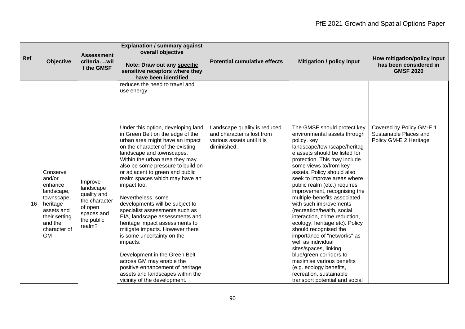| Ref | <b>Objective</b>                                                                                                                             | <b>Assessment</b><br>criteriawil<br>I the GMSF                                                        | <b>Explanation / summary against</b><br>overall objective<br>Note: Draw out any specific<br>sensitive receptors where they<br>have been identified                                                                                                                                                                                                                                                                                                                                                                                                                                                                                                                                                                                                     | <b>Potential cumulative effects</b>                                                                     | <b>Mitigation / policy input</b>                                                                                                                                                                                                                                                                                                                                                                                                                                                                                                                                                                                                                                                                                                                    | How mitigation/policy input<br>has been considered in<br><b>GMSF 2020</b>    |
|-----|----------------------------------------------------------------------------------------------------------------------------------------------|-------------------------------------------------------------------------------------------------------|--------------------------------------------------------------------------------------------------------------------------------------------------------------------------------------------------------------------------------------------------------------------------------------------------------------------------------------------------------------------------------------------------------------------------------------------------------------------------------------------------------------------------------------------------------------------------------------------------------------------------------------------------------------------------------------------------------------------------------------------------------|---------------------------------------------------------------------------------------------------------|-----------------------------------------------------------------------------------------------------------------------------------------------------------------------------------------------------------------------------------------------------------------------------------------------------------------------------------------------------------------------------------------------------------------------------------------------------------------------------------------------------------------------------------------------------------------------------------------------------------------------------------------------------------------------------------------------------------------------------------------------------|------------------------------------------------------------------------------|
|     |                                                                                                                                              |                                                                                                       | reduces the need to travel and<br>use energy.                                                                                                                                                                                                                                                                                                                                                                                                                                                                                                                                                                                                                                                                                                          |                                                                                                         |                                                                                                                                                                                                                                                                                                                                                                                                                                                                                                                                                                                                                                                                                                                                                     |                                                                              |
| 16  | Conserve<br>and/or<br>enhance<br>landscape,<br>townscape,<br>heritage<br>assets and<br>their setting<br>and the<br>character of<br><b>GM</b> | Improve<br>landscape<br>quality and<br>the character<br>of open<br>spaces and<br>the public<br>realm? | Under this option, developing land<br>in Green Belt on the edge of the<br>urban area might have an impact<br>on the character of the existing<br>landscape and townscapes.<br>Within the urban area they may<br>also be some pressure to build on<br>or adjacent to green and public<br>realm spaces which may have an<br>impact too.<br>Nevertheless, some<br>developments will be subject to<br>specialist assessments such as<br>EIA, landscape assessments and<br>heritage impact assessments to<br>mitigate impacts. However there<br>is some uncertainty on the<br>impacts.<br>Development in the Green Belt<br>across GM may enable the<br>positive enhancement of heritage<br>assets and landscapes within the<br>vicinity of the development. | Landscape quality is reduced<br>and character is lost from<br>various assets until it is<br>diminished. | The GMSF should protect key<br>environmental assets through<br>policy, key<br>landscape/townscape/heritag<br>e assets should be listed for<br>protection. This may include<br>some views to/from key<br>assets. Policy should also<br>seek to improve areas where<br>public realm (etc.) requires<br>improvement, recognising the<br>multiple-benefits associated<br>with such improvements<br>(recreation/health, social<br>interaction, crime reduction,<br>ecology, heritage etc). Policy<br>should recognised the<br>importance of "networks" as<br>well as individual<br>sites/spaces, linking<br>blue/green corridors to<br>maximise various benefits<br>(e.g. ecology benefits,<br>recreation, sustainable<br>transport potential and social | Covered by Policy GM-E 1<br>Sustainable Places and<br>Policy GM-E 2 Heritage |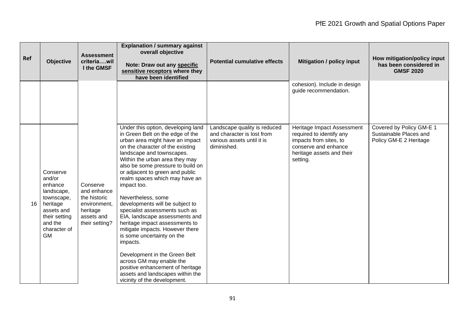| Ref | <b>Objective</b>                                                                                                                             | <b>Assessment</b><br>criteriawil<br>I the GMSF                                                      | <b>Explanation / summary against</b><br>overall objective<br>Note: Draw out any specific<br>sensitive receptors where they<br>have been identified                                                                                                                                                                                                                                                                                                                                                                                                                                                                                                                                                                                                     | <b>Potential cumulative effects</b>                                                                     | <b>Mitigation / policy input</b>                                                                                                                  | How mitigation/policy input<br>has been considered in<br><b>GMSF 2020</b>    |
|-----|----------------------------------------------------------------------------------------------------------------------------------------------|-----------------------------------------------------------------------------------------------------|--------------------------------------------------------------------------------------------------------------------------------------------------------------------------------------------------------------------------------------------------------------------------------------------------------------------------------------------------------------------------------------------------------------------------------------------------------------------------------------------------------------------------------------------------------------------------------------------------------------------------------------------------------------------------------------------------------------------------------------------------------|---------------------------------------------------------------------------------------------------------|---------------------------------------------------------------------------------------------------------------------------------------------------|------------------------------------------------------------------------------|
|     |                                                                                                                                              |                                                                                                     |                                                                                                                                                                                                                                                                                                                                                                                                                                                                                                                                                                                                                                                                                                                                                        |                                                                                                         | cohesion). Include in design<br>guide recommendation.                                                                                             |                                                                              |
| 16  | Conserve<br>and/or<br>enhance<br>landscape,<br>townscape,<br>heritage<br>assets and<br>their setting<br>and the<br>character of<br><b>GM</b> | Conserve<br>and enhance<br>the historic<br>environment,<br>heritage<br>assets and<br>their setting? | Under this option, developing land<br>in Green Belt on the edge of the<br>urban area might have an impact<br>on the character of the existing<br>landscape and townscapes.<br>Within the urban area they may<br>also be some pressure to build on<br>or adjacent to green and public<br>realm spaces which may have an<br>impact too.<br>Nevertheless, some<br>developments will be subject to<br>specialist assessments such as<br>EIA, landscape assessments and<br>heritage impact assessments to<br>mitigate impacts. However there<br>is some uncertainty on the<br>impacts.<br>Development in the Green Belt<br>across GM may enable the<br>positive enhancement of heritage<br>assets and landscapes within the<br>vicinity of the development. | Landscape quality is reduced<br>and character is lost from<br>various assets until it is<br>diminished. | Heritage Impact Assessment<br>required to identify any<br>impacts from sites, to<br>conserve and enhance<br>heritage assets and their<br>setting. | Covered by Policy GM-E 1<br>Sustainable Places and<br>Policy GM-E 2 Heritage |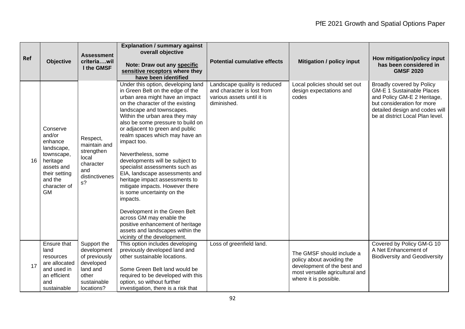| Ref | <b>Objective</b>                                                                                                                             | <b>Assessment</b><br>criteriawil<br>I the GMSF                                                             | <b>Explanation / summary against</b><br>overall objective<br>Note: Draw out any specific<br>sensitive receptors where they<br>have been identified                                                                                                                                                                                                                                                                                                                                                                                                                                                                                                                                                                                                     | <b>Potential cumulative effects</b>                                                                     | <b>Mitigation / policy input</b>                                                                                                                  | How mitigation/policy input<br>has been considered in<br><b>GMSF 2020</b>                                                                                                                        |
|-----|----------------------------------------------------------------------------------------------------------------------------------------------|------------------------------------------------------------------------------------------------------------|--------------------------------------------------------------------------------------------------------------------------------------------------------------------------------------------------------------------------------------------------------------------------------------------------------------------------------------------------------------------------------------------------------------------------------------------------------------------------------------------------------------------------------------------------------------------------------------------------------------------------------------------------------------------------------------------------------------------------------------------------------|---------------------------------------------------------------------------------------------------------|---------------------------------------------------------------------------------------------------------------------------------------------------|--------------------------------------------------------------------------------------------------------------------------------------------------------------------------------------------------|
| 16  | Conserve<br>and/or<br>enhance<br>landscape,<br>townscape,<br>heritage<br>assets and<br>their setting<br>and the<br>character of<br><b>GM</b> | Respect,<br>maintain and<br>strengthen<br>local<br>character<br>and<br>distinctivenes<br>$s$ ?             | Under this option, developing land<br>in Green Belt on the edge of the<br>urban area might have an impact<br>on the character of the existing<br>landscape and townscapes.<br>Within the urban area they may<br>also be some pressure to build on<br>or adjacent to green and public<br>realm spaces which may have an<br>impact too.<br>Nevertheless, some<br>developments will be subject to<br>specialist assessments such as<br>EIA, landscape assessments and<br>heritage impact assessments to<br>mitigate impacts. However there<br>is some uncertainty on the<br>impacts.<br>Development in the Green Belt<br>across GM may enable the<br>positive enhancement of heritage<br>assets and landscapes within the<br>vicinity of the development. | Landscape quality is reduced<br>and character is lost from<br>various assets until it is<br>diminished. | Local policies should set out<br>design expectations and<br>codes                                                                                 | Broadly covered by Policy<br><b>GM-E 1 Sustainable Places</b><br>and Policy GM-E 2 Heritage,<br>but consideration for more<br>detailed design and codes will<br>be at district Local Plan level. |
| 17  | Ensure that<br>land<br>resources<br>are allocated<br>and used in<br>an efficient<br>and<br>sustainable                                       | Support the<br>development<br>of previously<br>developed<br>land and<br>other<br>sustainable<br>locations? | This option includes developing<br>previously developed land and<br>other sustainable locations.<br>Some Green Belt land would be<br>required to be developed with this<br>option, so without further<br>investigation, there is a risk that                                                                                                                                                                                                                                                                                                                                                                                                                                                                                                           | Loss of greenfield land.                                                                                | The GMSF should include a<br>policy about avoiding the<br>development of the best and<br>most versatile agricultural and<br>where it is possible. | Covered by Policy GM-G 10<br>A Net Enhancement of<br><b>Biodiversity and Geodiversity</b>                                                                                                        |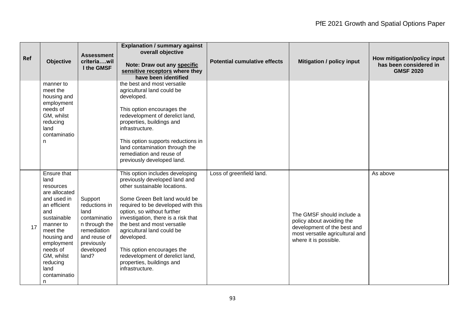| Ref | <b>Objective</b>                                                                                                                                                                                                                | <b>Assessment</b><br>criteriawil<br>I the GMSF                                                                                       | <b>Explanation / summary against</b><br>overall objective<br>Note: Draw out any specific<br>sensitive receptors where they<br>have been identified                                                                                                                                                                                                                                                                                       | <b>Potential cumulative effects</b> | <b>Mitigation / policy input</b>                                                                                                                  | How mitigation/policy input<br>has been considered in<br><b>GMSF 2020</b> |
|-----|---------------------------------------------------------------------------------------------------------------------------------------------------------------------------------------------------------------------------------|--------------------------------------------------------------------------------------------------------------------------------------|------------------------------------------------------------------------------------------------------------------------------------------------------------------------------------------------------------------------------------------------------------------------------------------------------------------------------------------------------------------------------------------------------------------------------------------|-------------------------------------|---------------------------------------------------------------------------------------------------------------------------------------------------|---------------------------------------------------------------------------|
|     | manner to<br>meet the<br>housing and<br>employment<br>needs of<br>GM, whilst<br>reducing<br>land<br>contaminatio<br>n                                                                                                           |                                                                                                                                      | the best and most versatile<br>agricultural land could be<br>developed.<br>This option encourages the<br>redevelopment of derelict land,<br>properties, buildings and<br>infrastructure.<br>This option supports reductions in<br>land contamination through the<br>remediation and reuse of<br>previously developed land.                                                                                                               |                                     |                                                                                                                                                   |                                                                           |
| 17  | Ensure that<br>land<br>resources<br>are allocated<br>and used in<br>an efficient<br>and<br>sustainable<br>manner to<br>meet the<br>housing and<br>employment<br>needs of<br>GM, whilst<br>reducing<br>land<br>contaminatio<br>n | Support<br>reductions in<br>land<br>contaminatio<br>n through the<br>remediation<br>and reuse of<br>previously<br>developed<br>land? | This option includes developing<br>previously developed land and<br>other sustainable locations.<br>Some Green Belt land would be<br>required to be developed with this<br>option, so without further<br>investigation, there is a risk that<br>the best and most versatile<br>agricultural land could be<br>developed.<br>This option encourages the<br>redevelopment of derelict land,<br>properties, buildings and<br>infrastructure. | Loss of greenfield land.            | The GMSF should include a<br>policy about avoiding the<br>development of the best and<br>most versatile agricultural and<br>where it is possible. | As above                                                                  |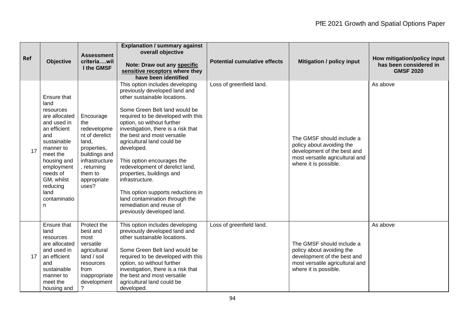| Ref | Objective                                                                                                                                                                                                                       | <b>Assessment</b><br>criteriawil<br>I the GMSF                                                                                                                 | <b>Explanation / summary against</b><br>overall objective<br>Note: Draw out any specific<br>sensitive receptors where they<br>have been identified                                                                                                                                                                                                                                                                                                                                                                                                                         | <b>Potential cumulative effects</b> | <b>Mitigation / policy input</b>                                                                                                                  | How mitigation/policy input<br>has been considered in<br><b>GMSF 2020</b> |
|-----|---------------------------------------------------------------------------------------------------------------------------------------------------------------------------------------------------------------------------------|----------------------------------------------------------------------------------------------------------------------------------------------------------------|----------------------------------------------------------------------------------------------------------------------------------------------------------------------------------------------------------------------------------------------------------------------------------------------------------------------------------------------------------------------------------------------------------------------------------------------------------------------------------------------------------------------------------------------------------------------------|-------------------------------------|---------------------------------------------------------------------------------------------------------------------------------------------------|---------------------------------------------------------------------------|
| 17  | Ensure that<br>land<br>resources<br>are allocated<br>and used in<br>an efficient<br>and<br>sustainable<br>manner to<br>meet the<br>housing and<br>employment<br>needs of<br>GM, whilst<br>reducing<br>land<br>contaminatio<br>n | Encourage<br>the<br>redevelopme<br>nt of derelict<br>land,<br>properties,<br>buildings and<br>infrastructure<br>, returning<br>them to<br>appropriate<br>uses? | This option includes developing<br>previously developed land and<br>other sustainable locations.<br>Some Green Belt land would be<br>required to be developed with this<br>option, so without further<br>investigation, there is a risk that<br>the best and most versatile<br>agricultural land could be<br>developed.<br>This option encourages the<br>redevelopment of derelict land,<br>properties, buildings and<br>infrastructure.<br>This option supports reductions in<br>land contamination through the<br>remediation and reuse of<br>previously developed land. | Loss of greenfield land.            | The GMSF should include a<br>policy about avoiding the<br>development of the best and<br>most versatile agricultural and<br>where it is possible. | As above                                                                  |
| 17  | Ensure that<br>land<br>resources<br>are allocated<br>and used in<br>an efficient<br>and<br>sustainable<br>manner to<br>meet the<br>housing and                                                                                  | Protect the<br>best and<br>most<br>versatile<br>agricultural<br>land / soil<br>resources<br>from<br>inappropriate<br>development<br>?                          | This option includes developing<br>previously developed land and<br>other sustainable locations.<br>Some Green Belt land would be<br>required to be developed with this<br>option, so without further<br>investigation, there is a risk that<br>the best and most versatile<br>agricultural land could be<br>developed.                                                                                                                                                                                                                                                    | Loss of greenfield land.            | The GMSF should include a<br>policy about avoiding the<br>development of the best and<br>most versatile agricultural and<br>where it is possible. | As above                                                                  |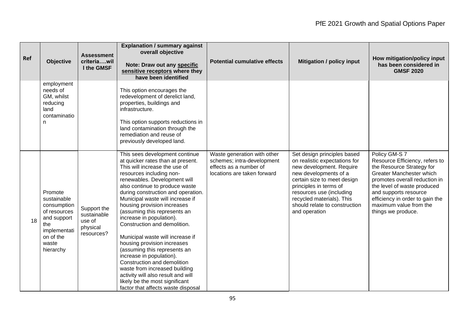| Ref | <b>Objective</b>                                                                                                               | <b>Assessment</b><br>criteriawil<br>I the GMSF                 | <b>Explanation / summary against</b><br>overall objective<br>Note: Draw out any specific<br>sensitive receptors where they<br>have been identified                                                                                                                                                                                                                                                                                                                                                                                                                                                                                                                                                                   | <b>Potential cumulative effects</b>                                                                                | <b>Mitigation / policy input</b>                                                                                                                                                                                                                                                      | How mitigation/policy input<br>has been considered in<br><b>GMSF 2020</b>                                                                                                                                                                                                            |
|-----|--------------------------------------------------------------------------------------------------------------------------------|----------------------------------------------------------------|----------------------------------------------------------------------------------------------------------------------------------------------------------------------------------------------------------------------------------------------------------------------------------------------------------------------------------------------------------------------------------------------------------------------------------------------------------------------------------------------------------------------------------------------------------------------------------------------------------------------------------------------------------------------------------------------------------------------|--------------------------------------------------------------------------------------------------------------------|---------------------------------------------------------------------------------------------------------------------------------------------------------------------------------------------------------------------------------------------------------------------------------------|--------------------------------------------------------------------------------------------------------------------------------------------------------------------------------------------------------------------------------------------------------------------------------------|
|     | employment<br>needs of<br>GM, whilst<br>reducing<br>land<br>contaminatio<br>n                                                  |                                                                | This option encourages the<br>redevelopment of derelict land,<br>properties, buildings and<br>infrastructure.<br>This option supports reductions in<br>land contamination through the<br>remediation and reuse of<br>previously developed land.                                                                                                                                                                                                                                                                                                                                                                                                                                                                      |                                                                                                                    |                                                                                                                                                                                                                                                                                       |                                                                                                                                                                                                                                                                                      |
| 18  | Promote<br>sustainable<br>consumption<br>of resources<br>and support<br>the<br>implementati<br>on of the<br>waste<br>hierarchy | Support the<br>sustainable<br>use of<br>physical<br>resources? | This sees development continue<br>at quicker rates than at present.<br>This will increase the use of<br>resources including non-<br>renewables. Development will<br>also continue to produce waste<br>during construction and operation.<br>Municipal waste will increase if<br>housing provision increases<br>(assuming this represents an<br>increase in population).<br>Construction and demolition.<br>Municipal waste will increase if<br>housing provision increases<br>(assuming this represents an<br>increase in population).<br>Construction and demolition<br>waste from increased building<br>activity will also result and will<br>likely be the most significant<br>factor that affects waste disposal | Waste generation with other<br>schemes; intra-development<br>effects as a number of<br>locations are taken forward | Set design principles based<br>on realistic expectations for<br>new development. Require<br>new developments of a<br>certain size to meet design<br>principles in terms of<br>resources use (including<br>recycled materials). This<br>should relate to construction<br>and operation | Policy GM-S 7<br>Resource Efficiency, refers to<br>the Resource Strategy for<br>Greater Manchester which<br>promotes overall reduction in<br>the level of waste produced<br>and supports resource<br>efficiency in order to gain the<br>maximum value from the<br>things we produce. |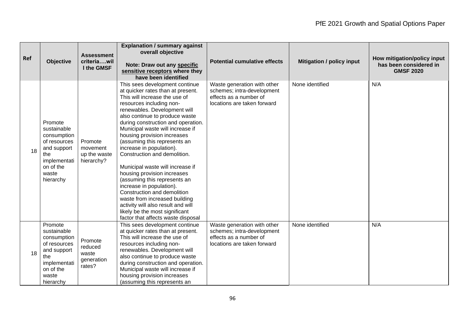| Ref | <b>Objective</b>                                                                                                               | <b>Assessment</b><br>criteriawil<br>I the GMSF      | <b>Explanation / summary against</b><br>overall objective<br>Note: Draw out any specific<br>sensitive receptors where they<br>have been identified                                                                                                                                                                                                                                                                                                                                                                                                                                                                                                                                                                   | <b>Potential cumulative effects</b>                                                                                | <b>Mitigation / policy input</b> | How mitigation/policy input<br>has been considered in<br><b>GMSF 2020</b> |
|-----|--------------------------------------------------------------------------------------------------------------------------------|-----------------------------------------------------|----------------------------------------------------------------------------------------------------------------------------------------------------------------------------------------------------------------------------------------------------------------------------------------------------------------------------------------------------------------------------------------------------------------------------------------------------------------------------------------------------------------------------------------------------------------------------------------------------------------------------------------------------------------------------------------------------------------------|--------------------------------------------------------------------------------------------------------------------|----------------------------------|---------------------------------------------------------------------------|
| 18  | Promote<br>sustainable<br>consumption<br>of resources<br>and support<br>the<br>implementati<br>on of the<br>waste<br>hierarchy | Promote<br>movement<br>up the waste<br>hierarchy?   | This sees development continue<br>at quicker rates than at present.<br>This will increase the use of<br>resources including non-<br>renewables. Development will<br>also continue to produce waste<br>during construction and operation.<br>Municipal waste will increase if<br>housing provision increases<br>(assuming this represents an<br>increase in population).<br>Construction and demolition.<br>Municipal waste will increase if<br>housing provision increases<br>(assuming this represents an<br>increase in population).<br>Construction and demolition<br>waste from increased building<br>activity will also result and will<br>likely be the most significant<br>factor that affects waste disposal | Waste generation with other<br>schemes; intra-development<br>effects as a number of<br>locations are taken forward | None identified                  | N/A                                                                       |
| 18  | Promote<br>sustainable<br>consumption<br>of resources<br>and support<br>the<br>implementati<br>on of the<br>waste<br>hierarchy | Promote<br>reduced<br>waste<br>generation<br>rates? | This sees development continue<br>at quicker rates than at present.<br>This will increase the use of<br>resources including non-<br>renewables. Development will<br>also continue to produce waste<br>during construction and operation.<br>Municipal waste will increase if<br>housing provision increases<br>(assuming this represents an                                                                                                                                                                                                                                                                                                                                                                          | Waste generation with other<br>schemes; intra-development<br>effects as a number of<br>locations are taken forward | None identified                  | N/A                                                                       |